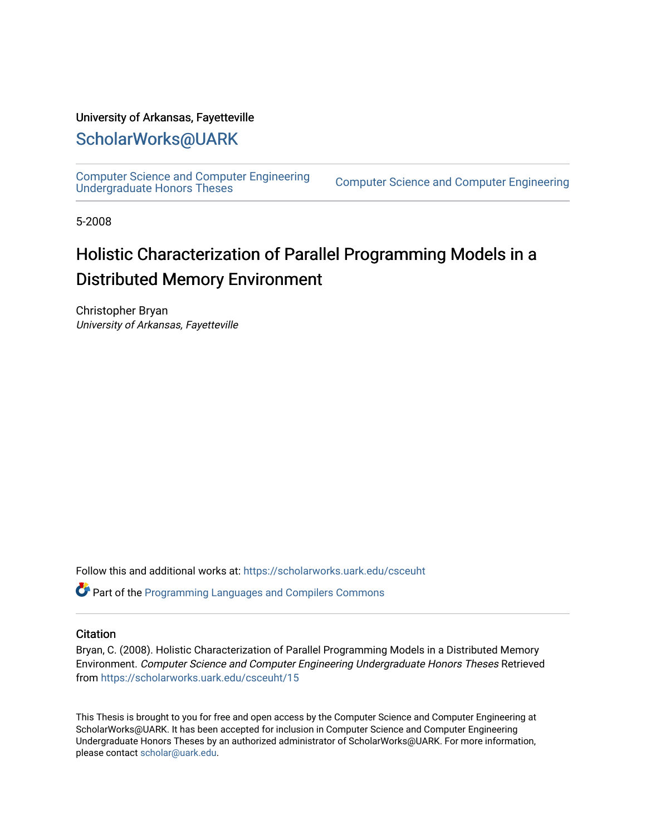#### University of Arkansas, Fayetteville

### [ScholarWorks@UARK](https://scholarworks.uark.edu/)

[Computer Science and Computer Engineering](https://scholarworks.uark.edu/csceuht) 

Computer Science and Computer Engineering

5-2008

## Holistic Characterization of Parallel Programming Models in a Distributed Memory Environment

Christopher Bryan University of Arkansas, Fayetteville

Follow this and additional works at: [https://scholarworks.uark.edu/csceuht](https://scholarworks.uark.edu/csceuht?utm_source=scholarworks.uark.edu%2Fcsceuht%2F15&utm_medium=PDF&utm_campaign=PDFCoverPages)

Part of the [Programming Languages and Compilers Commons](http://network.bepress.com/hgg/discipline/148?utm_source=scholarworks.uark.edu%2Fcsceuht%2F15&utm_medium=PDF&utm_campaign=PDFCoverPages) 

#### **Citation**

Bryan, C. (2008). Holistic Characterization of Parallel Programming Models in a Distributed Memory Environment. Computer Science and Computer Engineering Undergraduate Honors Theses Retrieved from [https://scholarworks.uark.edu/csceuht/15](https://scholarworks.uark.edu/csceuht/15?utm_source=scholarworks.uark.edu%2Fcsceuht%2F15&utm_medium=PDF&utm_campaign=PDFCoverPages) 

This Thesis is brought to you for free and open access by the Computer Science and Computer Engineering at ScholarWorks@UARK. It has been accepted for inclusion in Computer Science and Computer Engineering Undergraduate Honors Theses by an authorized administrator of ScholarWorks@UARK. For more information, please contact [scholar@uark.edu](mailto:scholar@uark.edu).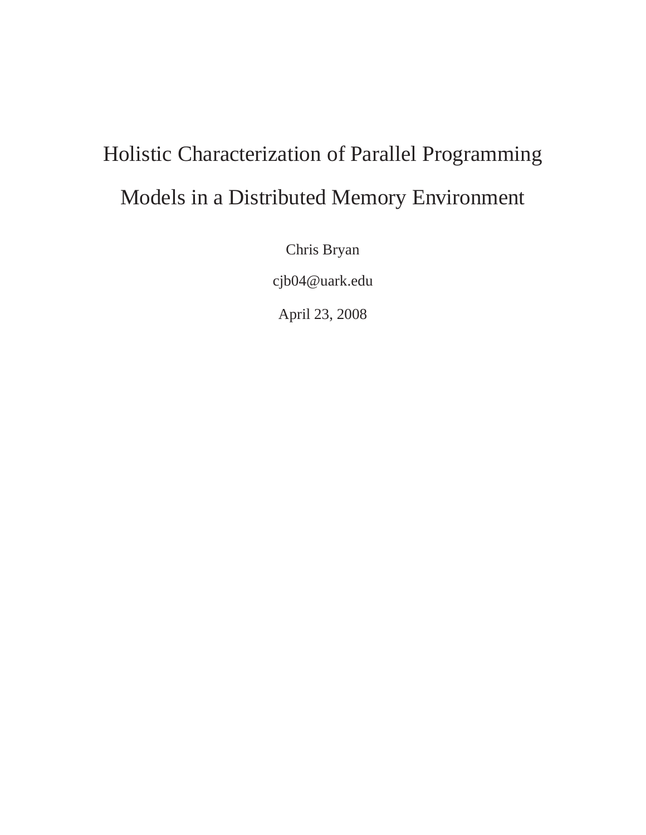# Holistic Characterization of Parallel Programming Models in a Distributed Memory Environment

Chris Bryan

cjb04@uark.edu

April 23, 2008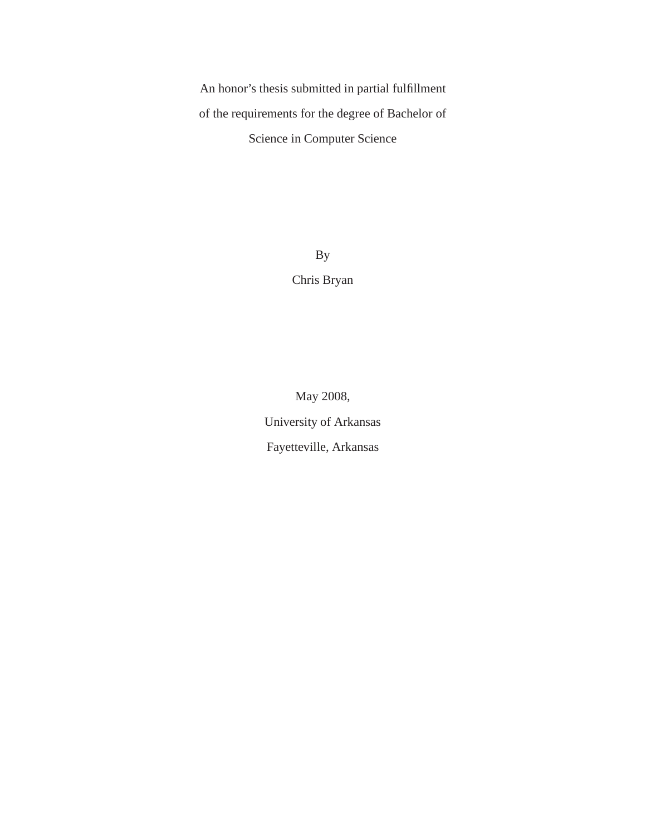An honor's thesis submitted in partial fulfillment of the requirements for the degree of Bachelor of Science in Computer Science

> By Chris Bryan

May 2008, University of Arkansas Fayetteville, Arkansas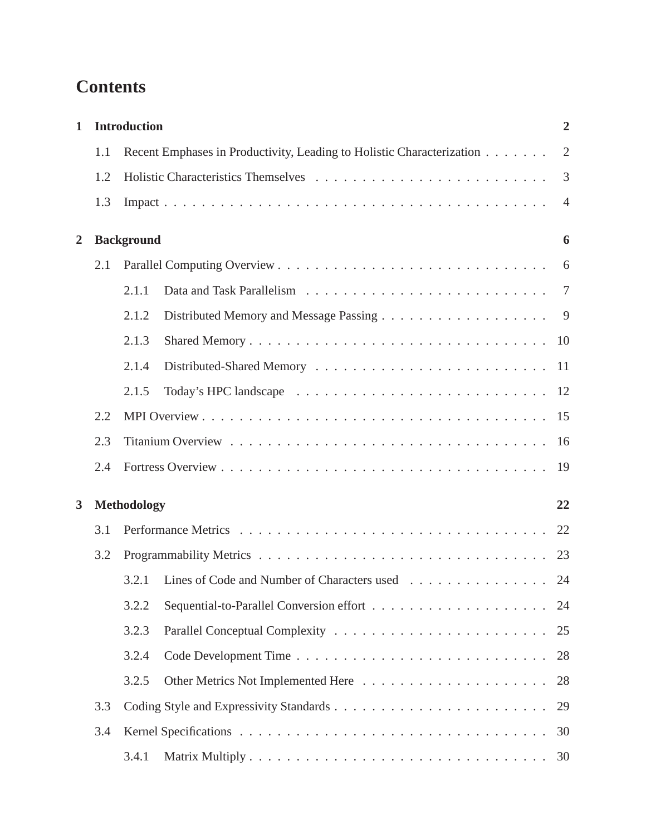## **Contents**

| <b>Introduction</b><br>$\mathbf{1}$ |     |                   |                                                                       | $\overline{2}$ |  |
|-------------------------------------|-----|-------------------|-----------------------------------------------------------------------|----------------|--|
|                                     | 1.1 |                   | Recent Emphases in Productivity, Leading to Holistic Characterization | $\overline{2}$ |  |
|                                     | 1.2 |                   |                                                                       | 3              |  |
|                                     | 1.3 |                   |                                                                       | $\overline{4}$ |  |
| <b>Background</b><br>$\overline{2}$ |     |                   |                                                                       | 6              |  |
|                                     | 2.1 |                   |                                                                       |                |  |
|                                     |     | 2.1.1             |                                                                       | $\overline{7}$ |  |
|                                     |     | 2.1.2             |                                                                       | 9              |  |
|                                     |     | 2.1.3             |                                                                       |                |  |
|                                     |     | 2.1.4             |                                                                       |                |  |
|                                     |     | 2.1.5             |                                                                       |                |  |
|                                     | 2.2 |                   |                                                                       |                |  |
|                                     | 2.3 |                   |                                                                       |                |  |
|                                     | 2.4 |                   |                                                                       | 19             |  |
| 3                                   |     | Methodology<br>22 |                                                                       |                |  |
|                                     | 3.1 |                   |                                                                       | 22             |  |
|                                     | 3.2 |                   |                                                                       | 23             |  |
|                                     |     | 3.2.1             | Lines of Code and Number of Characters used 24                        |                |  |
|                                     |     | 3.2.2             |                                                                       | 24             |  |
|                                     |     | 3.2.3             |                                                                       | 25             |  |
|                                     |     | 3.2.4             |                                                                       | 28             |  |
|                                     |     | 3.2.5             |                                                                       | 28             |  |
|                                     | 3.3 |                   |                                                                       | 29             |  |
| 3.4                                 |     |                   | 30                                                                    |                |  |
|                                     |     | 3.4.1             |                                                                       |                |  |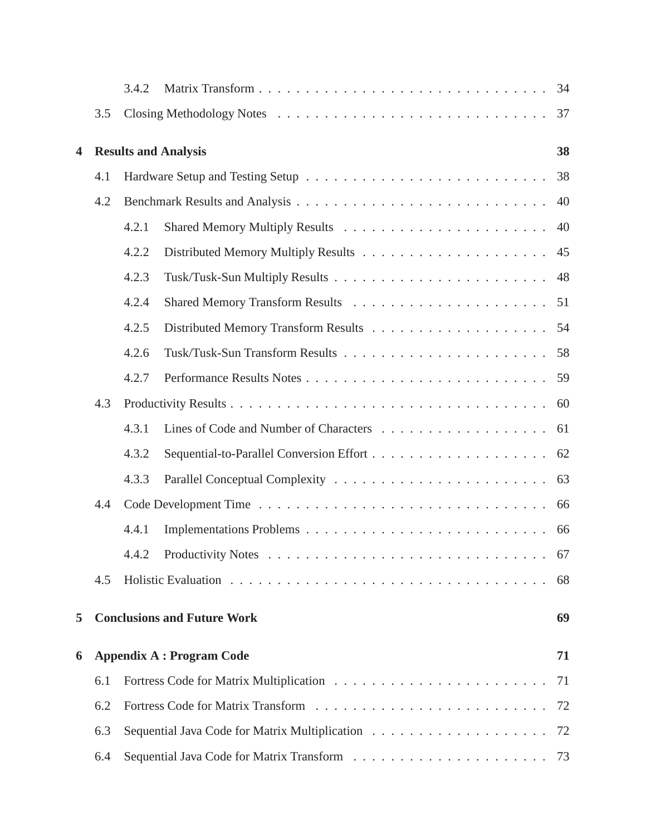|                         |     | 3.4.2 |                                    | 34 |
|-------------------------|-----|-------|------------------------------------|----|
|                         | 3.5 |       |                                    | 37 |
| $\overline{\mathbf{4}}$ |     |       | <b>Results and Analysis</b>        | 38 |
|                         | 4.1 |       |                                    | 38 |
|                         | 4.2 |       |                                    | 40 |
|                         |     | 4.2.1 |                                    | 40 |
|                         |     | 4.2.2 |                                    | 45 |
|                         |     | 4.2.3 |                                    | 48 |
|                         |     | 4.2.4 |                                    | 51 |
|                         |     | 4.2.5 |                                    | 54 |
|                         |     | 4.2.6 |                                    | 58 |
|                         |     | 4.2.7 |                                    | 59 |
|                         | 4.3 |       |                                    | 60 |
|                         |     | 4.3.1 |                                    | 61 |
|                         |     | 4.3.2 |                                    | 62 |
|                         |     | 4.3.3 |                                    | 63 |
|                         | 4.4 |       |                                    | 66 |
|                         |     | 4.4.1 |                                    | 66 |
|                         |     |       |                                    |    |
|                         | 4.5 |       |                                    | 68 |
| 5                       |     |       | <b>Conclusions and Future Work</b> | 69 |
| 6                       |     |       | <b>Appendix A : Program Code</b>   | 71 |
|                         | 6.1 |       |                                    | 71 |
|                         | 6.2 |       |                                    | 72 |
|                         | 6.3 |       |                                    | 72 |
|                         | 6.4 |       |                                    |    |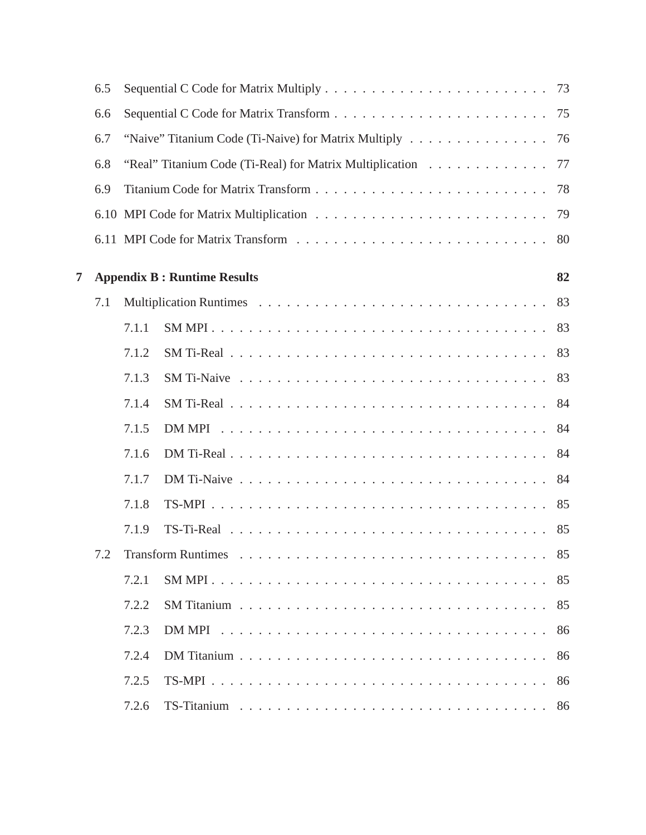|   | 6.5 |       |                                                                                                          | 73 |
|---|-----|-------|----------------------------------------------------------------------------------------------------------|----|
|   | 6.6 |       |                                                                                                          | 75 |
|   | 6.7 |       | "Naive" Titanium Code (Ti-Naive) for Matrix Multiply                                                     | 76 |
|   | 6.8 |       | "Real" Titanium Code (Ti-Real) for Matrix Multiplication                                                 | 77 |
|   | 6.9 |       |                                                                                                          | 78 |
|   |     |       |                                                                                                          | 79 |
|   |     |       |                                                                                                          | 80 |
| 7 |     |       | <b>Appendix B: Runtime Results</b>                                                                       | 82 |
|   | 7.1 |       |                                                                                                          | 83 |
|   |     | 7.1.1 |                                                                                                          | 83 |
|   |     | 7.1.2 |                                                                                                          | 83 |
|   |     | 7.1.3 |                                                                                                          | 83 |
|   |     | 7.1.4 |                                                                                                          | 84 |
|   |     | 7.1.5 |                                                                                                          | 84 |
|   |     | 7.1.6 | $DM$ Ti-Real $\ldots \ldots \ldots \ldots \ldots \ldots \ldots \ldots \ldots \ldots \ldots$              | 84 |
|   |     | 7.1.7 |                                                                                                          | 84 |
|   |     | 7.1.8 |                                                                                                          | 85 |
|   |     | 7.1.9 |                                                                                                          | 85 |
|   | 7.2 |       | Transform Runtimes $\ldots \ldots \ldots \ldots \ldots \ldots \ldots \ldots \ldots \ldots \ldots \ldots$ | 85 |
|   |     | 7.2.1 |                                                                                                          | 85 |
|   |     | 7.2.2 |                                                                                                          | 85 |
|   |     | 7.2.3 |                                                                                                          | 86 |
|   |     | 7.2.4 |                                                                                                          | 86 |
|   |     | 7.2.5 |                                                                                                          | 86 |
|   |     | 7.2.6 |                                                                                                          | 86 |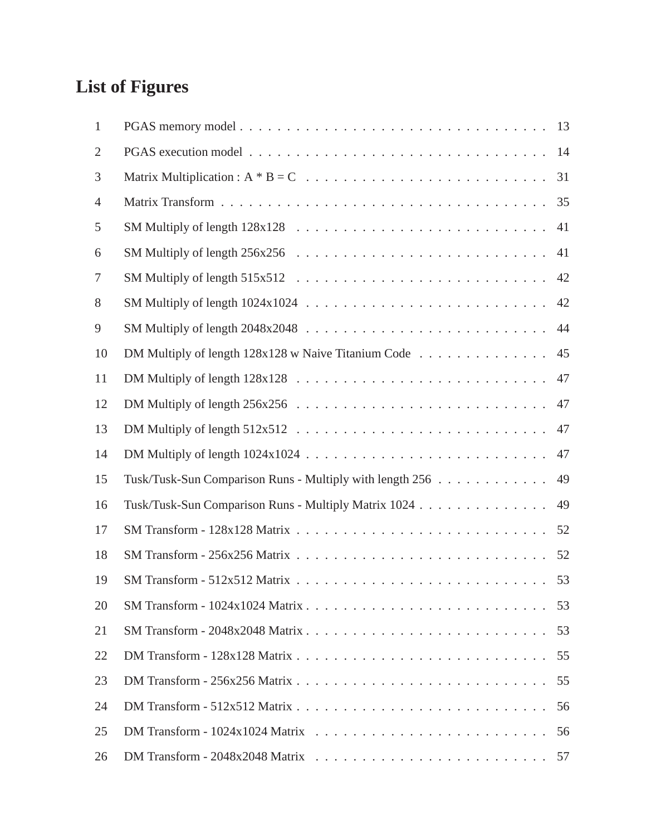## **List of Figures**

| $\mathbf{1}$   |                                                                                                       | 13 |
|----------------|-------------------------------------------------------------------------------------------------------|----|
| $\overline{2}$ |                                                                                                       | 14 |
| 3              | Matrix Multiplication : $A * B = C \dots \dots \dots \dots \dots \dots \dots \dots \dots \dots \dots$ | 31 |
| 4              |                                                                                                       | 35 |
| 5              |                                                                                                       | 41 |
| 6              |                                                                                                       | 41 |
| 7              |                                                                                                       | 42 |
| 8              |                                                                                                       | 42 |
| 9              |                                                                                                       | 44 |
| 10             |                                                                                                       | 45 |
| 11             |                                                                                                       | 47 |
| 12             |                                                                                                       | 47 |
| 13             |                                                                                                       | 47 |
| 14             |                                                                                                       | 47 |
| 15             | Tusk/Tusk-Sun Comparison Runs - Multiply with length 256                                              | 49 |
| 16             | Tusk/Tusk-Sun Comparison Runs - Multiply Matrix 1024                                                  | 49 |
| 17             |                                                                                                       |    |
| 18             |                                                                                                       | 52 |
| 19             |                                                                                                       |    |
| 20             |                                                                                                       | 53 |
| 21             |                                                                                                       | 53 |
| 22             |                                                                                                       | 55 |
| 23             |                                                                                                       | 55 |
| 24             |                                                                                                       | 56 |
| 25             |                                                                                                       | 56 |
| 26             |                                                                                                       | 57 |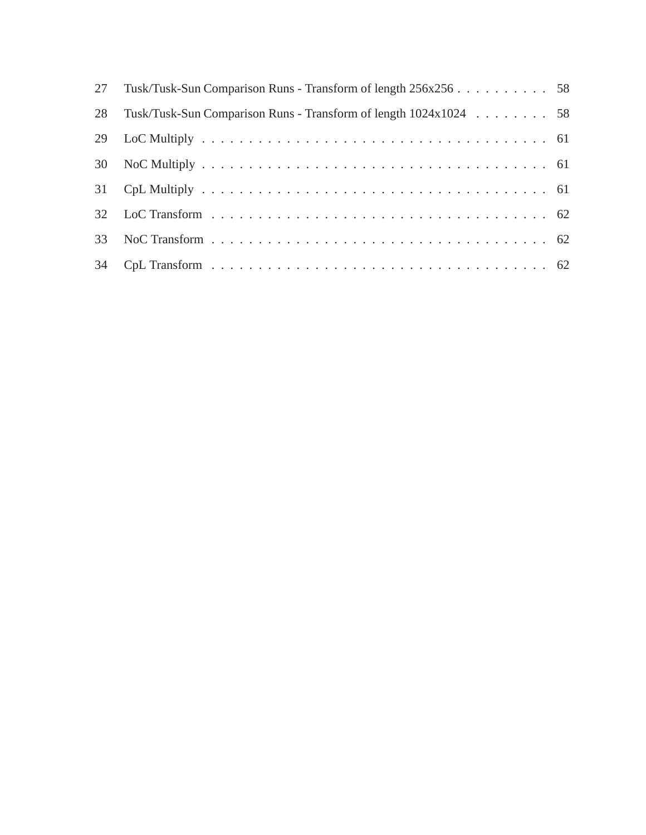| 27 | Tusk/Tusk-Sun Comparison Runs - Transform of length 256x256 58   |  |
|----|------------------------------------------------------------------|--|
| 28 | Tusk/Tusk-Sun Comparison Runs - Transform of length 1024x1024 58 |  |
| 29 |                                                                  |  |
|    |                                                                  |  |
|    |                                                                  |  |
|    |                                                                  |  |
| 33 |                                                                  |  |
| 34 |                                                                  |  |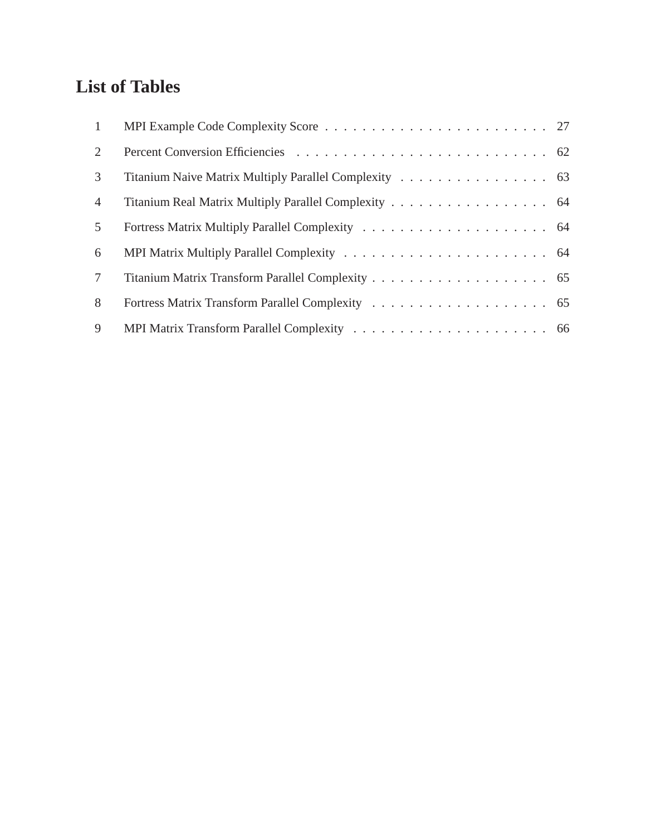## **List of Tables**

| $\mathbf{1}$    |                                                       |  |
|-----------------|-------------------------------------------------------|--|
| 2               |                                                       |  |
| 3               | Titanium Naive Matrix Multiply Parallel Complexity 63 |  |
| $\overline{4}$  | Titanium Real Matrix Multiply Parallel Complexity 64  |  |
| 5               |                                                       |  |
| 6               |                                                       |  |
| $7\phantom{.0}$ |                                                       |  |
| 8               |                                                       |  |
| 9               |                                                       |  |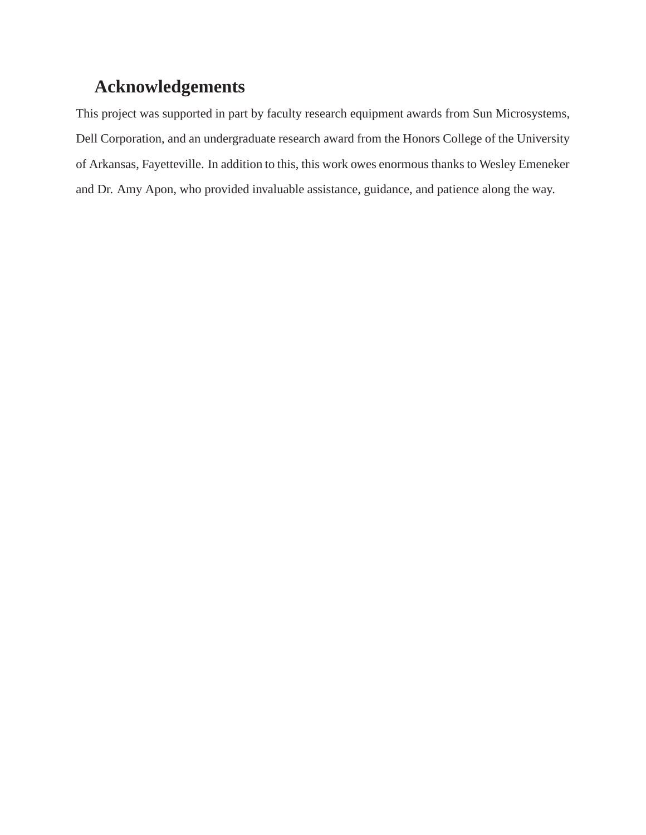## **Acknowledgements**

This project was supported in part by faculty research equipment awards from Sun Microsystems, Dell Corporation, and an undergraduate research award from the Honors College of the University of Arkansas, Fayetteville. In addition to this, this work owes enormous thanks to Wesley Emeneker and Dr. Amy Apon, who provided invaluable assistance, guidance, and patience along the way.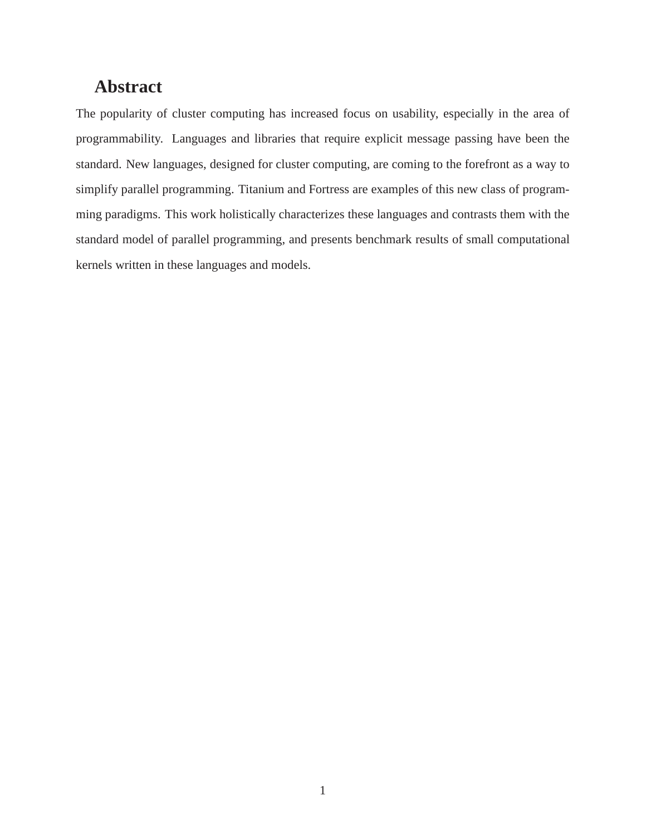## **Abstract**

The popularity of cluster computing has increased focus on usability, especially in the area of programmability. Languages and libraries that require explicit message passing have been the standard. New languages, designed for cluster computing, are coming to the forefront as a way to simplify parallel programming. Titanium and Fortress are examples of this new class of programming paradigms. This work holistically characterizes these languages and contrasts them with the standard model of parallel programming, and presents benchmark results of small computational kernels written in these languages and models.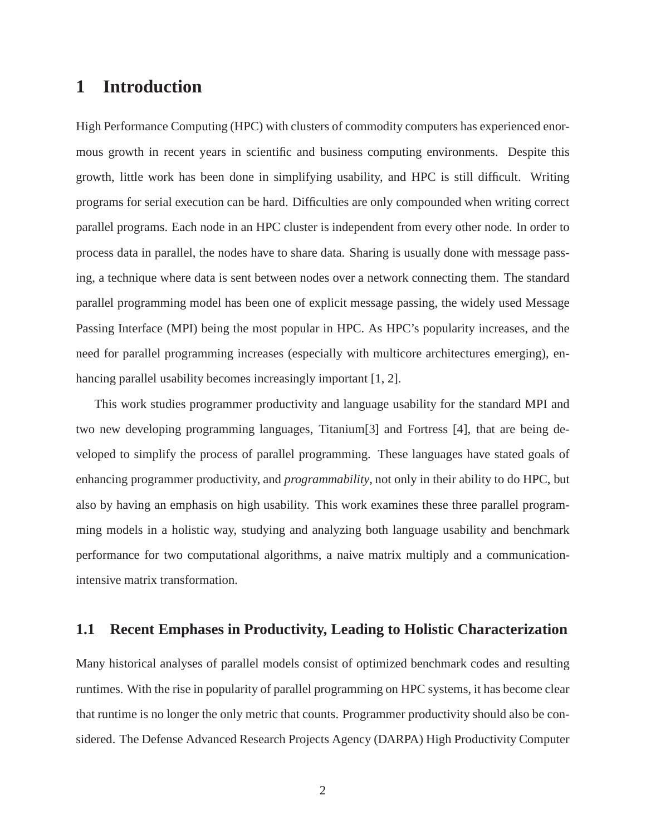## **1 Introduction**

High Performance Computing (HPC) with clusters of commodity computers has experienced enormous growth in recent years in scientific and business computing environments. Despite this growth, little work has been done in simplifying usability, and HPC is still difficult. Writing programs for serial execution can be hard. Difficulties are only compounded when writing correct parallel programs. Each node in an HPC cluster is independent from every other node. In order to process data in parallel, the nodes have to share data. Sharing is usually done with message passing, a technique where data is sent between nodes over a network connecting them. The standard parallel programming model has been one of explicit message passing, the widely used Message Passing Interface (MPI) being the most popular in HPC. As HPC's popularity increases, and the need for parallel programming increases (especially with multicore architectures emerging), enhancing parallel usability becomes increasingly important [1, 2].

This work studies programmer productivity and language usability for the standard MPI and two new developing programming languages, Titanium[3] and Fortress [4], that are being developed to simplify the process of parallel programming. These languages have stated goals of enhancing programmer productivity, and *programmability*, not only in their ability to do HPC, but also by having an emphasis on high usability. This work examines these three parallel programming models in a holistic way, studying and analyzing both language usability and benchmark performance for two computational algorithms, a naive matrix multiply and a communicationintensive matrix transformation.

### **1.1 Recent Emphases in Productivity, Leading to Holistic Characterization**

Many historical analyses of parallel models consist of optimized benchmark codes and resulting runtimes. With the rise in popularity of parallel programming on HPC systems, it has become clear that runtime is no longer the only metric that counts. Programmer productivity should also be considered. The Defense Advanced Research Projects Agency (DARPA) High Productivity Computer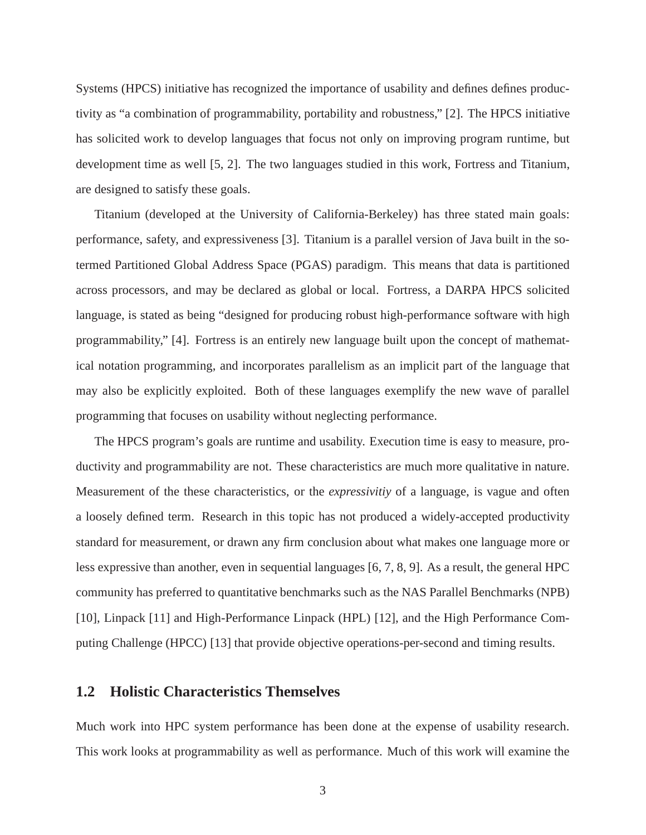Systems (HPCS) initiative has recognized the importance of usability and defines defines productivity as "a combination of programmability, portability and robustness," [2]. The HPCS initiative has solicited work to develop languages that focus not only on improving program runtime, but development time as well [5, 2]. The two languages studied in this work, Fortress and Titanium, are designed to satisfy these goals.

Titanium (developed at the University of California-Berkeley) has three stated main goals: performance, safety, and expressiveness [3]. Titanium is a parallel version of Java built in the sotermed Partitioned Global Address Space (PGAS) paradigm. This means that data is partitioned across processors, and may be declared as global or local. Fortress, a DARPA HPCS solicited language, is stated as being "designed for producing robust high-performance software with high programmability," [4]. Fortress is an entirely new language built upon the concept of mathematical notation programming, and incorporates parallelism as an implicit part of the language that may also be explicitly exploited. Both of these languages exemplify the new wave of parallel programming that focuses on usability without neglecting performance.

The HPCS program's goals are runtime and usability. Execution time is easy to measure, productivity and programmability are not. These characteristics are much more qualitative in nature. Measurement of the these characteristics, or the *expressivitiy* of a language, is vague and often a loosely defined term. Research in this topic has not produced a widely-accepted productivity standard for measurement, or drawn any firm conclusion about what makes one language more or less expressive than another, even in sequential languages [6, 7, 8, 9]. As a result, the general HPC community has preferred to quantitative benchmarks such as the NAS Parallel Benchmarks (NPB) [10], Linpack [11] and High-Performance Linpack (HPL) [12], and the High Performance Computing Challenge (HPCC) [13] that provide objective operations-per-second and timing results.

#### **1.2 Holistic Characteristics Themselves**

Much work into HPC system performance has been done at the expense of usability research. This work looks at programmability as well as performance. Much of this work will examine the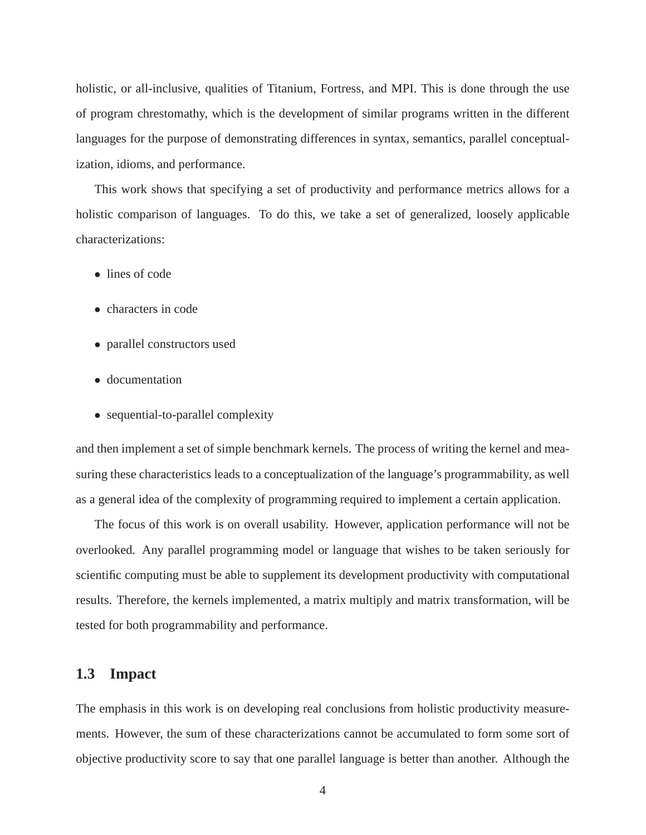holistic, or all-inclusive, qualities of Titanium, Fortress, and MPI. This is done through the use of program chrestomathy, which is the development of similar programs written in the different languages for the purpose of demonstrating differences in syntax, semantics, parallel conceptualization, idioms, and performance.

This work shows that specifying a set of productivity and performance metrics allows for a holistic comparison of languages. To do this, we take a set of generalized, loosely applicable characterizations:

- lines of code
- characters in code
- parallel constructors used
- documentation
- sequential-to-parallel complexity

and then implement a set of simple benchmark kernels. The process of writing the kernel and measuring these characteristics leads to a conceptualization of the language's programmability, as well as a general idea of the complexity of programming required to implement a certain application.

The focus of this work is on overall usability. However, application performance will not be overlooked. Any parallel programming model or language that wishes to be taken seriously for scientific computing must be able to supplement its development productivity with computational results. Therefore, the kernels implemented, a matrix multiply and matrix transformation, will be tested for both programmability and performance.

#### **1.3 Impact**

The emphasis in this work is on developing real conclusions from holistic productivity measurements. However, the sum of these characterizations cannot be accumulated to form some sort of objective productivity score to say that one parallel language is better than another. Although the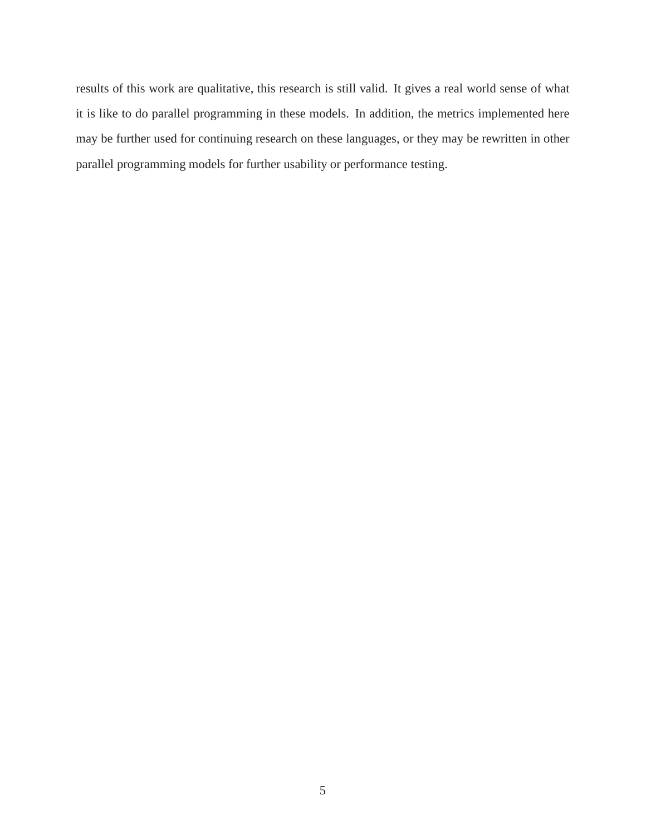results of this work are qualitative, this research is still valid. It gives a real world sense of what it is like to do parallel programming in these models. In addition, the metrics implemented here may be further used for continuing research on these languages, or they may be rewritten in other parallel programming models for further usability or performance testing.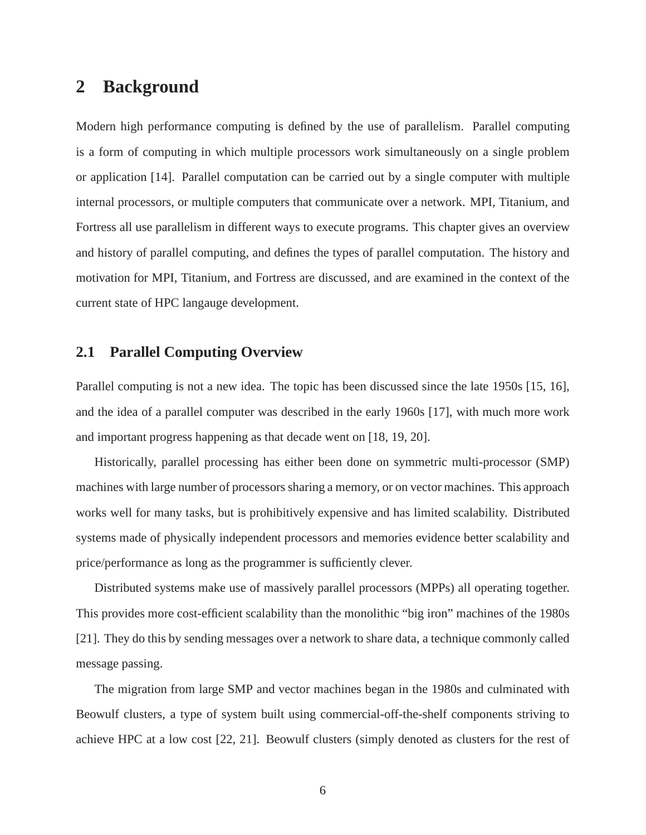### **2 Background**

Modern high performance computing is defined by the use of parallelism. Parallel computing is a form of computing in which multiple processors work simultaneously on a single problem or application [14]. Parallel computation can be carried out by a single computer with multiple internal processors, or multiple computers that communicate over a network. MPI, Titanium, and Fortress all use parallelism in different ways to execute programs. This chapter gives an overview and history of parallel computing, and defines the types of parallel computation. The history and motivation for MPI, Titanium, and Fortress are discussed, and are examined in the context of the current state of HPC langauge development.

### **2.1 Parallel Computing Overview**

Parallel computing is not a new idea. The topic has been discussed since the late 1950s [15, 16], and the idea of a parallel computer was described in the early 1960s [17], with much more work and important progress happening as that decade went on [18, 19, 20].

Historically, parallel processing has either been done on symmetric multi-processor (SMP) machines with large number of processors sharing a memory, or on vector machines. This approach works well for many tasks, but is prohibitively expensive and has limited scalability. Distributed systems made of physically independent processors and memories evidence better scalability and price/performance as long as the programmer is sufficiently clever.

Distributed systems make use of massively parallel processors (MPPs) all operating together. This provides more cost-efficient scalability than the monolithic "big iron" machines of the 1980s [21]. They do this by sending messages over a network to share data, a technique commonly called message passing.

The migration from large SMP and vector machines began in the 1980s and culminated with Beowulf clusters, a type of system built using commercial-off-the-shelf components striving to achieve HPC at a low cost [22, 21]. Beowulf clusters (simply denoted as clusters for the rest of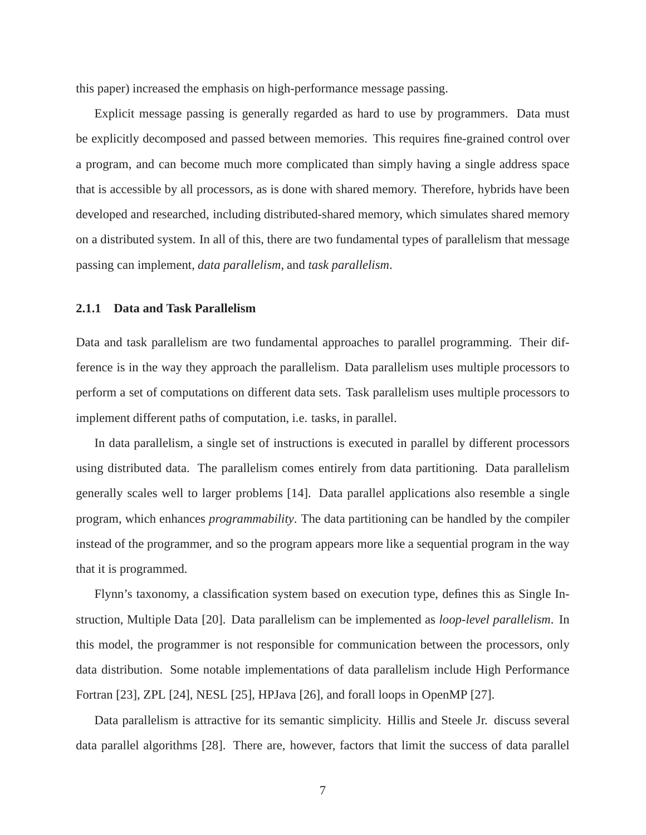this paper) increased the emphasis on high-performance message passing.

Explicit message passing is generally regarded as hard to use by programmers. Data must be explicitly decomposed and passed between memories. This requires fine-grained control over a program, and can become much more complicated than simply having a single address space that is accessible by all processors, as is done with shared memory. Therefore, hybrids have been developed and researched, including distributed-shared memory, which simulates shared memory on a distributed system. In all of this, there are two fundamental types of parallelism that message passing can implement, *data parallelism*, and *task parallelism*.

#### **2.1.1 Data and Task Parallelism**

Data and task parallelism are two fundamental approaches to parallel programming. Their difference is in the way they approach the parallelism. Data parallelism uses multiple processors to perform a set of computations on different data sets. Task parallelism uses multiple processors to implement different paths of computation, i.e. tasks, in parallel.

In data parallelism, a single set of instructions is executed in parallel by different processors using distributed data. The parallelism comes entirely from data partitioning. Data parallelism generally scales well to larger problems [14]. Data parallel applications also resemble a single program, which enhances *programmability*. The data partitioning can be handled by the compiler instead of the programmer, and so the program appears more like a sequential program in the way that it is programmed.

Flynn's taxonomy, a classification system based on execution type, defines this as Single Instruction, Multiple Data [20]. Data parallelism can be implemented as *loop-level parallelism*. In this model, the programmer is not responsible for communication between the processors, only data distribution. Some notable implementations of data parallelism include High Performance Fortran [23], ZPL [24], NESL [25], HPJava [26], and forall loops in OpenMP [27].

Data parallelism is attractive for its semantic simplicity. Hillis and Steele Jr. discuss several data parallel algorithms [28]. There are, however, factors that limit the success of data parallel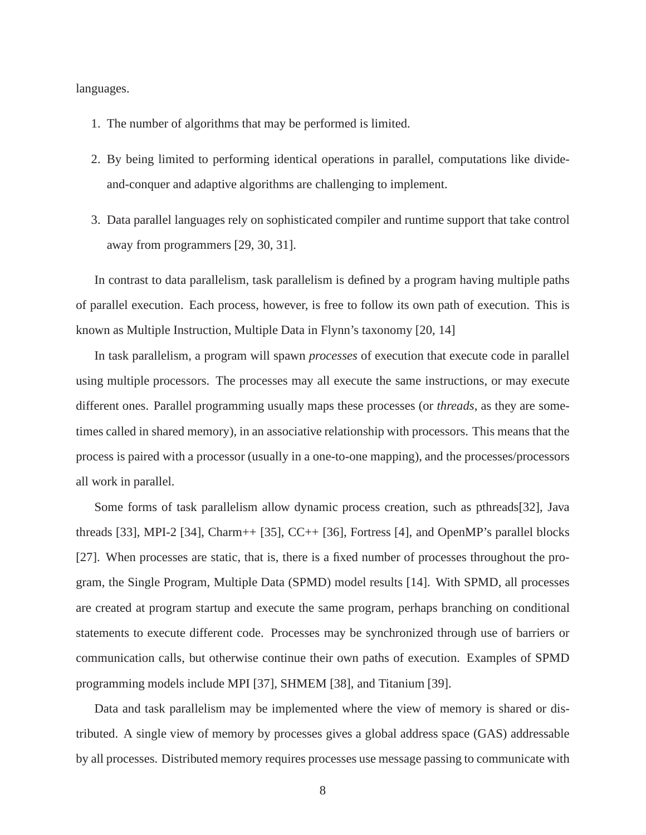languages.

- 1. The number of algorithms that may be performed is limited.
- 2. By being limited to performing identical operations in parallel, computations like divideand-conquer and adaptive algorithms are challenging to implement.
- 3. Data parallel languages rely on sophisticated compiler and runtime support that take control away from programmers [29, 30, 31].

In contrast to data parallelism, task parallelism is defined by a program having multiple paths of parallel execution. Each process, however, is free to follow its own path of execution. This is known as Multiple Instruction, Multiple Data in Flynn's taxonomy [20, 14]

In task parallelism, a program will spawn *processes* of execution that execute code in parallel using multiple processors. The processes may all execute the same instructions, or may execute different ones. Parallel programming usually maps these processes (or *threads*, as they are sometimes called in shared memory), in an associative relationship with processors. This means that the process is paired with a processor (usually in a one-to-one mapping), and the processes/processors all work in parallel.

Some forms of task parallelism allow dynamic process creation, such as pthreads[32], Java threads [33], MPI-2 [34], Charm++ [35], CC++ [36], Fortress [4], and OpenMP's parallel blocks [27]. When processes are static, that is, there is a fixed number of processes throughout the program, the Single Program, Multiple Data (SPMD) model results [14]. With SPMD, all processes are created at program startup and execute the same program, perhaps branching on conditional statements to execute different code. Processes may be synchronized through use of barriers or communication calls, but otherwise continue their own paths of execution. Examples of SPMD programming models include MPI [37], SHMEM [38], and Titanium [39].

Data and task parallelism may be implemented where the view of memory is shared or distributed. A single view of memory by processes gives a global address space (GAS) addressable by all processes. Distributed memory requires processes use message passing to communicate with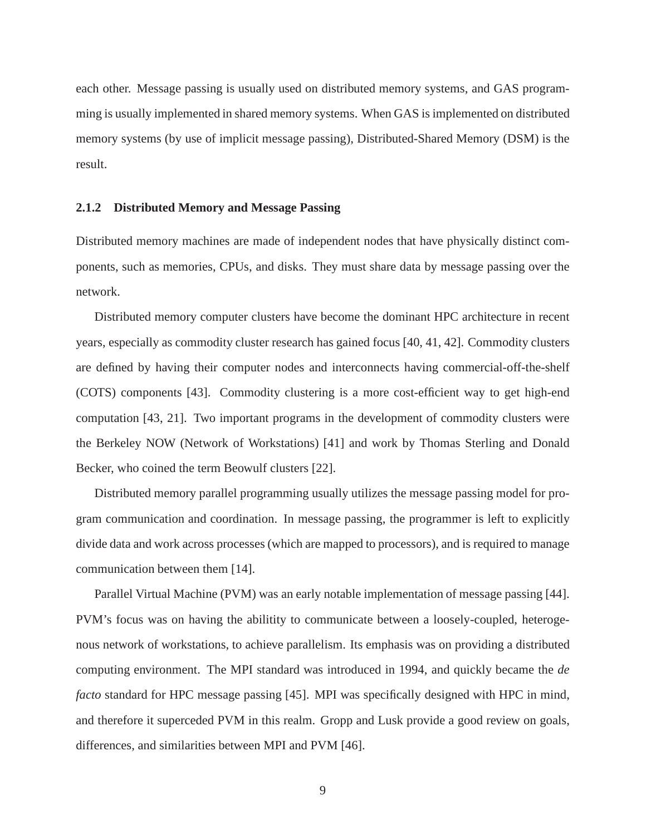each other. Message passing is usually used on distributed memory systems, and GAS programming is usually implemented in shared memory systems. When GAS is implemented on distributed memory systems (by use of implicit message passing), Distributed-Shared Memory (DSM) is the result.

#### **2.1.2 Distributed Memory and Message Passing**

Distributed memory machines are made of independent nodes that have physically distinct components, such as memories, CPUs, and disks. They must share data by message passing over the network.

Distributed memory computer clusters have become the dominant HPC architecture in recent years, especially as commodity cluster research has gained focus [40, 41, 42]. Commodity clusters are defined by having their computer nodes and interconnects having commercial-off-the-shelf (COTS) components [43]. Commodity clustering is a more cost-efficient way to get high-end computation [43, 21]. Two important programs in the development of commodity clusters were the Berkeley NOW (Network of Workstations) [41] and work by Thomas Sterling and Donald Becker, who coined the term Beowulf clusters [22].

Distributed memory parallel programming usually utilizes the message passing model for program communication and coordination. In message passing, the programmer is left to explicitly divide data and work across processes (which are mapped to processors), and is required to manage communication between them [14].

Parallel Virtual Machine (PVM) was an early notable implementation of message passing [44]. PVM's focus was on having the abilitity to communicate between a loosely-coupled, heterogenous network of workstations, to achieve parallelism. Its emphasis was on providing a distributed computing environment. The MPI standard was introduced in 1994, and quickly became the *de facto* standard for HPC message passing [45]. MPI was specifically designed with HPC in mind, and therefore it superceded PVM in this realm. Gropp and Lusk provide a good review on goals, differences, and similarities between MPI and PVM [46].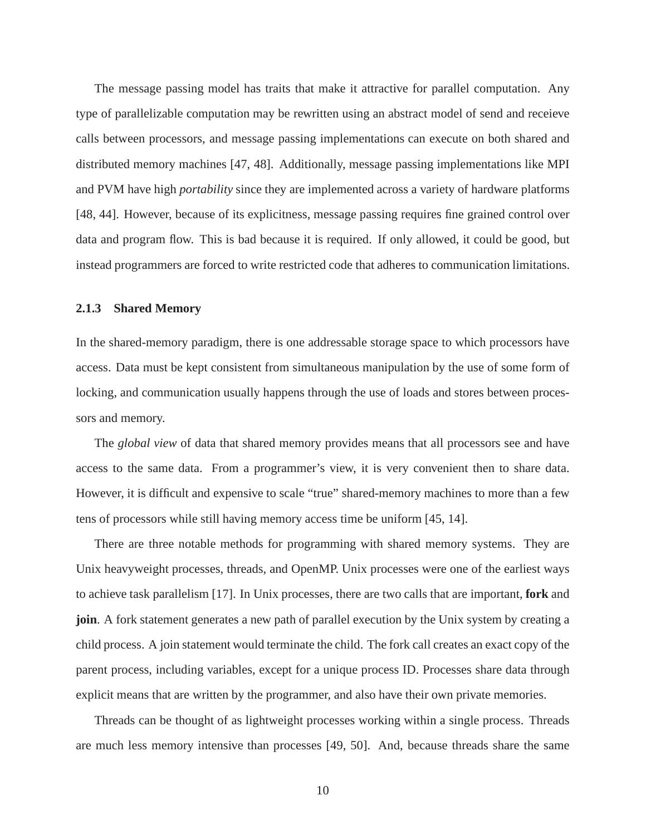The message passing model has traits that make it attractive for parallel computation. Any type of parallelizable computation may be rewritten using an abstract model of send and receieve calls between processors, and message passing implementations can execute on both shared and distributed memory machines [47, 48]. Additionally, message passing implementations like MPI and PVM have high *portability* since they are implemented across a variety of hardware platforms [48, 44]. However, because of its explicitness, message passing requires fine grained control over data and program flow. This is bad because it is required. If only allowed, it could be good, but instead programmers are forced to write restricted code that adheres to communication limitations.

#### **2.1.3 Shared Memory**

In the shared-memory paradigm, there is one addressable storage space to which processors have access. Data must be kept consistent from simultaneous manipulation by the use of some form of locking, and communication usually happens through the use of loads and stores between processors and memory.

The *global view* of data that shared memory provides means that all processors see and have access to the same data. From a programmer's view, it is very convenient then to share data. However, it is difficult and expensive to scale "true" shared-memory machines to more than a few tens of processors while still having memory access time be uniform [45, 14].

There are three notable methods for programming with shared memory systems. They are Unix heavyweight processes, threads, and OpenMP. Unix processes were one of the earliest ways to achieve task parallelism [17]. In Unix processes, there are two calls that are important, **fork** and **join**. A fork statement generates a new path of parallel execution by the Unix system by creating a child process. A join statement would terminate the child. The fork call creates an exact copy of the parent process, including variables, except for a unique process ID. Processes share data through explicit means that are written by the programmer, and also have their own private memories.

Threads can be thought of as lightweight processes working within a single process. Threads are much less memory intensive than processes [49, 50]. And, because threads share the same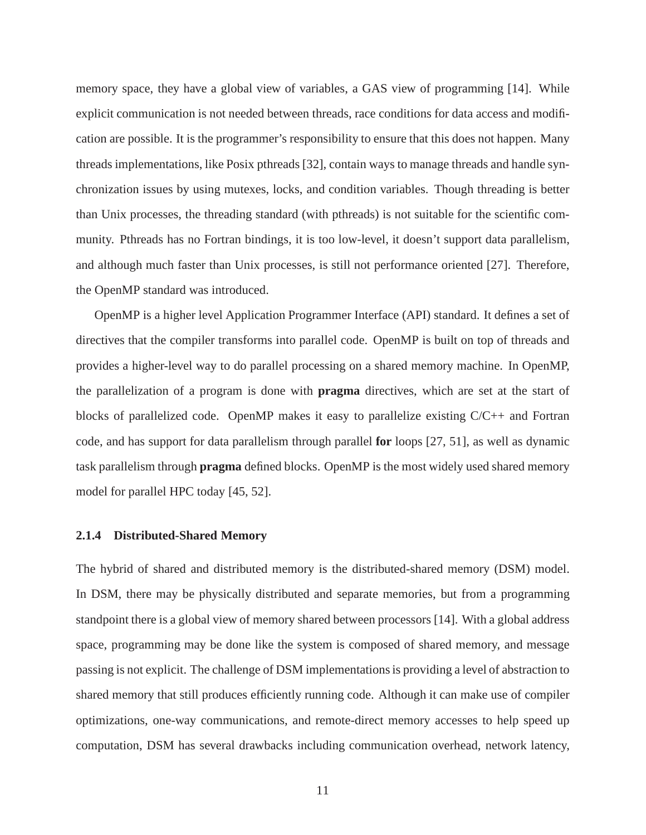memory space, they have a global view of variables, a GAS view of programming [14]. While explicit communication is not needed between threads, race conditions for data access and modification are possible. It is the programmer's responsibility to ensure that this does not happen. Many threads implementations, like Posix pthreads [32], contain ways to manage threads and handle synchronization issues by using mutexes, locks, and condition variables. Though threading is better than Unix processes, the threading standard (with pthreads) is not suitable for the scientific community. Pthreads has no Fortran bindings, it is too low-level, it doesn't support data parallelism, and although much faster than Unix processes, is still not performance oriented [27]. Therefore, the OpenMP standard was introduced.

OpenMP is a higher level Application Programmer Interface (API) standard. It defines a set of directives that the compiler transforms into parallel code. OpenMP is built on top of threads and provides a higher-level way to do parallel processing on a shared memory machine. In OpenMP, the parallelization of a program is done with **pragma** directives, which are set at the start of blocks of parallelized code. OpenMP makes it easy to parallelize existing C/C++ and Fortran code, and has support for data parallelism through parallel **for** loops [27, 51], as well as dynamic task parallelism through **pragma** defined blocks. OpenMP is the most widely used shared memory model for parallel HPC today [45, 52].

#### **2.1.4 Distributed-Shared Memory**

The hybrid of shared and distributed memory is the distributed-shared memory (DSM) model. In DSM, there may be physically distributed and separate memories, but from a programming standpoint there is a global view of memory shared between processors [14]. With a global address space, programming may be done like the system is composed of shared memory, and message passing is not explicit. The challenge of DSM implementations is providing a level of abstraction to shared memory that still produces efficiently running code. Although it can make use of compiler optimizations, one-way communications, and remote-direct memory accesses to help speed up computation, DSM has several drawbacks including communication overhead, network latency,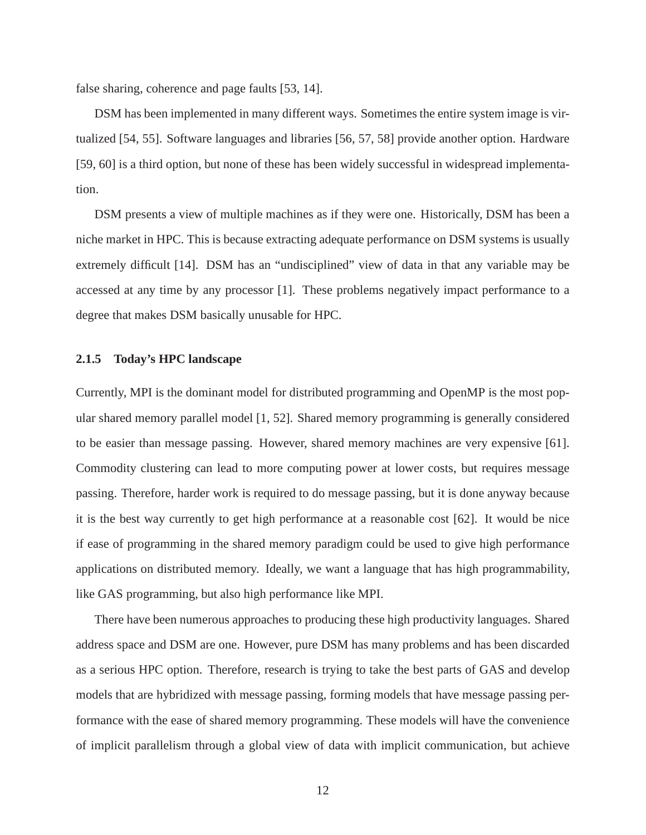false sharing, coherence and page faults [53, 14].

DSM has been implemented in many different ways. Sometimes the entire system image is virtualized [54, 55]. Software languages and libraries [56, 57, 58] provide another option. Hardware [59, 60] is a third option, but none of these has been widely successful in widespread implementation.

DSM presents a view of multiple machines as if they were one. Historically, DSM has been a niche market in HPC. This is because extracting adequate performance on DSM systems is usually extremely difficult [14]. DSM has an "undisciplined" view of data in that any variable may be accessed at any time by any processor [1]. These problems negatively impact performance to a degree that makes DSM basically unusable for HPC.

#### **2.1.5 Today's HPC landscape**

Currently, MPI is the dominant model for distributed programming and OpenMP is the most popular shared memory parallel model [1, 52]. Shared memory programming is generally considered to be easier than message passing. However, shared memory machines are very expensive [61]. Commodity clustering can lead to more computing power at lower costs, but requires message passing. Therefore, harder work is required to do message passing, but it is done anyway because it is the best way currently to get high performance at a reasonable cost [62]. It would be nice if ease of programming in the shared memory paradigm could be used to give high performance applications on distributed memory. Ideally, we want a language that has high programmability, like GAS programming, but also high performance like MPI.

There have been numerous approaches to producing these high productivity languages. Shared address space and DSM are one. However, pure DSM has many problems and has been discarded as a serious HPC option. Therefore, research is trying to take the best parts of GAS and develop models that are hybridized with message passing, forming models that have message passing performance with the ease of shared memory programming. These models will have the convenience of implicit parallelism through a global view of data with implicit communication, but achieve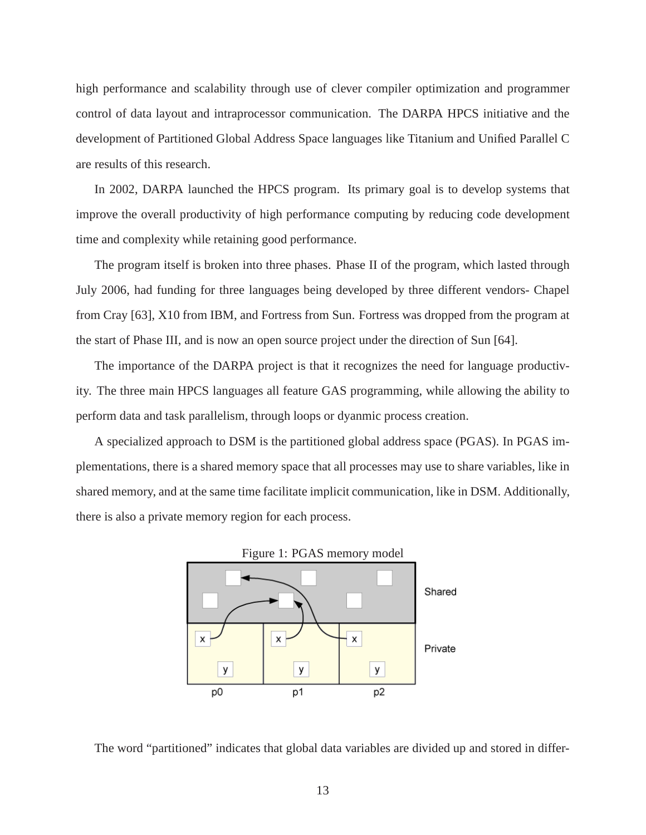high performance and scalability through use of clever compiler optimization and programmer control of data layout and intraprocessor communication. The DARPA HPCS initiative and the development of Partitioned Global Address Space languages like Titanium and Unified Parallel C are results of this research.

In 2002, DARPA launched the HPCS program. Its primary goal is to develop systems that improve the overall productivity of high performance computing by reducing code development time and complexity while retaining good performance.

The program itself is broken into three phases. Phase II of the program, which lasted through July 2006, had funding for three languages being developed by three different vendors- Chapel from Cray [63], X10 from IBM, and Fortress from Sun. Fortress was dropped from the program at the start of Phase III, and is now an open source project under the direction of Sun [64].

The importance of the DARPA project is that it recognizes the need for language productivity. The three main HPCS languages all feature GAS programming, while allowing the ability to perform data and task parallelism, through loops or dyanmic process creation.

A specialized approach to DSM is the partitioned global address space (PGAS). In PGAS implementations, there is a shared memory space that all processes may use to share variables, like in shared memory, and at the same time facilitate implicit communication, like in DSM. Additionally, there is also a private memory region for each process.



The word "partitioned" indicates that global data variables are divided up and stored in differ-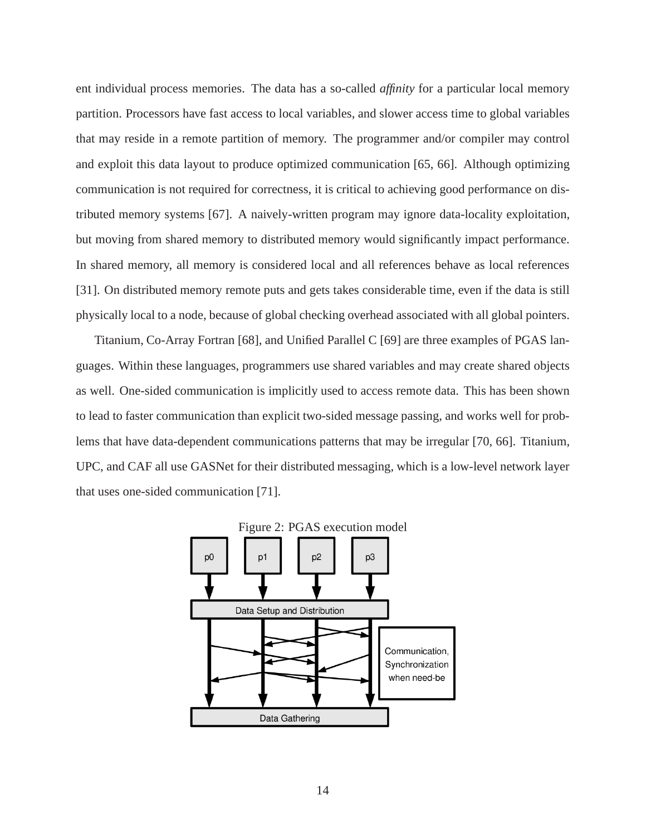ent individual process memories. The data has a so-called *affinity* for a particular local memory partition. Processors have fast access to local variables, and slower access time to global variables that may reside in a remote partition of memory. The programmer and/or compiler may control and exploit this data layout to produce optimized communication [65, 66]. Although optimizing communication is not required for correctness, it is critical to achieving good performance on distributed memory systems [67]. A naively-written program may ignore data-locality exploitation, but moving from shared memory to distributed memory would significantly impact performance. In shared memory, all memory is considered local and all references behave as local references [31]. On distributed memory remote puts and gets takes considerable time, even if the data is still physically local to a node, because of global checking overhead associated with all global pointers.

Titanium, Co-Array Fortran [68], and Unified Parallel C [69] are three examples of PGAS languages. Within these languages, programmers use shared variables and may create shared objects as well. One-sided communication is implicitly used to access remote data. This has been shown to lead to faster communication than explicit two-sided message passing, and works well for problems that have data-dependent communications patterns that may be irregular [70, 66]. Titanium, UPC, and CAF all use GASNet for their distributed messaging, which is a low-level network layer that uses one-sided communication [71].

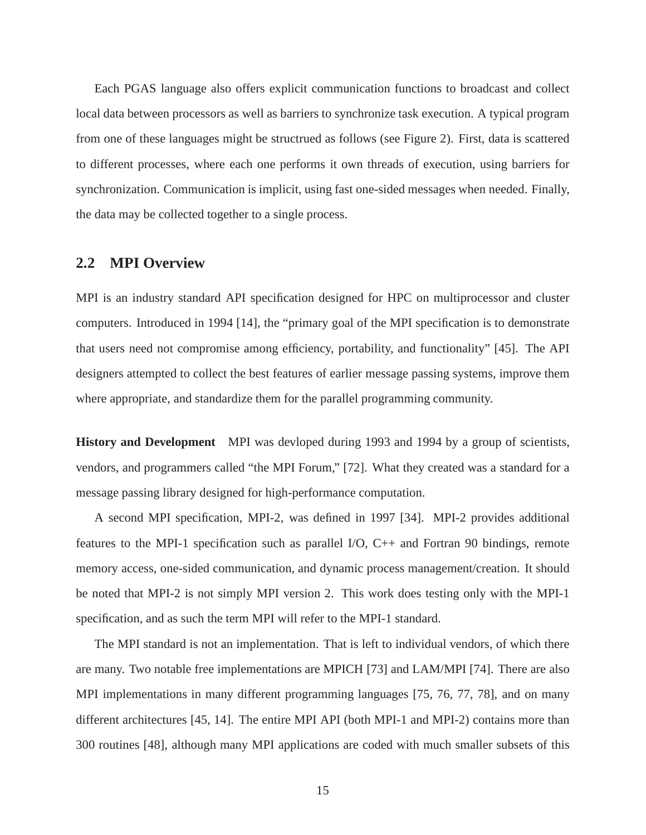Each PGAS language also offers explicit communication functions to broadcast and collect local data between processors as well as barriers to synchronize task execution. A typical program from one of these languages might be structrued as follows (see Figure 2). First, data is scattered to different processes, where each one performs it own threads of execution, using barriers for synchronization. Communication is implicit, using fast one-sided messages when needed. Finally, the data may be collected together to a single process.

#### **2.2 MPI Overview**

MPI is an industry standard API specification designed for HPC on multiprocessor and cluster computers. Introduced in 1994 [14], the "primary goal of the MPI specification is to demonstrate that users need not compromise among efficiency, portability, and functionality" [45]. The API designers attempted to collect the best features of earlier message passing systems, improve them where appropriate, and standardize them for the parallel programming community.

**History and Development** MPI was devloped during 1993 and 1994 by a group of scientists, vendors, and programmers called "the MPI Forum," [72]. What they created was a standard for a message passing library designed for high-performance computation.

A second MPI specification, MPI-2, was defined in 1997 [34]. MPI-2 provides additional features to the MPI-1 specification such as parallel I/O,  $C_{++}$  and Fortran 90 bindings, remote memory access, one-sided communication, and dynamic process management/creation. It should be noted that MPI-2 is not simply MPI version 2. This work does testing only with the MPI-1 specification, and as such the term MPI will refer to the MPI-1 standard.

The MPI standard is not an implementation. That is left to individual vendors, of which there are many. Two notable free implementations are MPICH [73] and LAM/MPI [74]. There are also MPI implementations in many different programming languages [75, 76, 77, 78], and on many different architectures [45, 14]. The entire MPI API (both MPI-1 and MPI-2) contains more than 300 routines [48], although many MPI applications are coded with much smaller subsets of this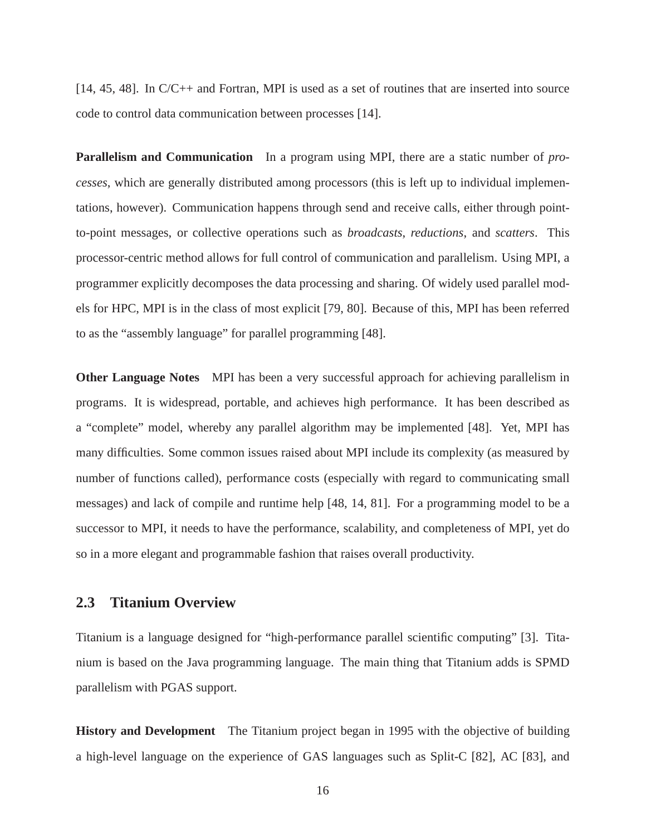[14, 45, 48]. In C/C++ and Fortran, MPI is used as a set of routines that are inserted into source code to control data communication between processes [14].

**Parallelism and Communication** In a program using MPI, there are a static number of *processes*, which are generally distributed among processors (this is left up to individual implementations, however). Communication happens through send and receive calls, either through pointto-point messages, or collective operations such as *broadcasts*, *reductions*, and *scatters*. This processor-centric method allows for full control of communication and parallelism. Using MPI, a programmer explicitly decomposes the data processing and sharing. Of widely used parallel models for HPC, MPI is in the class of most explicit [79, 80]. Because of this, MPI has been referred to as the "assembly language" for parallel programming [48].

**Other Language Notes** MPI has been a very successful approach for achieving parallelism in programs. It is widespread, portable, and achieves high performance. It has been described as a "complete" model, whereby any parallel algorithm may be implemented [48]. Yet, MPI has many difficulties. Some common issues raised about MPI include its complexity (as measured by number of functions called), performance costs (especially with regard to communicating small messages) and lack of compile and runtime help [48, 14, 81]. For a programming model to be a successor to MPI, it needs to have the performance, scalability, and completeness of MPI, yet do so in a more elegant and programmable fashion that raises overall productivity.

#### **2.3 Titanium Overview**

Titanium is a language designed for "high-performance parallel scientific computing" [3]. Titanium is based on the Java programming language. The main thing that Titanium adds is SPMD parallelism with PGAS support.

**History and Development** The Titanium project began in 1995 with the objective of building a high-level language on the experience of GAS languages such as Split-C [82], AC [83], and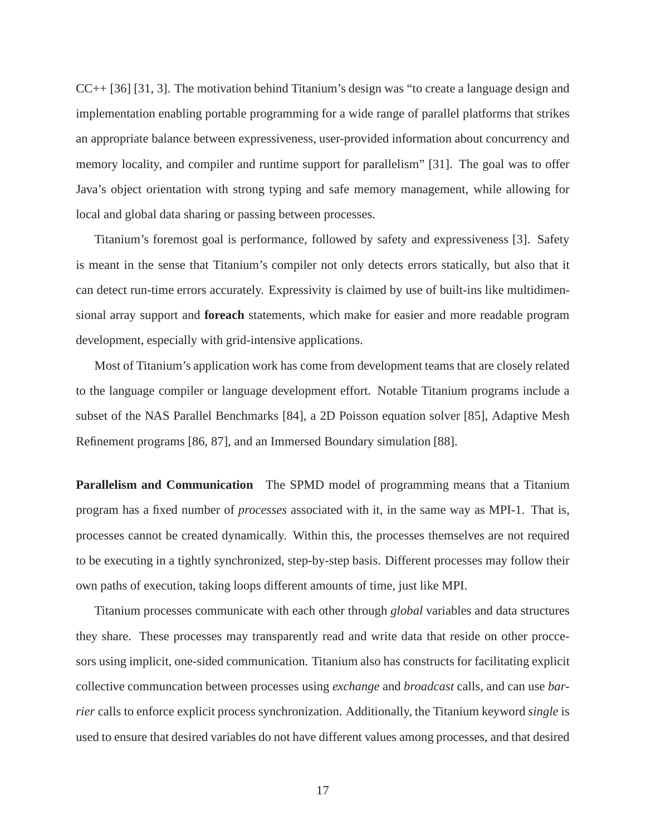CC++ [36] [31, 3]. The motivation behind Titanium's design was "to create a language design and implementation enabling portable programming for a wide range of parallel platforms that strikes an appropriate balance between expressiveness, user-provided information about concurrency and memory locality, and compiler and runtime support for parallelism" [31]. The goal was to offer Java's object orientation with strong typing and safe memory management, while allowing for local and global data sharing or passing between processes.

Titanium's foremost goal is performance, followed by safety and expressiveness [3]. Safety is meant in the sense that Titanium's compiler not only detects errors statically, but also that it can detect run-time errors accurately. Expressivity is claimed by use of built-ins like multidimensional array support and **foreach** statements, which make for easier and more readable program development, especially with grid-intensive applications.

Most of Titanium's application work has come from development teams that are closely related to the language compiler or language development effort. Notable Titanium programs include a subset of the NAS Parallel Benchmarks [84], a 2D Poisson equation solver [85], Adaptive Mesh Refinement programs [86, 87], and an Immersed Boundary simulation [88].

**Parallelism and Communication** The SPMD model of programming means that a Titanium program has a fixed number of *processes* associated with it, in the same way as MPI-1. That is, processes cannot be created dynamically. Within this, the processes themselves are not required to be executing in a tightly synchronized, step-by-step basis. Different processes may follow their own paths of execution, taking loops different amounts of time, just like MPI.

Titanium processes communicate with each other through *global* variables and data structures they share. These processes may transparently read and write data that reside on other proccesors using implicit, one-sided communication. Titanium also has constructs for facilitating explicit collective communcation between processes using *exchange* and *broadcast* calls, and can use *barrier* calls to enforce explicit process synchronization. Additionally, the Titanium keyword *single* is used to ensure that desired variables do not have different values among processes, and that desired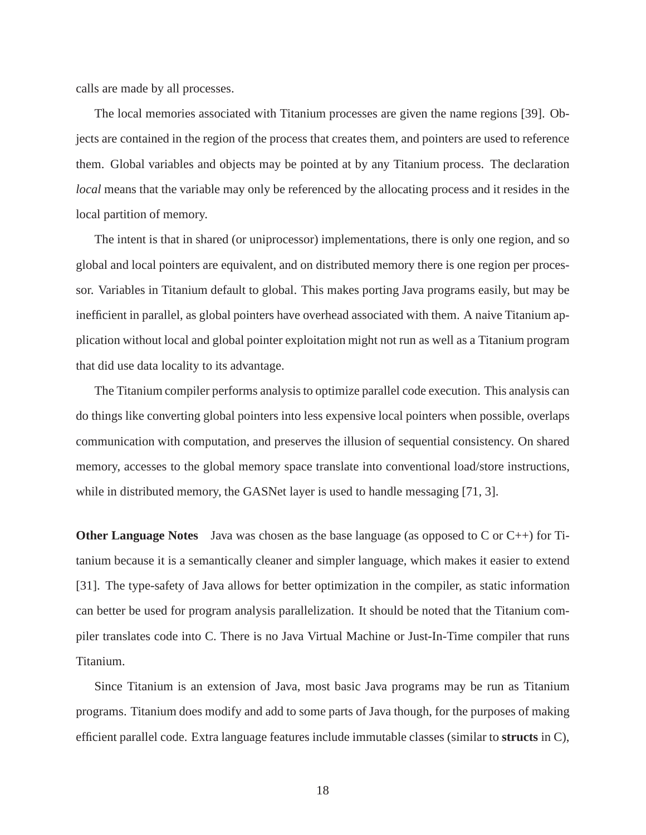calls are made by all processes.

The local memories associated with Titanium processes are given the name regions [39]. Objects are contained in the region of the process that creates them, and pointers are used to reference them. Global variables and objects may be pointed at by any Titanium process. The declaration *local* means that the variable may only be referenced by the allocating process and it resides in the local partition of memory.

The intent is that in shared (or uniprocessor) implementations, there is only one region, and so global and local pointers are equivalent, and on distributed memory there is one region per processor. Variables in Titanium default to global. This makes porting Java programs easily, but may be inefficient in parallel, as global pointers have overhead associated with them. A naive Titanium application without local and global pointer exploitation might not run as well as a Titanium program that did use data locality to its advantage.

The Titanium compiler performs analysis to optimize parallel code execution. This analysis can do things like converting global pointers into less expensive local pointers when possible, overlaps communication with computation, and preserves the illusion of sequential consistency. On shared memory, accesses to the global memory space translate into conventional load/store instructions, while in distributed memory, the GASNet layer is used to handle messaging [71, 3].

**Other Language Notes** Java was chosen as the base language (as opposed to C or C++) for Titanium because it is a semantically cleaner and simpler language, which makes it easier to extend [31]. The type-safety of Java allows for better optimization in the compiler, as static information can better be used for program analysis parallelization. It should be noted that the Titanium compiler translates code into C. There is no Java Virtual Machine or Just-In-Time compiler that runs Titanium.

Since Titanium is an extension of Java, most basic Java programs may be run as Titanium programs. Titanium does modify and add to some parts of Java though, for the purposes of making efficient parallel code. Extra language features include immutable classes (similar to **structs** in C),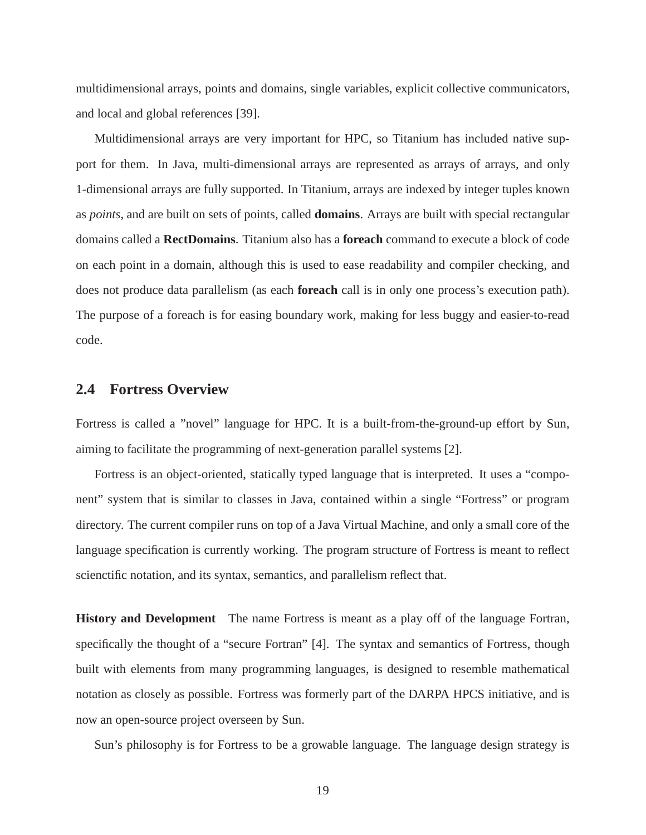multidimensional arrays, points and domains, single variables, explicit collective communicators, and local and global references [39].

Multidimensional arrays are very important for HPC, so Titanium has included native support for them. In Java, multi-dimensional arrays are represented as arrays of arrays, and only 1-dimensional arrays are fully supported. In Titanium, arrays are indexed by integer tuples known as *points*, and are built on sets of points, called **domains**. Arrays are built with special rectangular domains called a **RectDomains**. Titanium also has a **foreach** command to execute a block of code on each point in a domain, although this is used to ease readability and compiler checking, and does not produce data parallelism (as each **foreach** call is in only one process's execution path). The purpose of a foreach is for easing boundary work, making for less buggy and easier-to-read code.

#### **2.4 Fortress Overview**

Fortress is called a "novel" language for HPC. It is a built-from-the-ground-up effort by Sun, aiming to facilitate the programming of next-generation parallel systems [2].

Fortress is an object-oriented, statically typed language that is interpreted. It uses a "component" system that is similar to classes in Java, contained within a single "Fortress" or program directory. The current compiler runs on top of a Java Virtual Machine, and only a small core of the language specification is currently working. The program structure of Fortress is meant to reflect scienctific notation, and its syntax, semantics, and parallelism reflect that.

**History and Development** The name Fortress is meant as a play off of the language Fortran, specifically the thought of a "secure Fortran" [4]. The syntax and semantics of Fortress, though built with elements from many programming languages, is designed to resemble mathematical notation as closely as possible. Fortress was formerly part of the DARPA HPCS initiative, and is now an open-source project overseen by Sun.

Sun's philosophy is for Fortress to be a growable language. The language design strategy is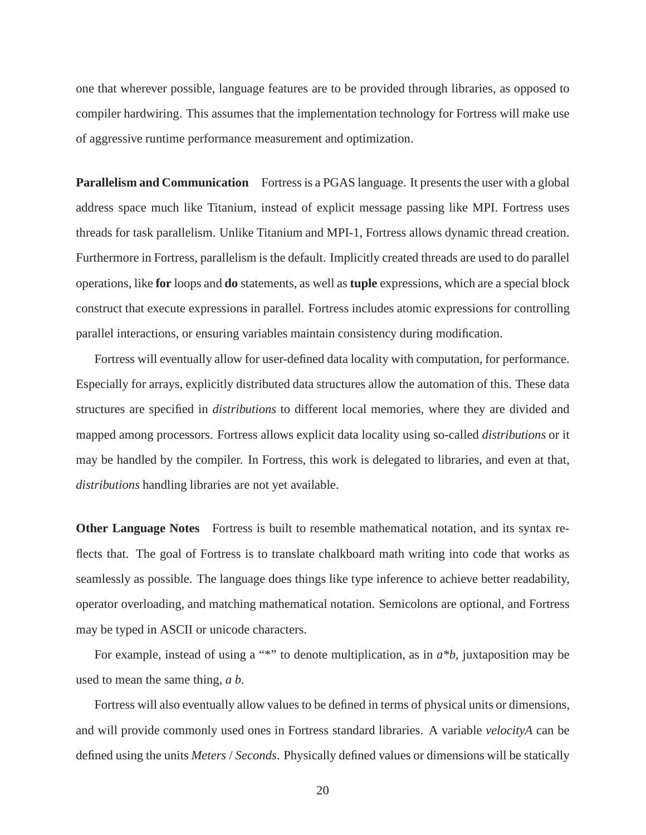one that wherever possible, language features are to be provided through libraries, as opposed to compiler hardwiring. This assumes that the implementation technology for Fortress will make use of aggressive runtime performance measurement and optimization.

**Parallelism and Communication** Fortress is a PGAS language. It presents the user with a global address space much like Titanium, instead of explicit message passing like MPI. Fortress uses threads for task parallelism. Unlike Titanium and MPI-1, Fortress allows dynamic thread creation. Furthermore in Fortress, parallelism is the default. Implicitly created threads are used to do parallel operations, like **for** loops and **do** statements, as well as **tuple** expressions, which are a special block construct that execute expressions in parallel. Fortress includes atomic expressions for controlling parallel interactions, or ensuring variables maintain consistency during modification.

Fortress will eventually allow for user-defined data locality with computation, for performance. Especially for arrays, explicitly distributed data structures allow the automation of this. These data structures are specified in *distributions* to different local memories, where they are divided and mapped among processors. Fortress allows explicit data locality using so-called *distributions* or it may be handled by the compiler. In Fortress, this work is delegated to libraries, and even at that, *distributions* handling libraries are not yet available.

**Other Language Notes** Fortress is built to resemble mathematical notation, and its syntax reflects that. The goal of Fortress is to translate chalkboard math writing into code that works as seamlessly as possible. The language does things like type inference to achieve better readability, operator overloading, and matching mathematical notation. Semicolons are optional, and Fortress may be typed in ASCII or unicode characters.

For example, instead of using a "\*" to denote multiplication, as in  $a^*b$ , juxtaposition may be used to mean the same thing, *a b*.

Fortress will also eventually allow values to be defined in terms of physical units or dimensions, and will provide commonly used ones in Fortress standard libraries. A variable *velocityA* can be defined using the units *Meters* / *Seconds*. Physically defined values or dimensions will be statically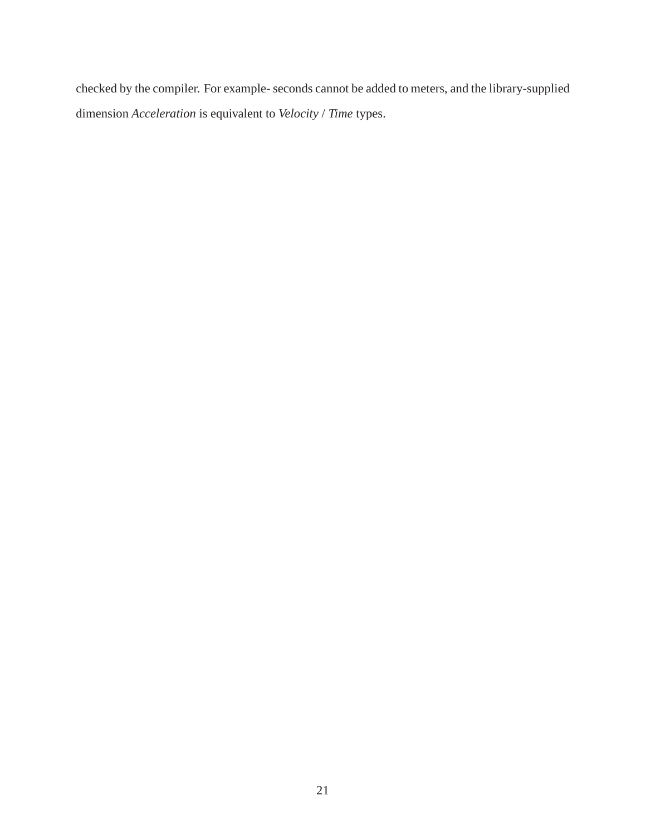checked by the compiler. For example- seconds cannot be added to meters, and the library-supplied dimension *Acceleration* is equivalent to *Velocity* / *Time* types.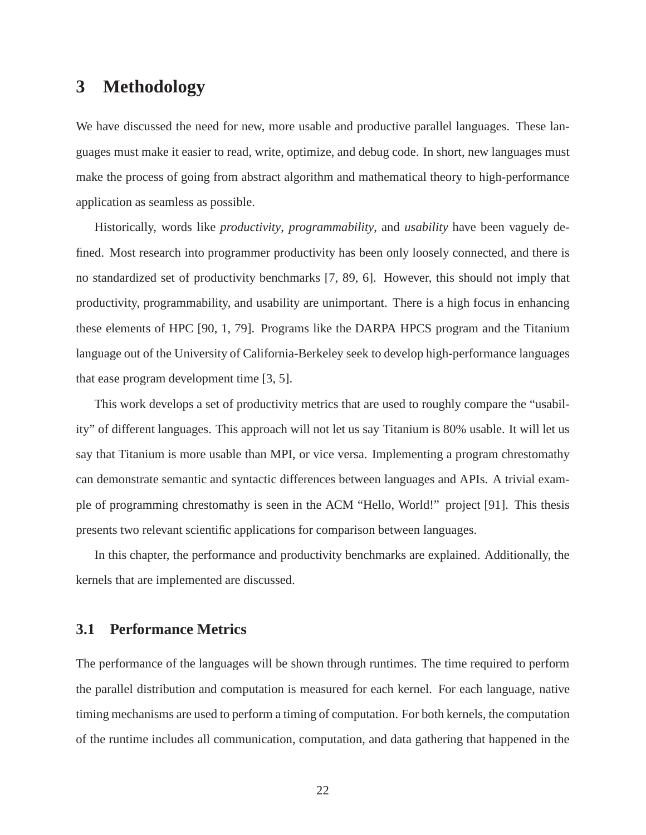## **3 Methodology**

We have discussed the need for new, more usable and productive parallel languages. These languages must make it easier to read, write, optimize, and debug code. In short, new languages must make the process of going from abstract algorithm and mathematical theory to high-performance application as seamless as possible.

Historically, words like *productivity*, *programmability*, and *usability* have been vaguely defined. Most research into programmer productivity has been only loosely connected, and there is no standardized set of productivity benchmarks [7, 89, 6]. However, this should not imply that productivity, programmability, and usability are unimportant. There is a high focus in enhancing these elements of HPC [90, 1, 79]. Programs like the DARPA HPCS program and the Titanium language out of the University of California-Berkeley seek to develop high-performance languages that ease program development time [3, 5].

This work develops a set of productivity metrics that are used to roughly compare the "usability" of different languages. This approach will not let us say Titanium is 80% usable. It will let us say that Titanium is more usable than MPI, or vice versa. Implementing a program chrestomathy can demonstrate semantic and syntactic differences between languages and APIs. A trivial example of programming chrestomathy is seen in the ACM "Hello, World!" project [91]. This thesis presents two relevant scientific applications for comparison between languages.

In this chapter, the performance and productivity benchmarks are explained. Additionally, the kernels that are implemented are discussed.

#### **3.1 Performance Metrics**

The performance of the languages will be shown through runtimes. The time required to perform the parallel distribution and computation is measured for each kernel. For each language, native timing mechanisms are used to perform a timing of computation. For both kernels, the computation of the runtime includes all communication, computation, and data gathering that happened in the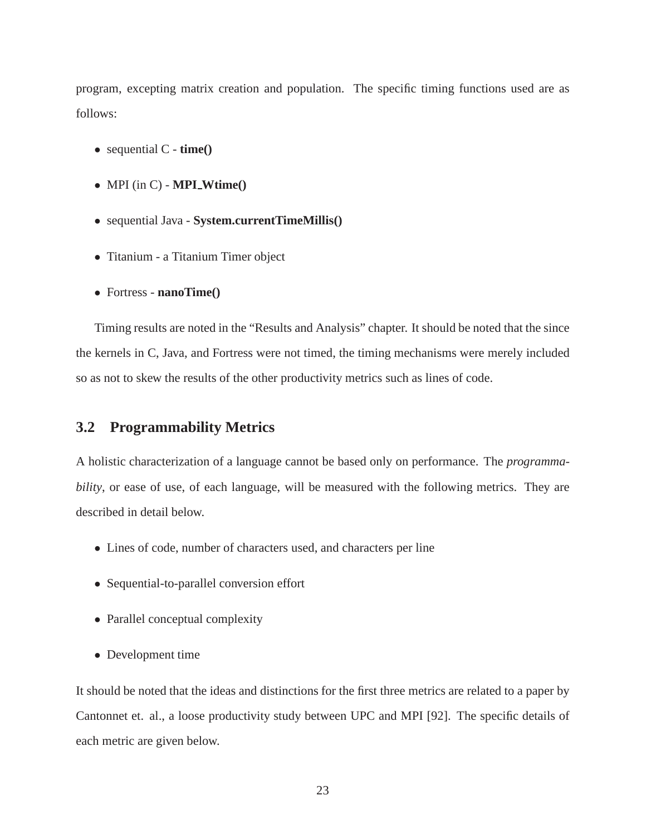program, excepting matrix creation and population. The specific timing functions used are as follows:

- sequential C **time()**
- MPI (in C) **MPI Wtime()**
- sequential Java **System.currentTimeMillis()**
- Titanium a Titanium Timer object
- Fortress **nanoTime()**

Timing results are noted in the "Results and Analysis" chapter. It should be noted that the since the kernels in C, Java, and Fortress were not timed, the timing mechanisms were merely included so as not to skew the results of the other productivity metrics such as lines of code.

#### **3.2 Programmability Metrics**

A holistic characterization of a language cannot be based only on performance. The *programmability*, or ease of use, of each language, will be measured with the following metrics. They are described in detail below.

- Lines of code, number of characters used, and characters per line
- Sequential-to-parallel conversion effort
- Parallel conceptual complexity
- Development time

It should be noted that the ideas and distinctions for the first three metrics are related to a paper by Cantonnet et. al., a loose productivity study between UPC and MPI [92]. The specific details of each metric are given below.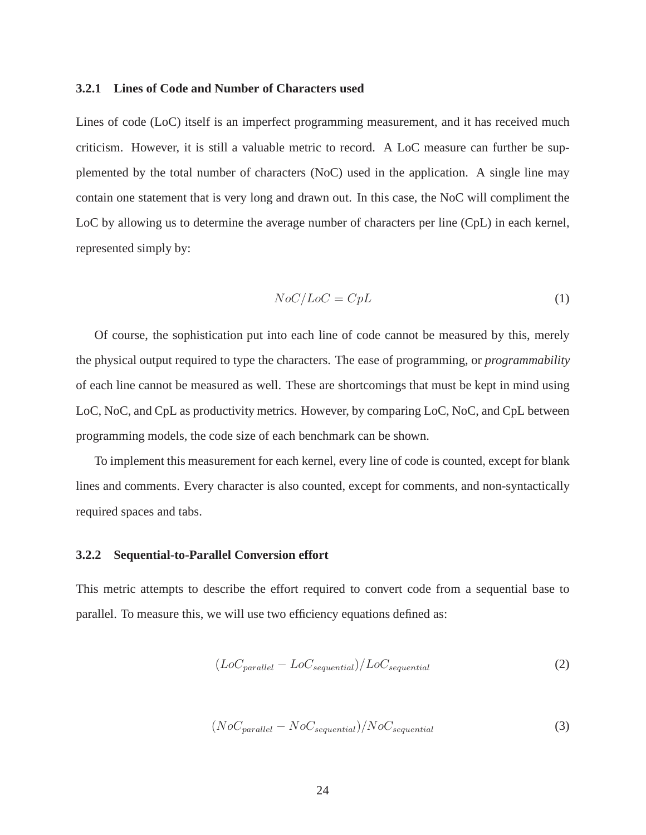#### **3.2.1 Lines of Code and Number of Characters used**

Lines of code (LoC) itself is an imperfect programming measurement, and it has received much criticism. However, it is still a valuable metric to record. A LoC measure can further be supplemented by the total number of characters (NoC) used in the application. A single line may contain one statement that is very long and drawn out. In this case, the NoC will compliment the LoC by allowing us to determine the average number of characters per line (CpL) in each kernel, represented simply by:

$$
NoC/LoC = CpL
$$
 (1)

Of course, the sophistication put into each line of code cannot be measured by this, merely the physical output required to type the characters. The ease of programming, or *programmability* of each line cannot be measured as well. These are shortcomings that must be kept in mind using LoC, NoC, and CpL as productivity metrics. However, by comparing LoC, NoC, and CpL between programming models, the code size of each benchmark can be shown.

To implement this measurement for each kernel, every line of code is counted, except for blank lines and comments. Every character is also counted, except for comments, and non-syntactically required spaces and tabs.

#### **3.2.2 Sequential-to-Parallel Conversion effort**

This metric attempts to describe the effort required to convert code from a sequential base to parallel. To measure this, we will use two efficiency equations defined as:

$$
(LoC_{parallel} - LoC_{sequential})/LoC_{sequential}
$$
 (2)

$$
(NoC_{parallel} - NoC_{sequential})/NoC_{sequential}
$$
 (3)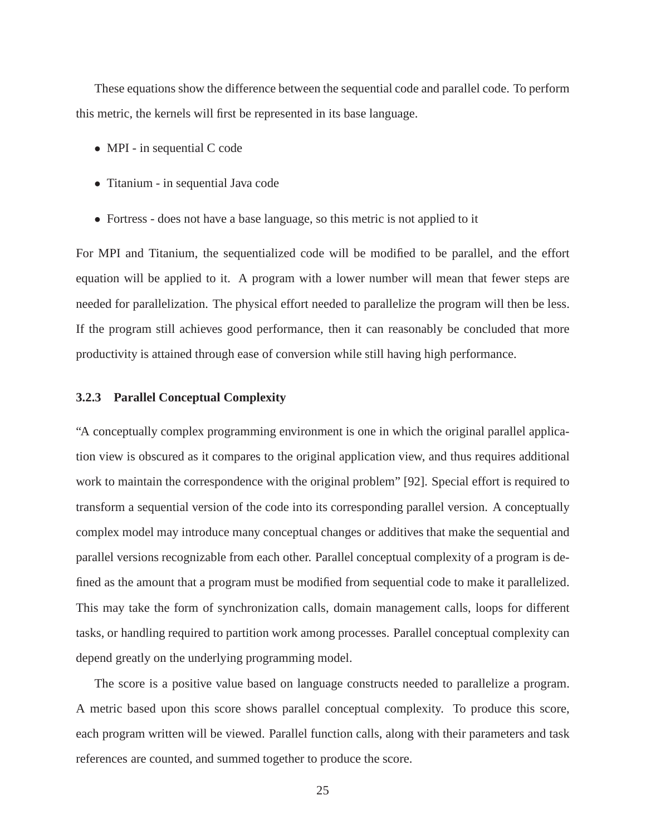These equations show the difference between the sequential code and parallel code. To perform this metric, the kernels will first be represented in its base language.

- MPI in sequential C code
- Titanium in sequential Java code
- Fortress does not have a base language, so this metric is not applied to it

For MPI and Titanium, the sequentialized code will be modified to be parallel, and the effort equation will be applied to it. A program with a lower number will mean that fewer steps are needed for parallelization. The physical effort needed to parallelize the program will then be less. If the program still achieves good performance, then it can reasonably be concluded that more productivity is attained through ease of conversion while still having high performance.

#### **3.2.3 Parallel Conceptual Complexity**

"A conceptually complex programming environment is one in which the original parallel application view is obscured as it compares to the original application view, and thus requires additional work to maintain the correspondence with the original problem" [92]. Special effort is required to transform a sequential version of the code into its corresponding parallel version. A conceptually complex model may introduce many conceptual changes or additives that make the sequential and parallel versions recognizable from each other. Parallel conceptual complexity of a program is defined as the amount that a program must be modified from sequential code to make it parallelized. This may take the form of synchronization calls, domain management calls, loops for different tasks, or handling required to partition work among processes. Parallel conceptual complexity can depend greatly on the underlying programming model.

The score is a positive value based on language constructs needed to parallelize a program. A metric based upon this score shows parallel conceptual complexity. To produce this score, each program written will be viewed. Parallel function calls, along with their parameters and task references are counted, and summed together to produce the score.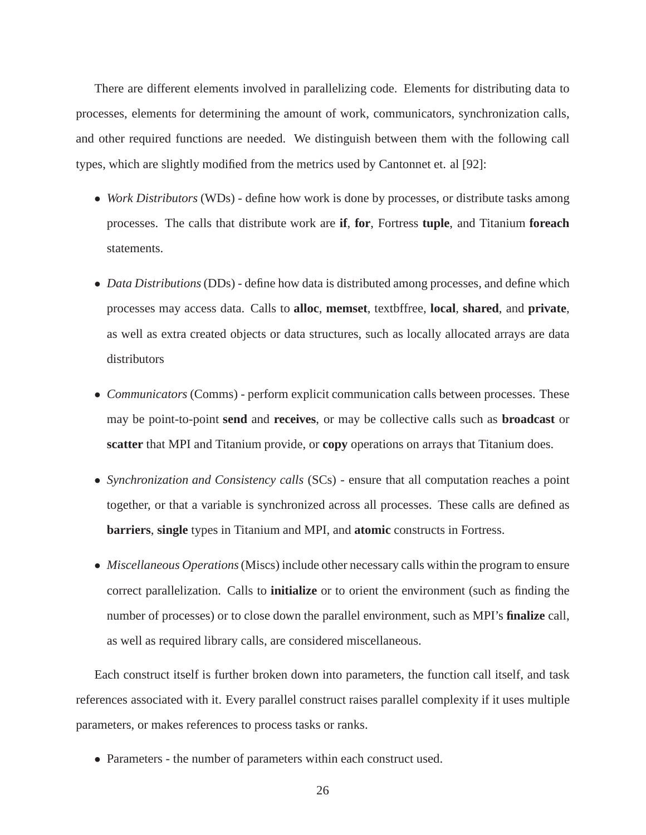There are different elements involved in parallelizing code. Elements for distributing data to processes, elements for determining the amount of work, communicators, synchronization calls, and other required functions are needed. We distinguish between them with the following call types, which are slightly modified from the metrics used by Cantonnet et. al [92]:

- *Work Distributors* (WDs) define how work is done by processes, or distribute tasks among processes. The calls that distribute work are **if**, **for**, Fortress **tuple**, and Titanium **foreach** statements.
- *Data Distributions*(DDs) define how data is distributed among processes, and define which processes may access data. Calls to **alloc**, **memset**, textbffree, **local**, **shared**, and **private**, as well as extra created objects or data structures, such as locally allocated arrays are data distributors
- *Communicators* (Comms) perform explicit communication calls between processes. These may be point-to-point **send** and **receives**, or may be collective calls such as **broadcast** or **scatter** that MPI and Titanium provide, or **copy** operations on arrays that Titanium does.
- *Synchronization and Consistency calls* (SCs) ensure that all computation reaches a point together, or that a variable is synchronized across all processes. These calls are defined as **barriers**, **single** types in Titanium and MPI, and **atomic** constructs in Fortress.
- *Miscellaneous Operations*(Miscs) include other necessary calls within the program to ensure correct parallelization. Calls to **initialize** or to orient the environment (such as finding the number of processes) or to close down the parallel environment, such as MPI's **finalize** call, as well as required library calls, are considered miscellaneous.

Each construct itself is further broken down into parameters, the function call itself, and task references associated with it. Every parallel construct raises parallel complexity if it uses multiple parameters, or makes references to process tasks or ranks.

• Parameters - the number of parameters within each construct used.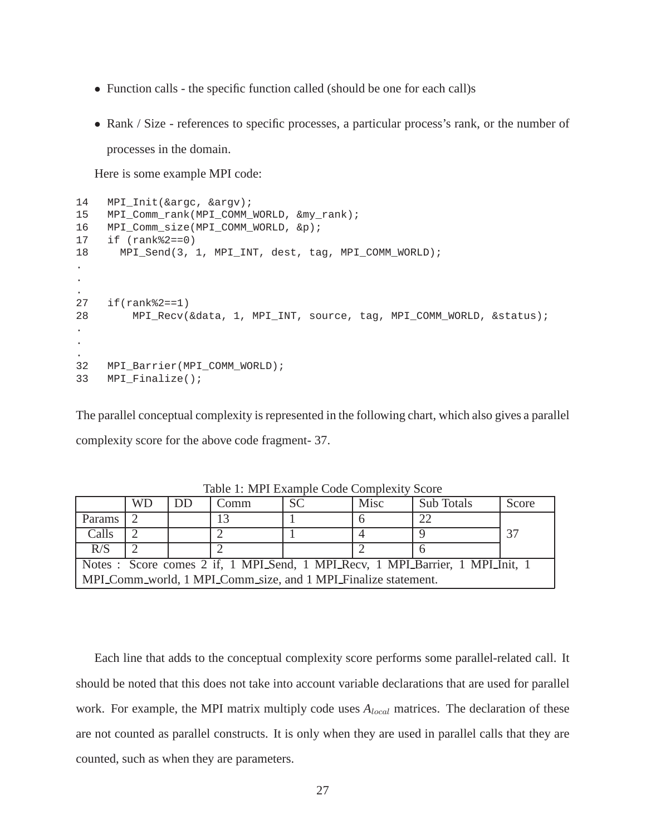- Function calls the specific function called (should be one for each call)s
- Rank / Size references to specific processes, a particular process's rank, or the number of processes in the domain.

Here is some example MPI code:

```
14 MPI_Init(&argc, &argv);
15 MPI_Comm_rank(MPI_COMM_WORLD, &my_rank);
16 MPI Comm size(MPI COMM WORLD, &p);
17 if (rank%2==0)
18 MPI_Send(3, 1, MPI_INT, dest, tag, MPI_COMM_WORLD);
.
.
.
27 if(rank%2==1)
28 MPI_Recv(&data, 1, MPI_INT, source, tag, MPI_COMM_WORLD, &status);
.
.
.
32 MPI_Barrier(MPI_COMM_WORLD);
33 MPI Finalize();
```
The parallel conceptual complexity is represented in the following chart, which also gives a parallel complexity score for the above code fragment- 37.

|                                                                                | <b>WD</b> | DD | Comm | <b>SC</b> | Misc | Sub Totals | Score |  |  |  |
|--------------------------------------------------------------------------------|-----------|----|------|-----------|------|------------|-------|--|--|--|
| Params                                                                         |           |    |      |           |      | $\gamma$ - |       |  |  |  |
| Calls                                                                          |           |    |      |           |      |            | 37    |  |  |  |
| R/S                                                                            |           |    |      |           |      |            |       |  |  |  |
| Notes : Score comes 2 if, 1 MPI_Send, 1 MPI_Recv, 1 MPI_Barrier, 1 MPI_Init, 1 |           |    |      |           |      |            |       |  |  |  |
| MPLComm_world, 1 MPLComm_size, and 1 MPLFinalize statement.                    |           |    |      |           |      |            |       |  |  |  |

Table 1: MPI Example Code Complexity Score

Each line that adds to the conceptual complexity score performs some parallel-related call. It should be noted that this does not take into account variable declarations that are used for parallel work. For example, the MPI matrix multiply code uses  $A_{local}$  matrices. The declaration of these are not counted as parallel constructs. It is only when they are used in parallel calls that they are counted, such as when they are parameters.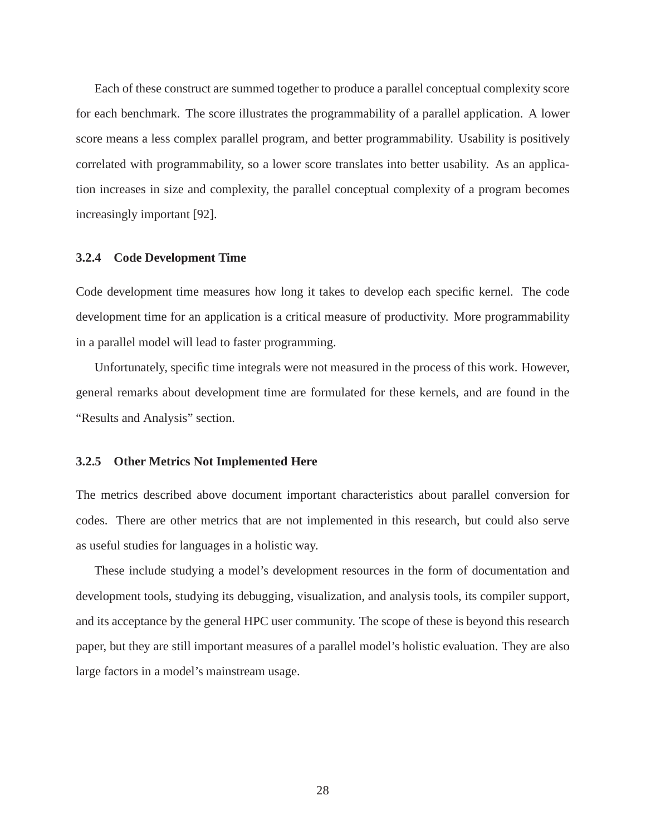Each of these construct are summed together to produce a parallel conceptual complexity score for each benchmark. The score illustrates the programmability of a parallel application. A lower score means a less complex parallel program, and better programmability. Usability is positively correlated with programmability, so a lower score translates into better usability. As an application increases in size and complexity, the parallel conceptual complexity of a program becomes increasingly important [92].

## **3.2.4 Code Development Time**

Code development time measures how long it takes to develop each specific kernel. The code development time for an application is a critical measure of productivity. More programmability in a parallel model will lead to faster programming.

Unfortunately, specific time integrals were not measured in the process of this work. However, general remarks about development time are formulated for these kernels, and are found in the "Results and Analysis" section.

#### **3.2.5 Other Metrics Not Implemented Here**

The metrics described above document important characteristics about parallel conversion for codes. There are other metrics that are not implemented in this research, but could also serve as useful studies for languages in a holistic way.

These include studying a model's development resources in the form of documentation and development tools, studying its debugging, visualization, and analysis tools, its compiler support, and its acceptance by the general HPC user community. The scope of these is beyond this research paper, but they are still important measures of a parallel model's holistic evaluation. They are also large factors in a model's mainstream usage.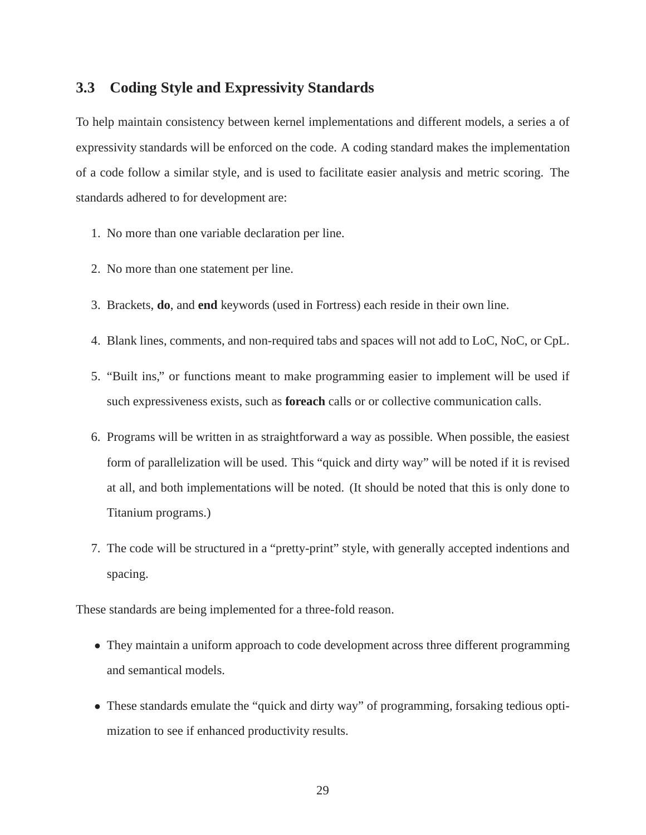# **3.3 Coding Style and Expressivity Standards**

To help maintain consistency between kernel implementations and different models, a series a of expressivity standards will be enforced on the code. A coding standard makes the implementation of a code follow a similar style, and is used to facilitate easier analysis and metric scoring. The standards adhered to for development are:

- 1. No more than one variable declaration per line.
- 2. No more than one statement per line.
- 3. Brackets, **do**, and **end** keywords (used in Fortress) each reside in their own line.
- 4. Blank lines, comments, and non-required tabs and spaces will not add to LoC, NoC, or CpL.
- 5. "Built ins," or functions meant to make programming easier to implement will be used if such expressiveness exists, such as **foreach** calls or or collective communication calls.
- 6. Programs will be written in as straightforward a way as possible. When possible, the easiest form of parallelization will be used. This "quick and dirty way" will be noted if it is revised at all, and both implementations will be noted. (It should be noted that this is only done to Titanium programs.)
- 7. The code will be structured in a "pretty-print" style, with generally accepted indentions and spacing.

These standards are being implemented for a three-fold reason.

- They maintain a uniform approach to code development across three different programming and semantical models.
- These standards emulate the "quick and dirty way" of programming, forsaking tedious optimization to see if enhanced productivity results.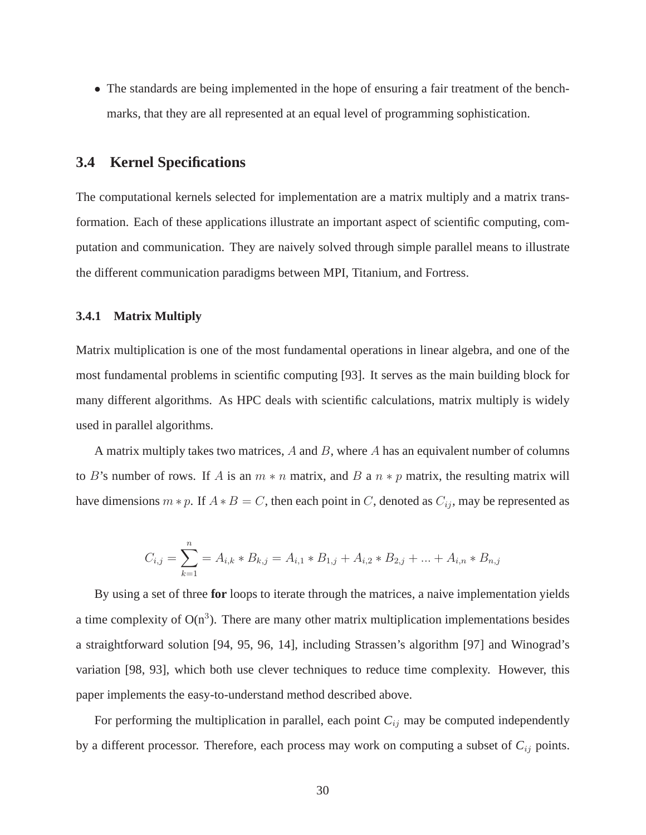• The standards are being implemented in the hope of ensuring a fair treatment of the benchmarks, that they are all represented at an equal level of programming sophistication.

# **3.4 Kernel Specifications**

The computational kernels selected for implementation are a matrix multiply and a matrix transformation. Each of these applications illustrate an important aspect of scientific computing, computation and communication. They are naively solved through simple parallel means to illustrate the different communication paradigms between MPI, Titanium, and Fortress.

## **3.4.1 Matrix Multiply**

Matrix multiplication is one of the most fundamental operations in linear algebra, and one of the most fundamental problems in scientific computing [93]. It serves as the main building block for many different algorithms. As HPC deals with scientific calculations, matrix multiply is widely used in parallel algorithms.

A matrix multiply takes two matrices,  $A$  and  $B$ , where  $A$  has an equivalent number of columns to B's number of rows. If A is an  $m * n$  matrix, and B a  $n * p$  matrix, the resulting matrix will have dimensions  $m * p$ . If  $A * B = C$ , then each point in C, denoted as  $C_{ij}$ , may be represented as

$$
C_{i,j} = \sum_{k=1}^{n} A_{i,k} * B_{k,j} = A_{i,1} * B_{1,j} + A_{i,2} * B_{2,j} + \dots + A_{i,n} * B_{n,j}
$$

By using a set of three **for** loops to iterate through the matrices, a naive implementation yields a time complexity of  $O(n^3)$ . There are many other matrix multiplication implementations besides a straightforward solution [94, 95, 96, 14], including Strassen's algorithm [97] and Winograd's variation [98, 93], which both use clever techniques to reduce time complexity. However, this paper implements the easy-to-understand method described above.

For performing the multiplication in parallel, each point  $C_{ij}$  may be computed independently by a different processor. Therefore, each process may work on computing a subset of *C*ij points.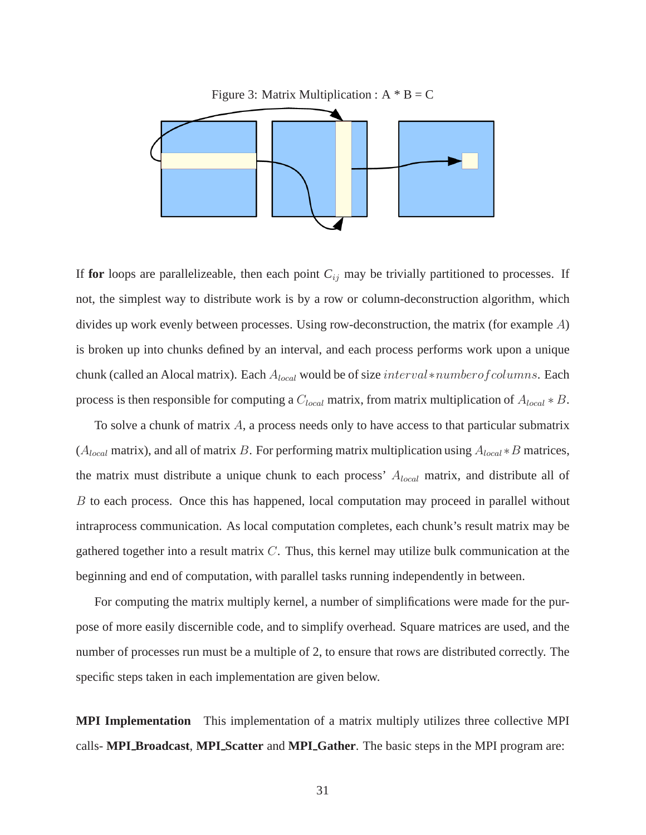

If for loops are parallelizeable, then each point  $C_{ij}$  may be trivially partitioned to processes. If not, the simplest way to distribute work is by a row or column-deconstruction algorithm, which divides up work evenly between processes. Using row-deconstruction, the matrix (for example A) is broken up into chunks defined by an interval, and each process performs work upon a unique chunk (called an Alocal matrix). Each Alocal would be of size interval∗numberofcolumns. Each process is then responsible for computing a  $C_{local}$  matrix, from matrix multiplication of  $A_{local} * B$ .

To solve a chunk of matrix  $A$ , a process needs only to have access to that particular submatrix ( $A_{local}$  matrix), and all of matrix B. For performing matrix multiplication using  $A_{local} * B$  matrices, the matrix must distribute a unique chunk to each process'  $A_{local}$  matrix, and distribute all of B to each process. Once this has happened, local computation may proceed in parallel without intraprocess communication. As local computation completes, each chunk's result matrix may be gathered together into a result matrix  $C$ . Thus, this kernel may utilize bulk communication at the beginning and end of computation, with parallel tasks running independently in between.

For computing the matrix multiply kernel, a number of simplifications were made for the purpose of more easily discernible code, and to simplify overhead. Square matrices are used, and the number of processes run must be a multiple of 2, to ensure that rows are distributed correctly. The specific steps taken in each implementation are given below.

**MPI Implementation** This implementation of a matrix multiply utilizes three collective MPI calls- **MPI Broadcast**, **MPI Scatter** and **MPI Gather**. The basic steps in the MPI program are: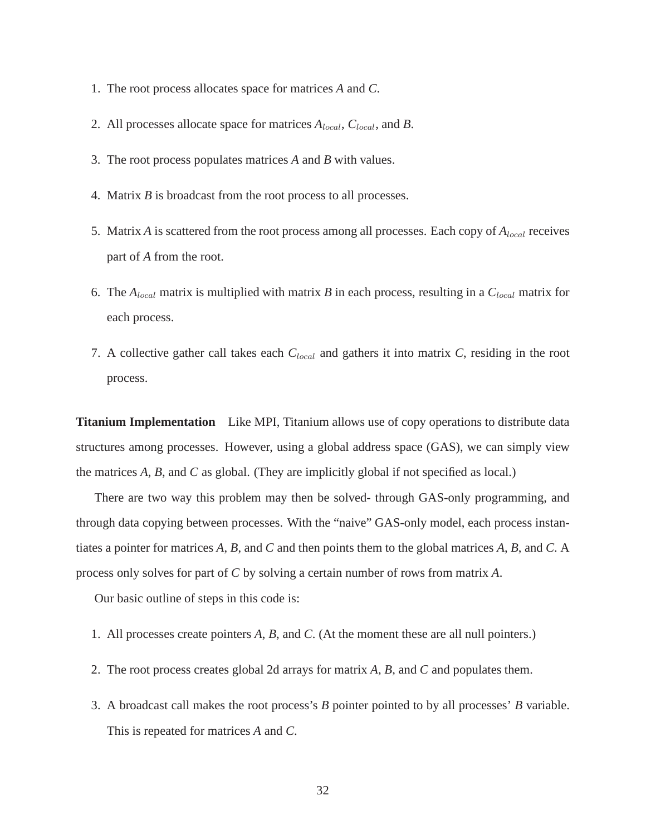- 1. The root process allocates space for matrices *A* and *C*.
- 2. All processes allocate space for matrices *A*local, *C*local, and *B*.
- 3. The root process populates matrices *A* and *B* with values.
- 4. Matrix *B* is broadcast from the root process to all processes.
- 5. Matrix *A* is scattered from the root process among all processes. Each copy of  $A_{local}$  receives part of *A* from the root.
- 6. The *A*local matrix is multiplied with matrix *B* in each process, resulting in a *C*local matrix for each process.
- 7. A collective gather call takes each  $C_{local}$  and gathers it into matrix *C*, residing in the root process.

**Titanium Implementation** Like MPI, Titanium allows use of copy operations to distribute data structures among processes. However, using a global address space (GAS), we can simply view the matrices *A*, *B*, and *C* as global. (They are implicitly global if not specified as local.)

There are two way this problem may then be solved- through GAS-only programming, and through data copying between processes. With the "naive" GAS-only model, each process instantiates a pointer for matrices *A*, *B*, and *C* and then points them to the global matrices *A*, *B*, and *C*. A process only solves for part of *C* by solving a certain number of rows from matrix *A*.

Our basic outline of steps in this code is:

- 1. All processes create pointers *A*, *B*, and *C*. (At the moment these are all null pointers.)
- 2. The root process creates global 2d arrays for matrix *A*, *B*, and *C* and populates them.
- 3. A broadcast call makes the root process's *B* pointer pointed to by all processes' *B* variable. This is repeated for matrices *A* and *C*.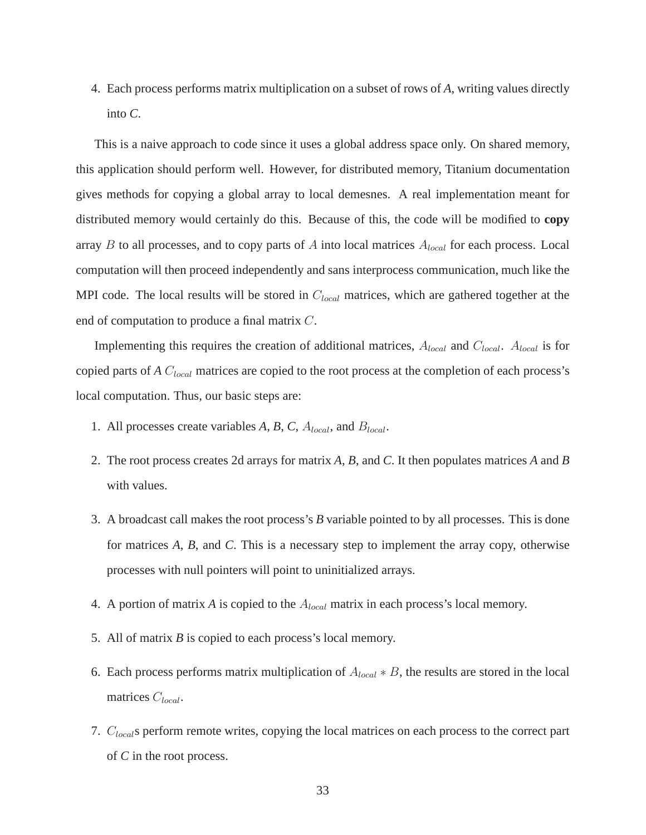4. Each process performs matrix multiplication on a subset of rows of *A*, writing values directly into *C*.

This is a naive approach to code since it uses a global address space only. On shared memory, this application should perform well. However, for distributed memory, Titanium documentation gives methods for copying a global array to local demesnes. A real implementation meant for distributed memory would certainly do this. Because of this, the code will be modified to **copy** array B to all processes, and to copy parts of A into local matrices  $A_{local}$  for each process. Local computation will then proceed independently and sans interprocess communication, much like the MPI code. The local results will be stored in  $C_{local}$  matrices, which are gathered together at the end of computation to produce a final matrix C.

Implementing this requires the creation of additional matrices,  $A_{local}$  and  $C_{local}$ .  $A_{local}$  is for copied parts of *A* C<sub>local</sub> matrices are copied to the root process at the completion of each process's local computation. Thus, our basic steps are:

- 1. All processes create variables  $A, B, C, A_{local}$ , and  $B_{local}$ .
- 2. The root process creates 2d arrays for matrix *A*, *B*, and *C*. It then populates matrices *A* and *B* with values.
- 3. A broadcast call makes the root process's *B* variable pointed to by all processes. This is done for matrices *A*, *B*, and *C*. This is a necessary step to implement the array copy, otherwise processes with null pointers will point to uninitialized arrays.
- 4. A portion of matrix *A* is copied to the  $A_{local}$  matrix in each process's local memory.
- 5. All of matrix *B* is copied to each process's local memory.
- 6. Each process performs matrix multiplication of  $A_{local} * B$ , the results are stored in the local matrices  $C_{local}$ .
- 7.  $C_{local}$ s perform remote writes, copying the local matrices on each process to the correct part of *C* in the root process.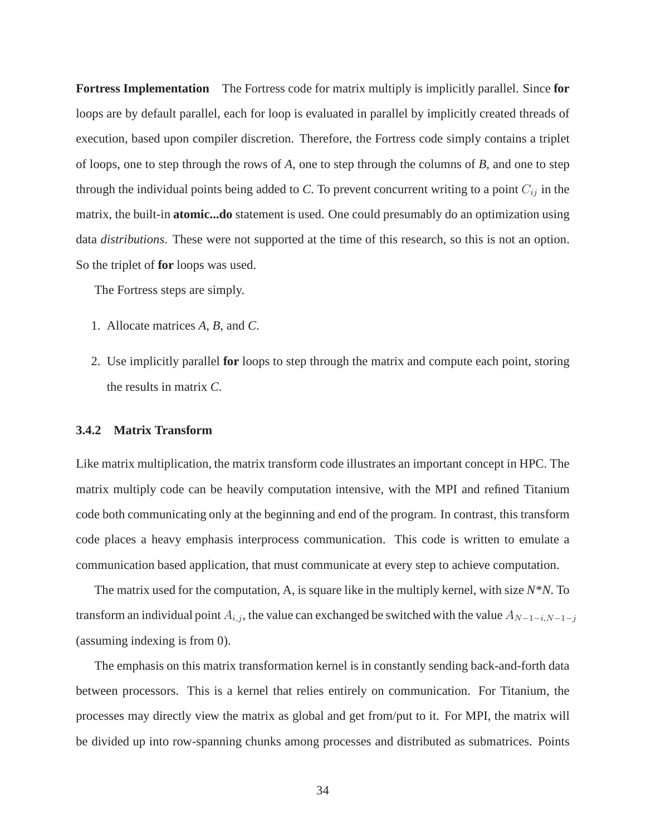**Fortress Implementation** The Fortress code for matrix multiply is implicitly parallel. Since **for** loops are by default parallel, each for loop is evaluated in parallel by implicitly created threads of execution, based upon compiler discretion. Therefore, the Fortress code simply contains a triplet of loops, one to step through the rows of *A*, one to step through the columns of *B*, and one to step through the individual points being added to  $C$ . To prevent concurrent writing to a point  $C_{ij}$  in the matrix, the built-in **atomic...do** statement is used. One could presumably do an optimization using data *distributions*. These were not supported at the time of this research, so this is not an option. So the triplet of **for** loops was used.

The Fortress steps are simply.

- 1. Allocate matrices *A*, *B*, and *C*.
- 2. Use implicitly parallel **for** loops to step through the matrix and compute each point, storing the results in matrix *C*.

# **3.4.2 Matrix Transform**

Like matrix multiplication, the matrix transform code illustrates an important concept in HPC. The matrix multiply code can be heavily computation intensive, with the MPI and refined Titanium code both communicating only at the beginning and end of the program. In contrast, this transform code places a heavy emphasis interprocess communication. This code is written to emulate a communication based application, that must communicate at every step to achieve computation.

The matrix used for the computation, A, is square like in the multiply kernel, with size *N*\**N*. To transform an individual point  $A_{i,j}$ , the value can exchanged be switched with the value  $A_{N-1-i,N-1-j}$ (assuming indexing is from 0).

The emphasis on this matrix transformation kernel is in constantly sending back-and-forth data between processors. This is a kernel that relies entirely on communication. For Titanium, the processes may directly view the matrix as global and get from/put to it. For MPI, the matrix will be divided up into row-spanning chunks among processes and distributed as submatrices. Points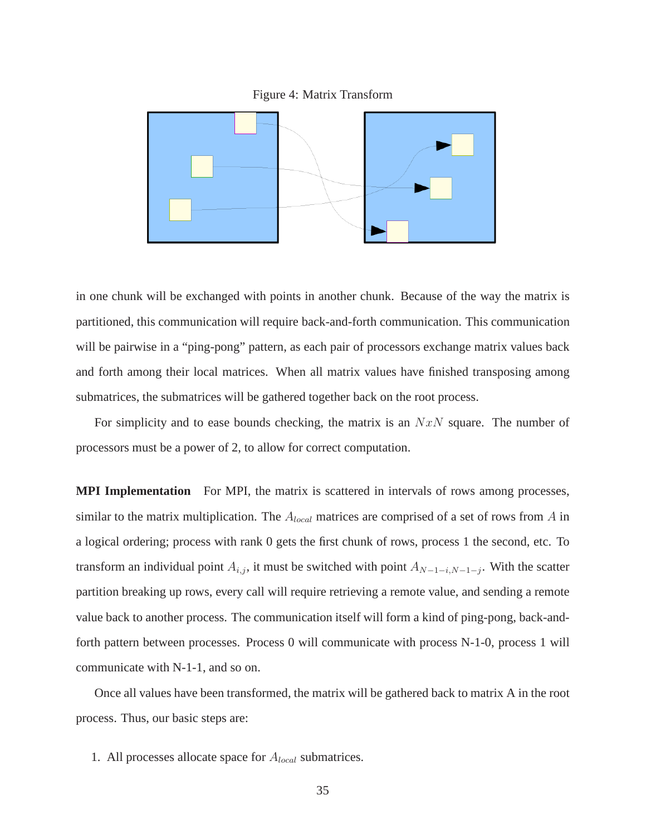



in one chunk will be exchanged with points in another chunk. Because of the way the matrix is partitioned, this communication will require back-and-forth communication. This communication will be pairwise in a "ping-pong" pattern, as each pair of processors exchange matrix values back and forth among their local matrices. When all matrix values have finished transposing among submatrices, the submatrices will be gathered together back on the root process.

For simplicity and to ease bounds checking, the matrix is an  $NxN$  square. The number of processors must be a power of 2, to allow for correct computation.

**MPI Implementation** For MPI, the matrix is scattered in intervals of rows among processes, similar to the matrix multiplication. The  $A_{local}$  matrices are comprised of a set of rows from A in a logical ordering; process with rank 0 gets the first chunk of rows, process 1 the second, etc. To transform an individual point  $A_{i,j}$ , it must be switched with point  $A_{N-1-i,N-1-j}$ . With the scatter partition breaking up rows, every call will require retrieving a remote value, and sending a remote value back to another process. The communication itself will form a kind of ping-pong, back-andforth pattern between processes. Process 0 will communicate with process N-1-0, process 1 will communicate with N-1-1, and so on.

Once all values have been transformed, the matrix will be gathered back to matrix A in the root process. Thus, our basic steps are:

1. All processes allocate space for  $A_{local}$  submatrices.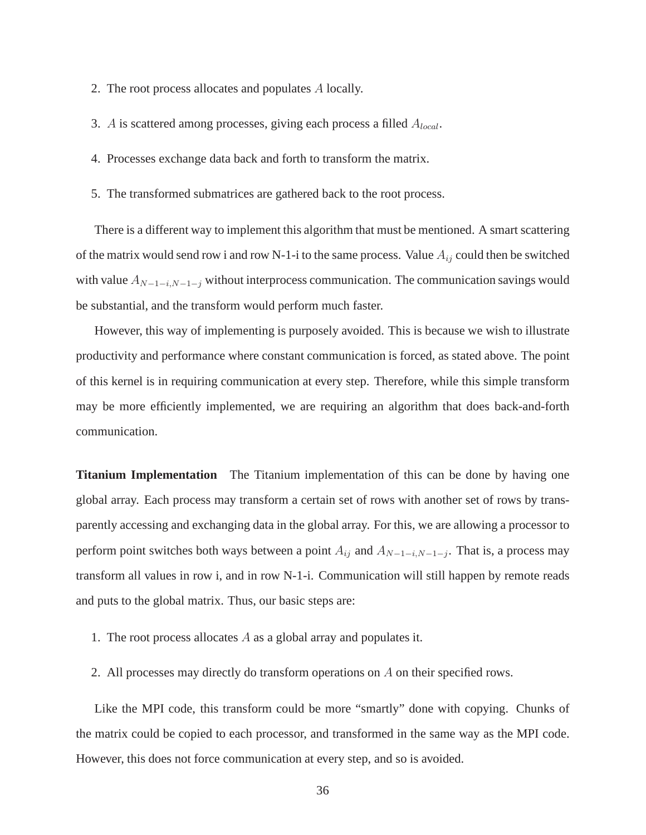- 2. The root process allocates and populates A locally.
- 3. A is scattered among processes, giving each process a filled  $A_{local}$ .
- 4. Processes exchange data back and forth to transform the matrix.
- 5. The transformed submatrices are gathered back to the root process.

There is a different way to implement this algorithm that must be mentioned. A smart scattering of the matrix would send row i and row N-1-i to the same process. Value  $A_{ij}$  could then be switched with value  $A_{N-1-i,N-1-j}$  without interprocess communication. The communication savings would be substantial, and the transform would perform much faster.

However, this way of implementing is purposely avoided. This is because we wish to illustrate productivity and performance where constant communication is forced, as stated above. The point of this kernel is in requiring communication at every step. Therefore, while this simple transform may be more efficiently implemented, we are requiring an algorithm that does back-and-forth communication.

**Titanium Implementation** The Titanium implementation of this can be done by having one global array. Each process may transform a certain set of rows with another set of rows by transparently accessing and exchanging data in the global array. For this, we are allowing a processor to perform point switches both ways between a point  $A_{ij}$  and  $A_{N-1-i,N-1-j}$ . That is, a process may transform all values in row i, and in row N-1-i. Communication will still happen by remote reads and puts to the global matrix. Thus, our basic steps are:

- 1. The root process allocates  $A$  as a global array and populates it.
- 2. All processes may directly do transform operations on A on their specified rows.

Like the MPI code, this transform could be more "smartly" done with copying. Chunks of the matrix could be copied to each processor, and transformed in the same way as the MPI code. However, this does not force communication at every step, and so is avoided.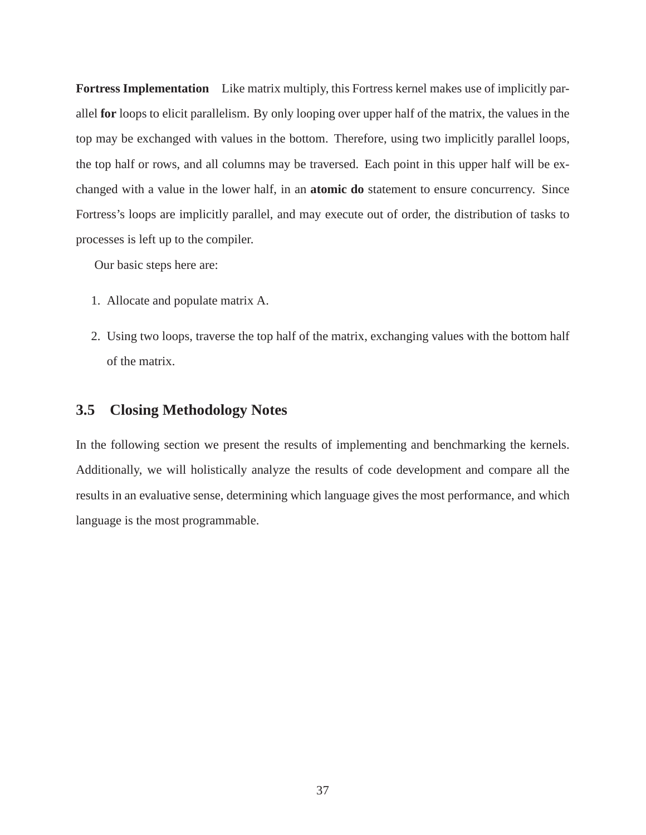**Fortress Implementation** Like matrix multiply, this Fortress kernel makes use of implicitly parallel **for** loops to elicit parallelism. By only looping over upper half of the matrix, the values in the top may be exchanged with values in the bottom. Therefore, using two implicitly parallel loops, the top half or rows, and all columns may be traversed. Each point in this upper half will be exchanged with a value in the lower half, in an **atomic do** statement to ensure concurrency. Since Fortress's loops are implicitly parallel, and may execute out of order, the distribution of tasks to processes is left up to the compiler.

Our basic steps here are:

- 1. Allocate and populate matrix A.
- 2. Using two loops, traverse the top half of the matrix, exchanging values with the bottom half of the matrix.

# **3.5 Closing Methodology Notes**

In the following section we present the results of implementing and benchmarking the kernels. Additionally, we will holistically analyze the results of code development and compare all the results in an evaluative sense, determining which language gives the most performance, and which language is the most programmable.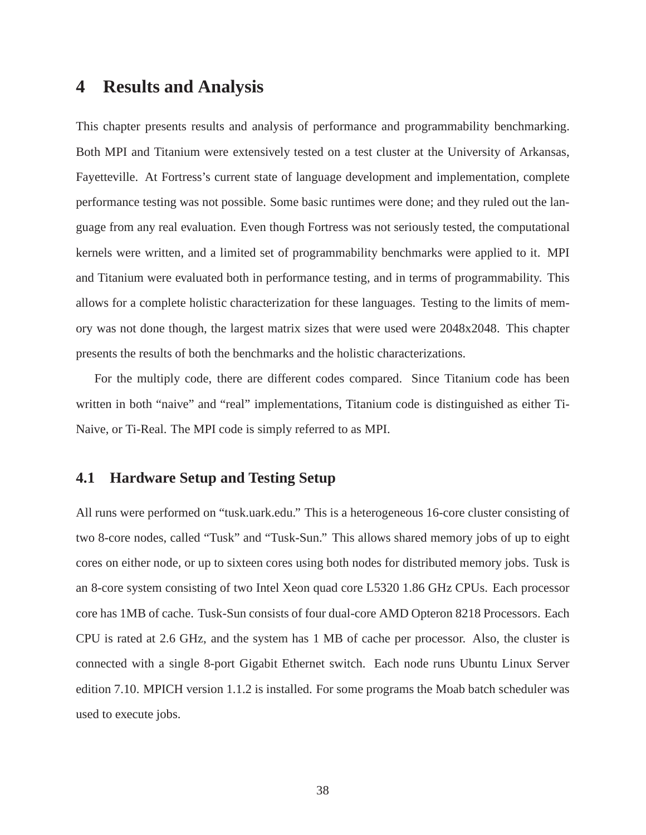# **4 Results and Analysis**

This chapter presents results and analysis of performance and programmability benchmarking. Both MPI and Titanium were extensively tested on a test cluster at the University of Arkansas, Fayetteville. At Fortress's current state of language development and implementation, complete performance testing was not possible. Some basic runtimes were done; and they ruled out the language from any real evaluation. Even though Fortress was not seriously tested, the computational kernels were written, and a limited set of programmability benchmarks were applied to it. MPI and Titanium were evaluated both in performance testing, and in terms of programmability. This allows for a complete holistic characterization for these languages. Testing to the limits of memory was not done though, the largest matrix sizes that were used were 2048x2048. This chapter presents the results of both the benchmarks and the holistic characterizations.

For the multiply code, there are different codes compared. Since Titanium code has been written in both "naive" and "real" implementations, Titanium code is distinguished as either Ti-Naive, or Ti-Real. The MPI code is simply referred to as MPI.

# **4.1 Hardware Setup and Testing Setup**

All runs were performed on "tusk.uark.edu." This is a heterogeneous 16-core cluster consisting of two 8-core nodes, called "Tusk" and "Tusk-Sun." This allows shared memory jobs of up to eight cores on either node, or up to sixteen cores using both nodes for distributed memory jobs. Tusk is an 8-core system consisting of two Intel Xeon quad core L5320 1.86 GHz CPUs. Each processor core has 1MB of cache. Tusk-Sun consists of four dual-core AMD Opteron 8218 Processors. Each CPU is rated at 2.6 GHz, and the system has 1 MB of cache per processor. Also, the cluster is connected with a single 8-port Gigabit Ethernet switch. Each node runs Ubuntu Linux Server edition 7.10. MPICH version 1.1.2 is installed. For some programs the Moab batch scheduler was used to execute jobs.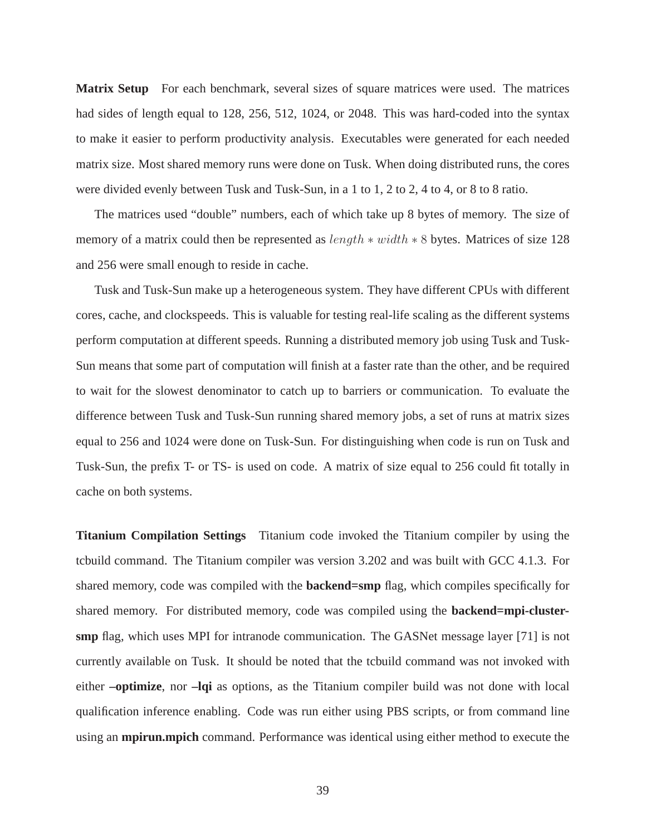**Matrix Setup** For each benchmark, several sizes of square matrices were used. The matrices had sides of length equal to 128, 256, 512, 1024, or 2048. This was hard-coded into the syntax to make it easier to perform productivity analysis. Executables were generated for each needed matrix size. Most shared memory runs were done on Tusk. When doing distributed runs, the cores were divided evenly between Tusk and Tusk-Sun, in a 1 to 1, 2 to 2, 4 to 4, or 8 to 8 ratio.

The matrices used "double" numbers, each of which take up 8 bytes of memory. The size of memory of a matrix could then be represented as  $length * width * 8$  bytes. Matrices of size 128 and 256 were small enough to reside in cache.

Tusk and Tusk-Sun make up a heterogeneous system. They have different CPUs with different cores, cache, and clockspeeds. This is valuable for testing real-life scaling as the different systems perform computation at different speeds. Running a distributed memory job using Tusk and Tusk-Sun means that some part of computation will finish at a faster rate than the other, and be required to wait for the slowest denominator to catch up to barriers or communication. To evaluate the difference between Tusk and Tusk-Sun running shared memory jobs, a set of runs at matrix sizes equal to 256 and 1024 were done on Tusk-Sun. For distinguishing when code is run on Tusk and Tusk-Sun, the prefix T- or TS- is used on code. A matrix of size equal to 256 could fit totally in cache on both systems.

**Titanium Compilation Settings** Titanium code invoked the Titanium compiler by using the tcbuild command. The Titanium compiler was version 3.202 and was built with GCC 4.1.3. For shared memory, code was compiled with the **backend=smp** flag, which compiles specifically for shared memory. For distributed memory, code was compiled using the **backend=mpi-clustersmp** flag, which uses MPI for intranode communication. The GASNet message layer [71] is not currently available on Tusk. It should be noted that the tcbuild command was not invoked with either **–optimize**, nor **–lqi** as options, as the Titanium compiler build was not done with local qualification inference enabling. Code was run either using PBS scripts, or from command line using an **mpirun.mpich** command. Performance was identical using either method to execute the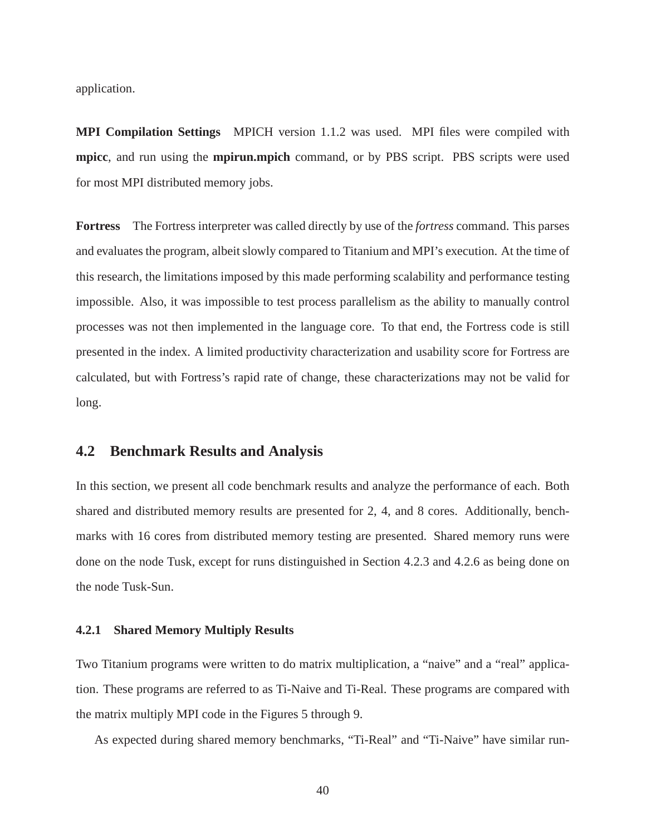application.

**MPI Compilation Settings** MPICH version 1.1.2 was used. MPI files were compiled with **mpicc**, and run using the **mpirun.mpich** command, or by PBS script. PBS scripts were used for most MPI distributed memory jobs.

**Fortress** The Fortress interpreter was called directly by use of the *fortress* command. This parses and evaluates the program, albeit slowly compared to Titanium and MPI's execution. At the time of this research, the limitations imposed by this made performing scalability and performance testing impossible. Also, it was impossible to test process parallelism as the ability to manually control processes was not then implemented in the language core. To that end, the Fortress code is still presented in the index. A limited productivity characterization and usability score for Fortress are calculated, but with Fortress's rapid rate of change, these characterizations may not be valid for long.

# **4.2 Benchmark Results and Analysis**

In this section, we present all code benchmark results and analyze the performance of each. Both shared and distributed memory results are presented for 2, 4, and 8 cores. Additionally, benchmarks with 16 cores from distributed memory testing are presented. Shared memory runs were done on the node Tusk, except for runs distinguished in Section 4.2.3 and 4.2.6 as being done on the node Tusk-Sun.

#### **4.2.1 Shared Memory Multiply Results**

Two Titanium programs were written to do matrix multiplication, a "naive" and a "real" application. These programs are referred to as Ti-Naive and Ti-Real. These programs are compared with the matrix multiply MPI code in the Figures 5 through 9.

As expected during shared memory benchmarks, "Ti-Real" and "Ti-Naive" have similar run-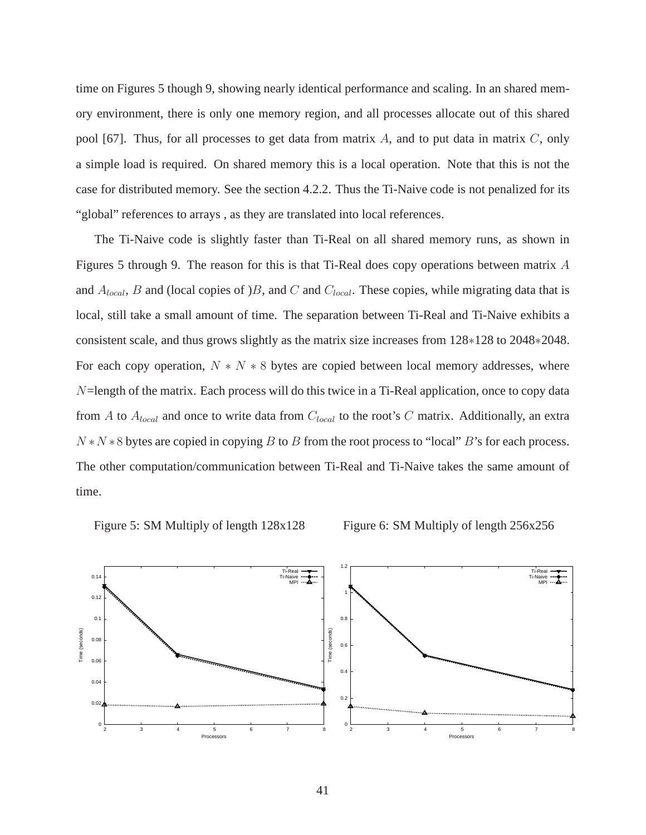time on Figures 5 though 9, showing nearly identical performance and scaling. In an shared memory environment, there is only one memory region, and all processes allocate out of this shared pool [67]. Thus, for all processes to get data from matrix  $A$ , and to put data in matrix  $C$ , only a simple load is required. On shared memory this is a local operation. Note that this is not the case for distributed memory. See the section 4.2.2. Thus the Ti-Naive code is not penalized for its "global" references to arrays , as they are translated into local references.

The Ti-Naive code is slightly faster than Ti-Real on all shared memory runs, as shown in Figures 5 through 9. The reason for this is that Ti-Real does copy operations between matrix A and  $A_{local}$ , B and (local copies of )B, and C and  $C_{local}$ . These copies, while migrating data that is local, still take a small amount of time. The separation between Ti-Real and Ti-Naive exhibits a consistent scale, and thus grows slightly as the matrix size increases from 128∗128 to 2048∗2048. For each copy operation,  $N \times N \times 8$  bytes are copied between local memory addresses, where  $N$ =length of the matrix. Each process will do this twice in a Ti-Real application, once to copy data from A to  $A_{local}$  and once to write data from  $C_{local}$  to the root's C matrix. Additionally, an extra  $N*N*8$  bytes are copied in copying B to B from the root process to "local" B's for each process. The other computation/communication between Ti-Real and Ti-Naive takes the same amount of time.





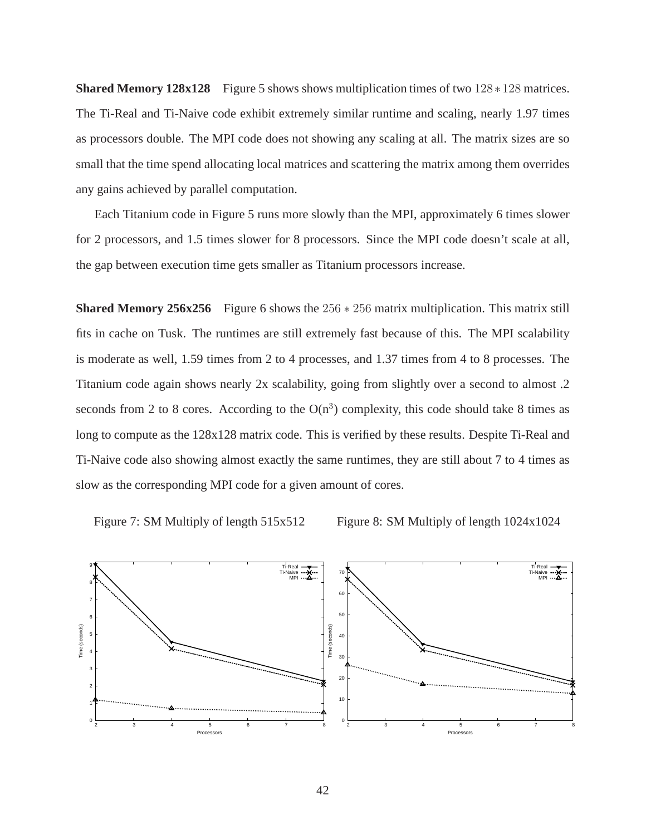**Shared Memory 128x128** Figure 5 shows shows multiplication times of two 128∗128 matrices. The Ti-Real and Ti-Naive code exhibit extremely similar runtime and scaling, nearly 1.97 times as processors double. The MPI code does not showing any scaling at all. The matrix sizes are so small that the time spend allocating local matrices and scattering the matrix among them overrides any gains achieved by parallel computation.

Each Titanium code in Figure 5 runs more slowly than the MPI, approximately 6 times slower for 2 processors, and 1.5 times slower for 8 processors. Since the MPI code doesn't scale at all, the gap between execution time gets smaller as Titanium processors increase.

**Shared Memory 256x256** Figure 6 shows the 256  $*$  256 matrix multiplication. This matrix still fits in cache on Tusk. The runtimes are still extremely fast because of this. The MPI scalability is moderate as well, 1.59 times from 2 to 4 processes, and 1.37 times from 4 to 8 processes. The Titanium code again shows nearly 2x scalability, going from slightly over a second to almost .2 seconds from 2 to 8 cores. According to the  $O(n^3)$  complexity, this code should take 8 times as long to compute as the  $128x128$  matrix code. This is verified by these results. Despite Ti-Real and Ti-Naive code also showing almost exactly the same runtimes, they are still about 7 to 4 times as slow as the corresponding MPI code for a given amount of cores.

Figure 7: SM Multiply of length 515x512

Figure 8: SM Multiply of length 1024x1024

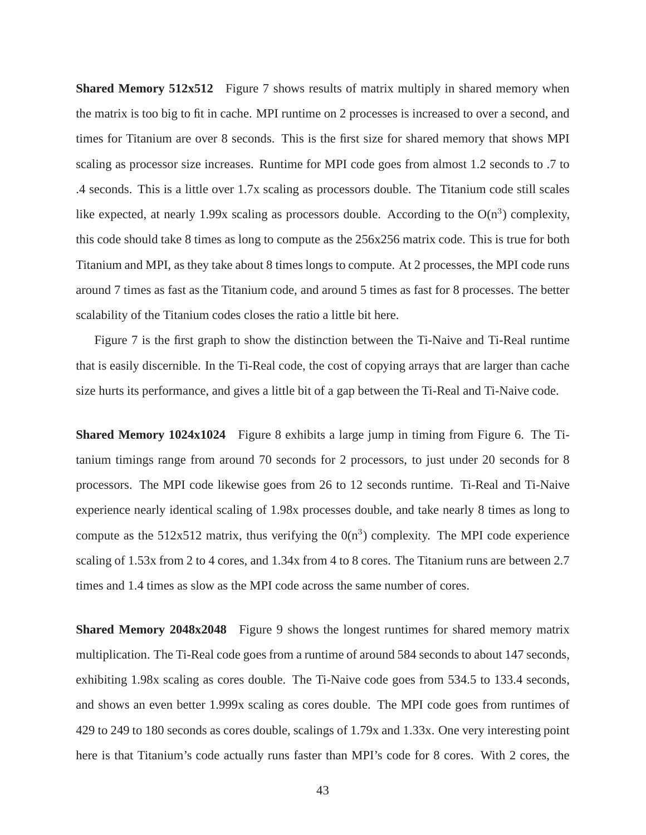**Shared Memory 512x512** Figure 7 shows results of matrix multiply in shared memory when the matrix is too big to fit in cache. MPI runtime on 2 processes is increased to over a second, and times for Titanium are over 8 seconds. This is the first size for shared memory that shows MPI scaling as processor size increases. Runtime for MPI code goes from almost 1.2 seconds to .7 to .4 seconds. This is a little over 1.7x scaling as processors double. The Titanium code still scales like expected, at nearly 1.99x scaling as processors double. According to the  $O(n^3)$  complexity, this code should take 8 times as long to compute as the 256x256 matrix code. This is true for both Titanium and MPI, as they take about 8 times longs to compute. At 2 processes, the MPI code runs around 7 times as fast as the Titanium code, and around 5 times as fast for 8 processes. The better scalability of the Titanium codes closes the ratio a little bit here.

Figure 7 is the first graph to show the distinction between the Ti-Naive and Ti-Real runtime that is easily discernible. In the Ti-Real code, the cost of copying arrays that are larger than cache size hurts its performance, and gives a little bit of a gap between the Ti-Real and Ti-Naive code.

**Shared Memory 1024x1024** Figure 8 exhibits a large jump in timing from Figure 6. The Titanium timings range from around 70 seconds for 2 processors, to just under 20 seconds for 8 processors. The MPI code likewise goes from 26 to 12 seconds runtime. Ti-Real and Ti-Naive experience nearly identical scaling of 1.98x processes double, and take nearly 8 times as long to compute as the 512x512 matrix, thus verifying the  $0(n^3)$  complexity. The MPI code experience scaling of 1.53x from 2 to 4 cores, and 1.34x from 4 to 8 cores. The Titanium runs are between 2.7 times and 1.4 times as slow as the MPI code across the same number of cores.

**Shared Memory 2048x2048** Figure 9 shows the longest runtimes for shared memory matrix multiplication. The Ti-Real code goes from a runtime of around 584 seconds to about 147 seconds, exhibiting 1.98x scaling as cores double. The Ti-Naive code goes from 534.5 to 133.4 seconds, and shows an even better 1.999x scaling as cores double. The MPI code goes from runtimes of 429 to 249 to 180 seconds as cores double, scalings of 1.79x and 1.33x. One very interesting point here is that Titanium's code actually runs faster than MPI's code for 8 cores. With 2 cores, the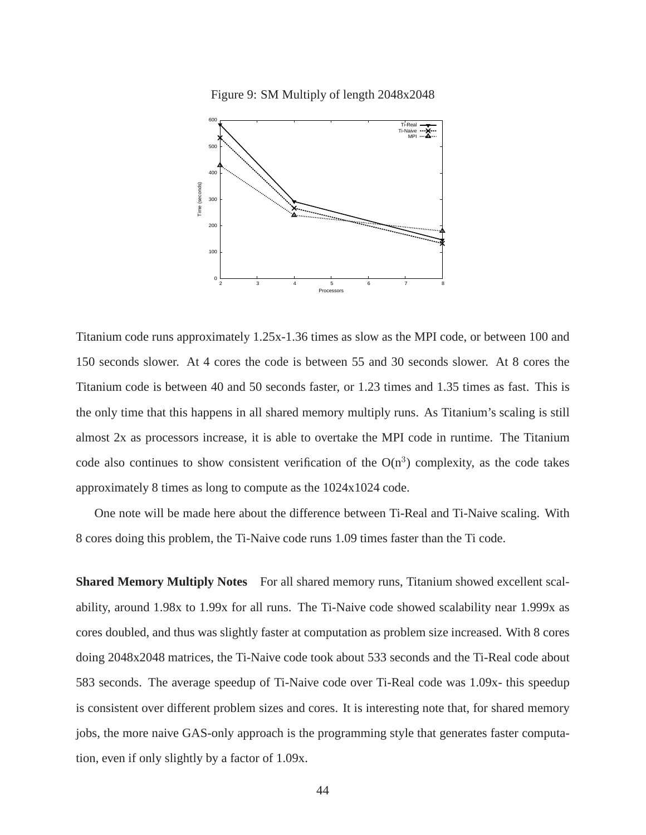Figure 9: SM Multiply of length 2048x2048



Titanium code runs approximately 1.25x-1.36 times as slow as the MPI code, or between 100 and 150 seconds slower. At 4 cores the code is between 55 and 30 seconds slower. At 8 cores the Titanium code is between 40 and 50 seconds faster, or 1.23 times and 1.35 times as fast. This is the only time that this happens in all shared memory multiply runs. As Titanium's scaling is still almost 2x as processors increase, it is able to overtake the MPI code in runtime. The Titanium code also continues to show consistent verification of the  $O(n^3)$  complexity, as the code takes approximately 8 times as long to compute as the 1024x1024 code.

One note will be made here about the difference between Ti-Real and Ti-Naive scaling. With 8 cores doing this problem, the Ti-Naive code runs 1.09 times faster than the Ti code.

**Shared Memory Multiply Notes** For all shared memory runs, Titanium showed excellent scalability, around 1.98x to 1.99x for all runs. The Ti-Naive code showed scalability near 1.999x as cores doubled, and thus was slightly faster at computation as problem size increased. With 8 cores doing 2048x2048 matrices, the Ti-Naive code took about 533 seconds and the Ti-Real code about 583 seconds. The average speedup of Ti-Naive code over Ti-Real code was 1.09x- this speedup is consistent over different problem sizes and cores. It is interesting note that, for shared memory jobs, the more naive GAS-only approach is the programming style that generates faster computation, even if only slightly by a factor of 1.09x.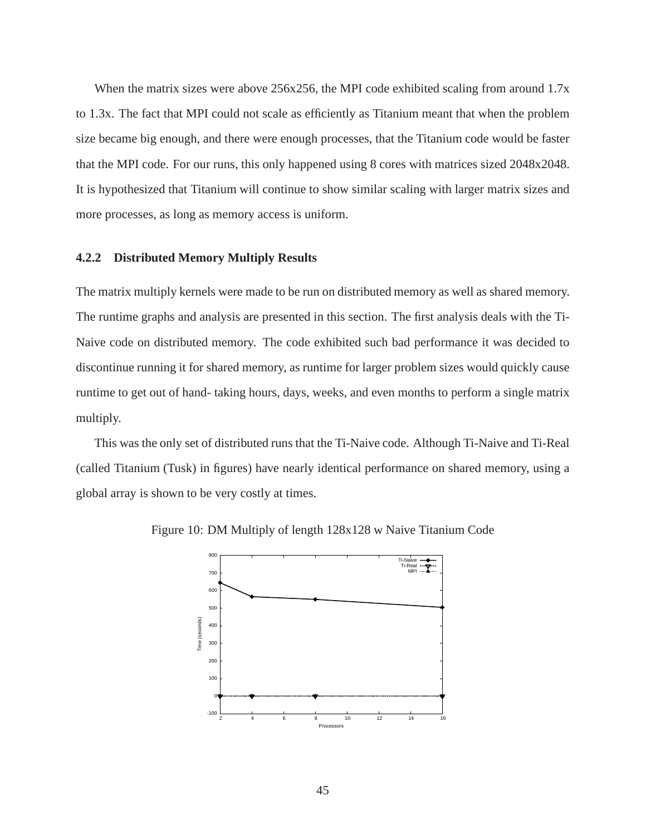When the matrix sizes were above 256x256, the MPI code exhibited scaling from around 1.7x to 1.3x. The fact that MPI could not scale as efficiently as Titanium meant that when the problem size became big enough, and there were enough processes, that the Titanium code would be faster that the MPI code. For our runs, this only happened using 8 cores with matrices sized 2048x2048. It is hypothesized that Titanium will continue to show similar scaling with larger matrix sizes and more processes, as long as memory access is uniform.

## **4.2.2 Distributed Memory Multiply Results**

The matrix multiply kernels were made to be run on distributed memory as well as shared memory. The runtime graphs and analysis are presented in this section. The first analysis deals with the Ti-Naive code on distributed memory. The code exhibited such bad performance it was decided to discontinue running it for shared memory, as runtime for larger problem sizes would quickly cause runtime to get out of hand- taking hours, days, weeks, and even months to perform a single matrix multiply.

This was the only set of distributed runs that the Ti-Naive code. Although Ti-Naive and Ti-Real (called Titanium (Tusk) in figures) have nearly identical performance on shared memory, using a global array is shown to be very costly at times.



Figure 10: DM Multiply of length 128x128 w Naive Titanium Code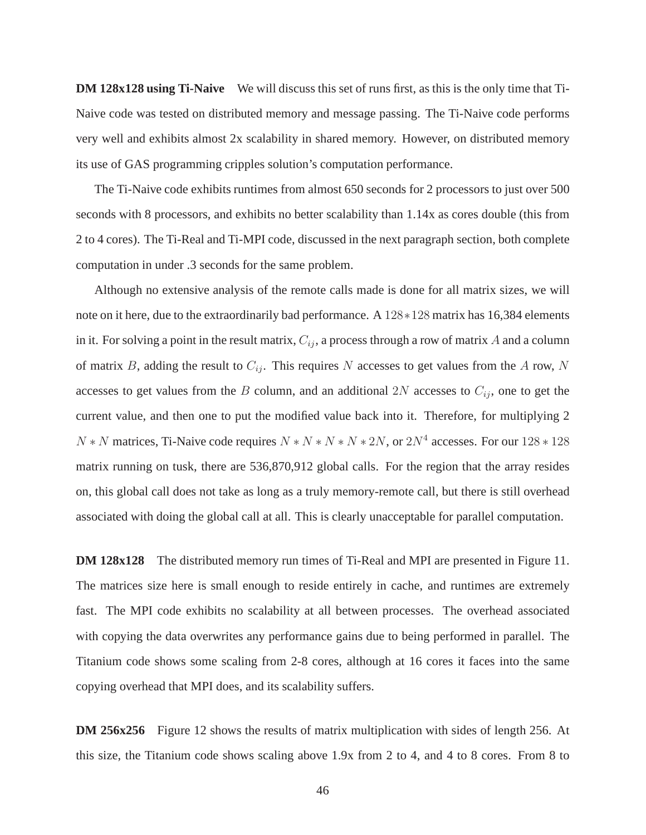**DM 128x128 using Ti-Naive** We will discuss this set of runs first, as this is the only time that Ti-Naive code was tested on distributed memory and message passing. The Ti-Naive code performs very well and exhibits almost 2x scalability in shared memory. However, on distributed memory its use of GAS programming cripples solution's computation performance.

The Ti-Naive code exhibits runtimes from almost 650 seconds for 2 processors to just over 500 seconds with 8 processors, and exhibits no better scalability than 1.14x as cores double (this from 2 to 4 cores). The Ti-Real and Ti-MPI code, discussed in the next paragraph section, both complete computation in under .3 seconds for the same problem.

Although no extensive analysis of the remote calls made is done for all matrix sizes, we will note on it here, due to the extraordinarily bad performance. A 128∗128 matrix has 16,384 elements in it. For solving a point in the result matrix,  $C_{ij}$ , a process through a row of matrix A and a column of matrix B, adding the result to  $C_{ij}$ . This requires N accesses to get values from the A row, N accesses to get values from the B column, and an additional  $2N$  accesses to  $C_{ij}$ , one to get the current value, and then one to put the modified value back into it. Therefore, for multiplying 2  $N*N$  matrices, Ti-Naive code requires  $N*N*N*N*2N$ , or  $2N<sup>4</sup>$  accesses. For our  $128*128$ matrix running on tusk, there are 536,870,912 global calls. For the region that the array resides on, this global call does not take as long as a truly memory-remote call, but there is still overhead associated with doing the global call at all. This is clearly unacceptable for parallel computation.

**DM 128x128** The distributed memory run times of Ti-Real and MPI are presented in Figure 11. The matrices size here is small enough to reside entirely in cache, and runtimes are extremely fast. The MPI code exhibits no scalability at all between processes. The overhead associated with copying the data overwrites any performance gains due to being performed in parallel. The Titanium code shows some scaling from 2-8 cores, although at 16 cores it faces into the same copying overhead that MPI does, and its scalability suffers.

**DM 256x256** Figure 12 shows the results of matrix multiplication with sides of length 256. At this size, the Titanium code shows scaling above 1.9x from 2 to 4, and 4 to 8 cores. From 8 to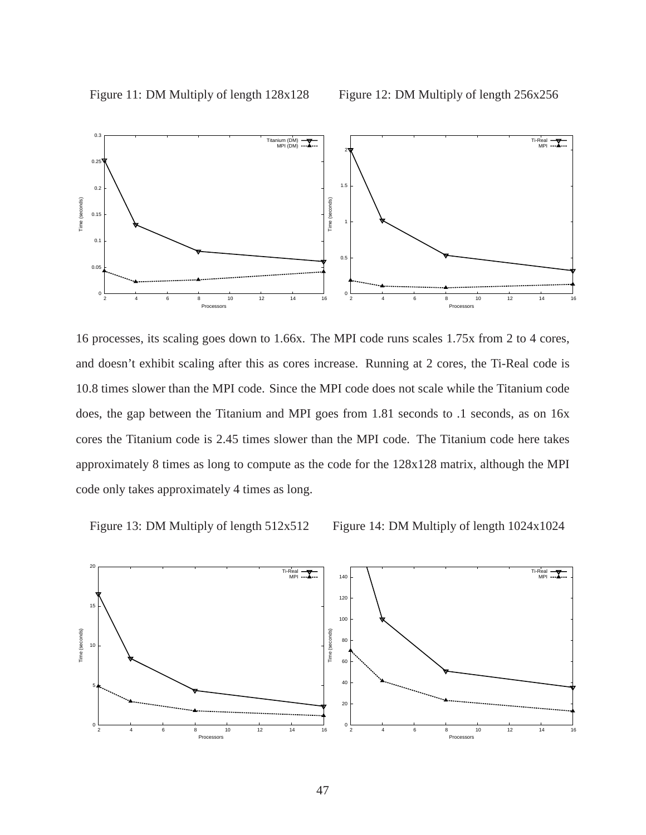

16 processes, its scaling goes down to 1.66x. The MPI code runs scales 1.75x from 2 to 4 cores, and doesn't exhibit scaling after this as cores increase. Running at 2 cores, the Ti-Real code is 10.8 times slower than the MPI code. Since the MPI code does not scale while the Titanium code does, the gap between the Titanium and MPI goes from 1.81 seconds to .1 seconds, as on 16x cores the Titanium code is 2.45 times slower than the MPI code. The Titanium code here takes approximately 8 times as long to compute as the code for the 128x128 matrix, although the MPI code only takes approximately 4 times as long.

Figure 13: DM Multiply of length 512x512

Figure 14: DM Multiply of length 1024x1024

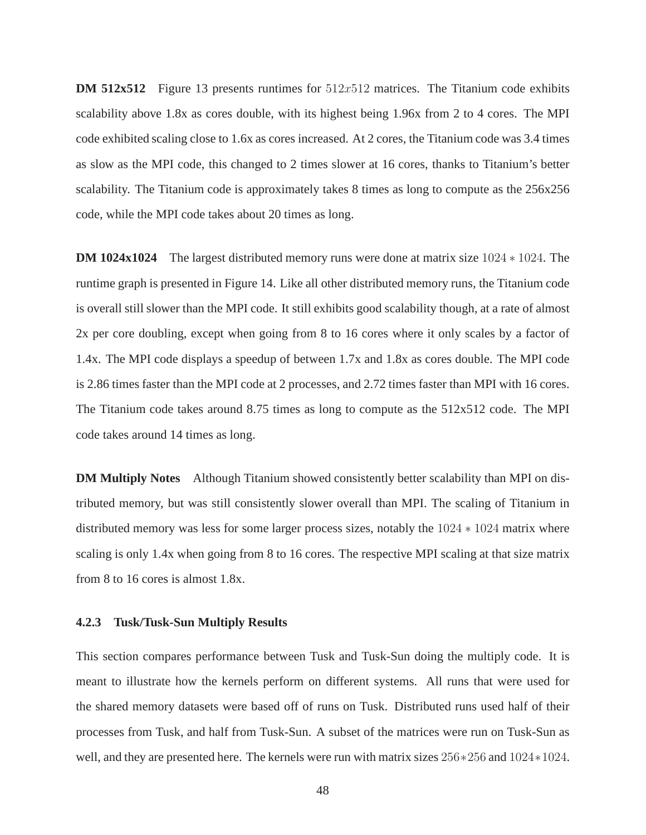**DM 512x512** Figure 13 presents runtimes for  $512x512$  matrices. The Titanium code exhibits scalability above 1.8x as cores double, with its highest being 1.96x from 2 to 4 cores. The MPI code exhibited scaling close to 1.6x as cores increased. At 2 cores, the Titanium code was 3.4 times as slow as the MPI code, this changed to 2 times slower at 16 cores, thanks to Titanium's better scalability. The Titanium code is approximately takes 8 times as long to compute as the 256x256 code, while the MPI code takes about 20 times as long.

**DM 1024x1024** The largest distributed memory runs were done at matrix size 1024 ∗ 1024. The runtime graph is presented in Figure 14. Like all other distributed memory runs, the Titanium code is overall still slower than the MPI code. It still exhibits good scalability though, at a rate of almost 2x per core doubling, except when going from 8 to 16 cores where it only scales by a factor of 1.4x. The MPI code displays a speedup of between 1.7x and 1.8x as cores double. The MPI code is 2.86 times faster than the MPI code at 2 processes, and 2.72 times faster than MPI with 16 cores. The Titanium code takes around 8.75 times as long to compute as the 512x512 code. The MPI code takes around 14 times as long.

**DM Multiply Notes** Although Titanium showed consistently better scalability than MPI on distributed memory, but was still consistently slower overall than MPI. The scaling of Titanium in distributed memory was less for some larger process sizes, notably the 1024 ∗ 1024 matrix where scaling is only 1.4x when going from 8 to 16 cores. The respective MPI scaling at that size matrix from 8 to 16 cores is almost 1.8x.

## **4.2.3 Tusk/Tusk-Sun Multiply Results**

This section compares performance between Tusk and Tusk-Sun doing the multiply code. It is meant to illustrate how the kernels perform on different systems. All runs that were used for the shared memory datasets were based off of runs on Tusk. Distributed runs used half of their processes from Tusk, and half from Tusk-Sun. A subset of the matrices were run on Tusk-Sun as well, and they are presented here. The kernels were run with matrix sizes 256∗256 and 1024∗1024.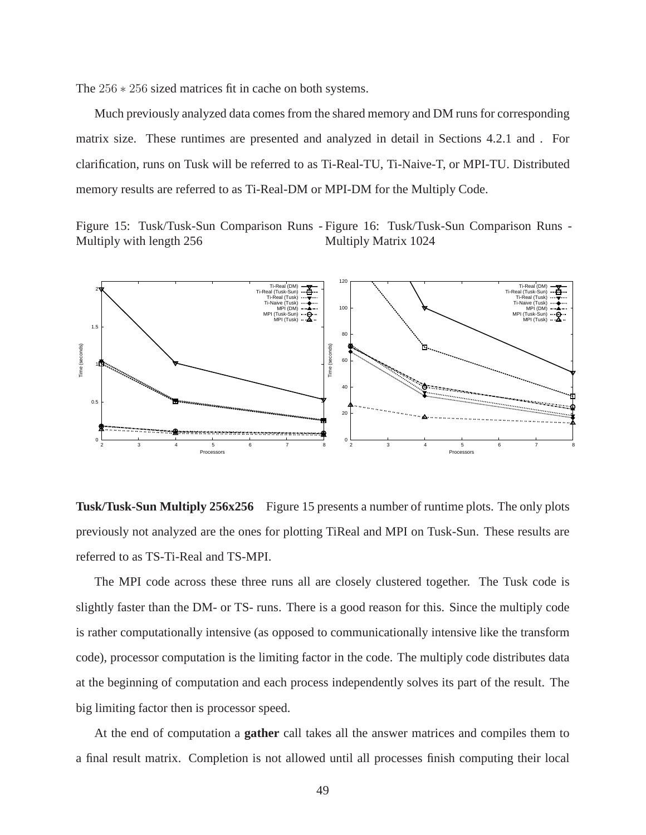The 256 ∗ 256 sized matrices fit in cache on both systems.

Much previously analyzed data comes from the shared memory and DM runs for corresponding matrix size. These runtimes are presented and analyzed in detail in Sections 4.2.1 and . For clarification, runs on Tusk will be referred to as Ti-Real-TU, Ti-Naive-T, or MPI-TU. Distributed memory results are referred to as Ti-Real-DM or MPI-DM for the Multiply Code.

Figure 15: Tusk/Tusk-Sun Comparison Runs - Figure 16: Tusk/Tusk-Sun Comparison Runs - Multiply with length 256 Multiply Matrix 1024



**Tusk/Tusk-Sun Multiply 256x256** Figure 15 presents a number of runtime plots. The only plots previously not analyzed are the ones for plotting TiReal and MPI on Tusk-Sun. These results are referred to as TS-Ti-Real and TS-MPI.

The MPI code across these three runs all are closely clustered together. The Tusk code is slightly faster than the DM- or TS- runs. There is a good reason for this. Since the multiply code is rather computationally intensive (as opposed to communicationally intensive like the transform code), processor computation is the limiting factor in the code. The multiply code distributes data at the beginning of computation and each process independently solves its part of the result. The big limiting factor then is processor speed.

At the end of computation a **gather** call takes all the answer matrices and compiles them to a final result matrix. Completion is not allowed until all processes finish computing their local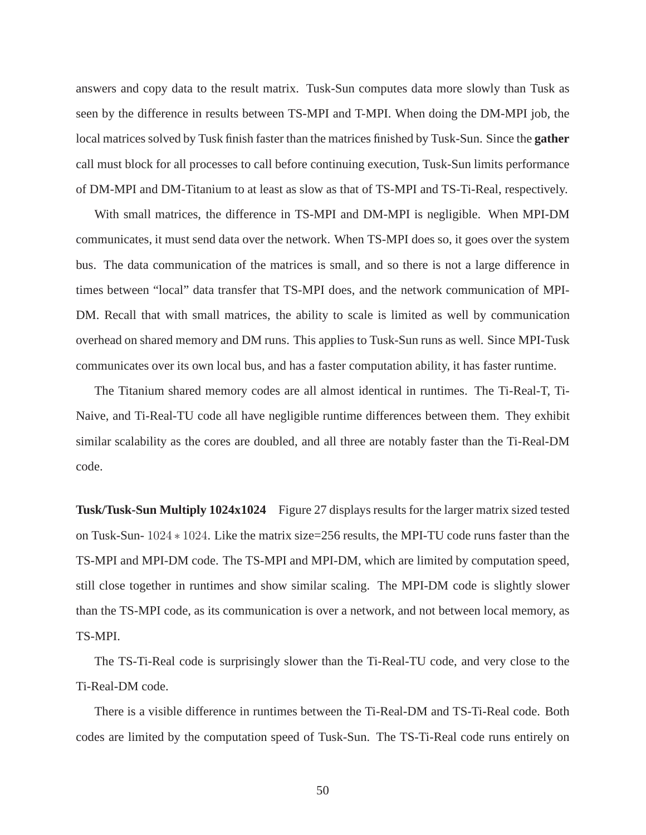answers and copy data to the result matrix. Tusk-Sun computes data more slowly than Tusk as seen by the difference in results between TS-MPI and T-MPI. When doing the DM-MPI job, the local matrices solved by Tusk finish faster than the matrices finished by Tusk-Sun. Since the **gather** call must block for all processes to call before continuing execution, Tusk-Sun limits performance of DM-MPI and DM-Titanium to at least as slow as that of TS-MPI and TS-Ti-Real, respectively.

With small matrices, the difference in TS-MPI and DM-MPI is negligible. When MPI-DM communicates, it must send data over the network. When TS-MPI does so, it goes over the system bus. The data communication of the matrices is small, and so there is not a large difference in times between "local" data transfer that TS-MPI does, and the network communication of MPI-DM. Recall that with small matrices, the ability to scale is limited as well by communication overhead on shared memory and DM runs. This applies to Tusk-Sun runs as well. Since MPI-Tusk communicates over its own local bus, and has a faster computation ability, it has faster runtime.

The Titanium shared memory codes are all almost identical in runtimes. The Ti-Real-T, Ti-Naive, and Ti-Real-TU code all have negligible runtime differences between them. They exhibit similar scalability as the cores are doubled, and all three are notably faster than the Ti-Real-DM code.

**Tusk/Tusk-Sun Multiply 1024x1024** Figure 27 displays results for the larger matrix sized tested on Tusk-Sun- 1024 ∗ 1024. Like the matrix size=256 results, the MPI-TU code runs faster than the TS-MPI and MPI-DM code. The TS-MPI and MPI-DM, which are limited by computation speed, still close together in runtimes and show similar scaling. The MPI-DM code is slightly slower than the TS-MPI code, as its communication is over a network, and not between local memory, as TS-MPI.

The TS-Ti-Real code is surprisingly slower than the Ti-Real-TU code, and very close to the Ti-Real-DM code.

There is a visible difference in runtimes between the Ti-Real-DM and TS-Ti-Real code. Both codes are limited by the computation speed of Tusk-Sun. The TS-Ti-Real code runs entirely on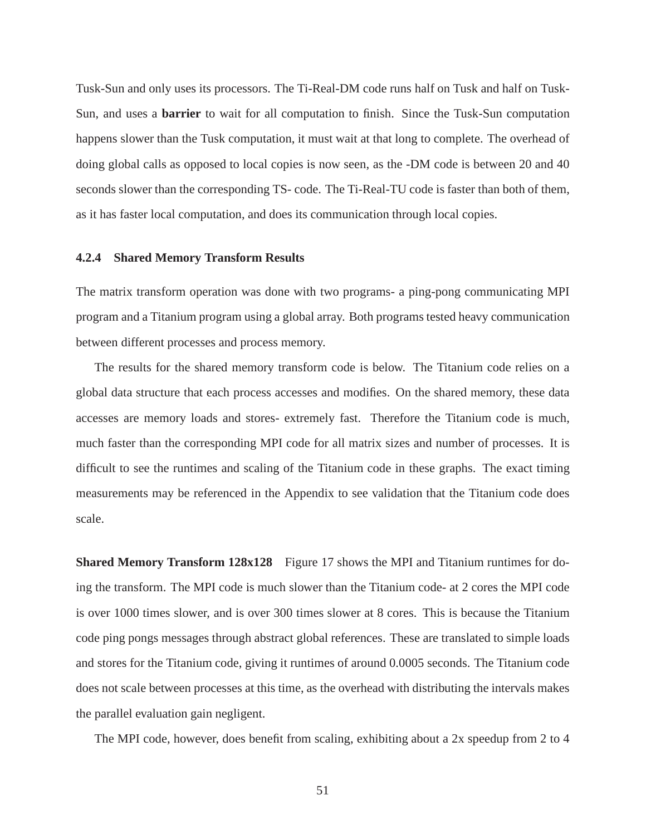Tusk-Sun and only uses its processors. The Ti-Real-DM code runs half on Tusk and half on Tusk-Sun, and uses a **barrier** to wait for all computation to finish. Since the Tusk-Sun computation happens slower than the Tusk computation, it must wait at that long to complete. The overhead of doing global calls as opposed to local copies is now seen, as the -DM code is between 20 and 40 seconds slower than the corresponding TS- code. The Ti-Real-TU code is faster than both of them, as it has faster local computation, and does its communication through local copies.

## **4.2.4 Shared Memory Transform Results**

The matrix transform operation was done with two programs- a ping-pong communicating MPI program and a Titanium program using a global array. Both programs tested heavy communication between different processes and process memory.

The results for the shared memory transform code is below. The Titanium code relies on a global data structure that each process accesses and modifies. On the shared memory, these data accesses are memory loads and stores- extremely fast. Therefore the Titanium code is much, much faster than the corresponding MPI code for all matrix sizes and number of processes. It is difficult to see the runtimes and scaling of the Titanium code in these graphs. The exact timing measurements may be referenced in the Appendix to see validation that the Titanium code does scale.

**Shared Memory Transform 128x128** Figure 17 shows the MPI and Titanium runtimes for doing the transform. The MPI code is much slower than the Titanium code- at 2 cores the MPI code is over 1000 times slower, and is over 300 times slower at 8 cores. This is because the Titanium code ping pongs messages through abstract global references. These are translated to simple loads and stores for the Titanium code, giving it runtimes of around 0.0005 seconds. The Titanium code does not scale between processes at this time, as the overhead with distributing the intervals makes the parallel evaluation gain negligent.

The MPI code, however, does benefit from scaling, exhibiting about a 2x speedup from 2 to 4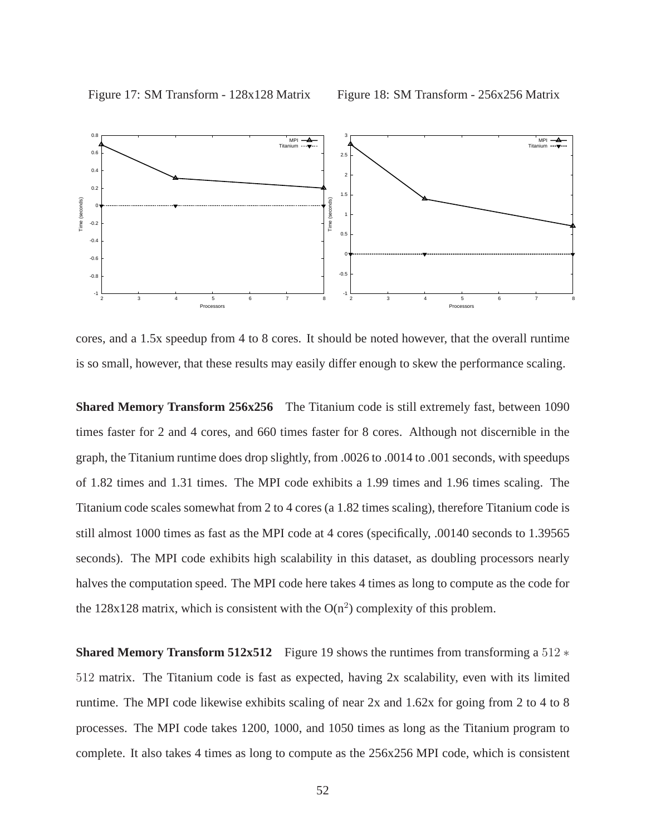

cores, and a 1.5x speedup from 4 to 8 cores. It should be noted however, that the overall runtime is so small, however, that these results may easily differ enough to skew the performance scaling.

**Shared Memory Transform 256x256** The Titanium code is still extremely fast, between 1090 times faster for 2 and 4 cores, and 660 times faster for 8 cores. Although not discernible in the graph, the Titanium runtime does drop slightly, from .0026 to .0014 to .001 seconds, with speedups of 1.82 times and 1.31 times. The MPI code exhibits a 1.99 times and 1.96 times scaling. The Titanium code scales somewhat from 2 to 4 cores (a 1.82 times scaling), therefore Titanium code is still almost 1000 times as fast as the MPI code at 4 cores (specifically, .00140 seconds to 1.39565 seconds). The MPI code exhibits high scalability in this dataset, as doubling processors nearly halves the computation speed. The MPI code here takes 4 times as long to compute as the code for the  $128x128$  matrix, which is consistent with the  $O(n^2)$  complexity of this problem.

**Shared Memory Transform 512x512** Figure 19 shows the runtimes from transforming a 512 ∗ 512 matrix. The Titanium code is fast as expected, having 2x scalability, even with its limited runtime. The MPI code likewise exhibits scaling of near 2x and 1.62x for going from 2 to 4 to 8 processes. The MPI code takes 1200, 1000, and 1050 times as long as the Titanium program to complete. It also takes 4 times as long to compute as the 256x256 MPI code, which is consistent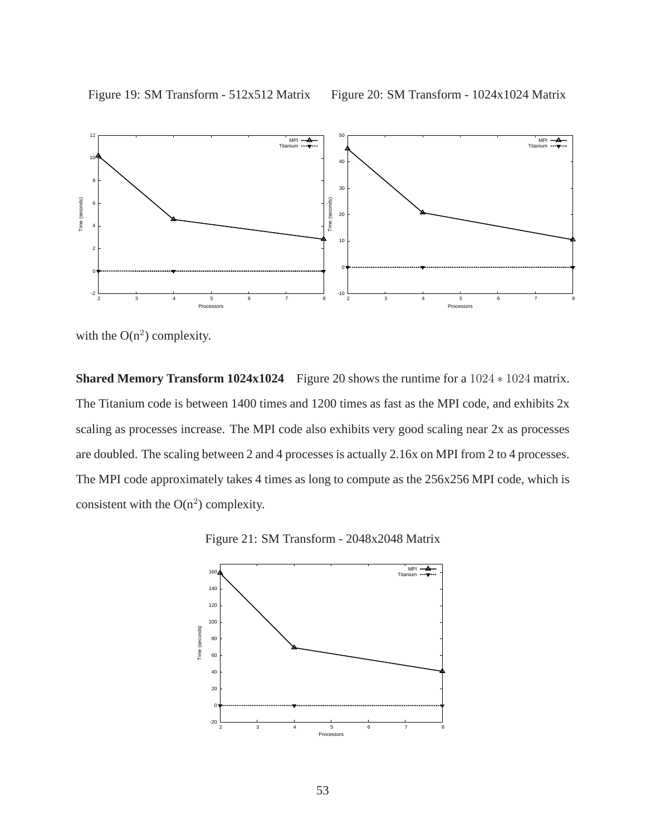

with the  $O(n^2)$  complexity.

**Shared Memory Transform 1024x1024** Figure 20 shows the runtime for a 1024 ∗ 1024 matrix. The Titanium code is between 1400 times and 1200 times as fast as the MPI code, and exhibits  $2x$ scaling as processes increase. The MPI code also exhibits very good scaling near 2x as processes are doubled. The scaling between 2 and 4 processes is actually 2.16x on MPI from 2 to 4 processes. The MPI code approximately takes 4 times as long to compute as the 256x256 MPI code, which is consistent with the  $O(n^2)$  complexity.



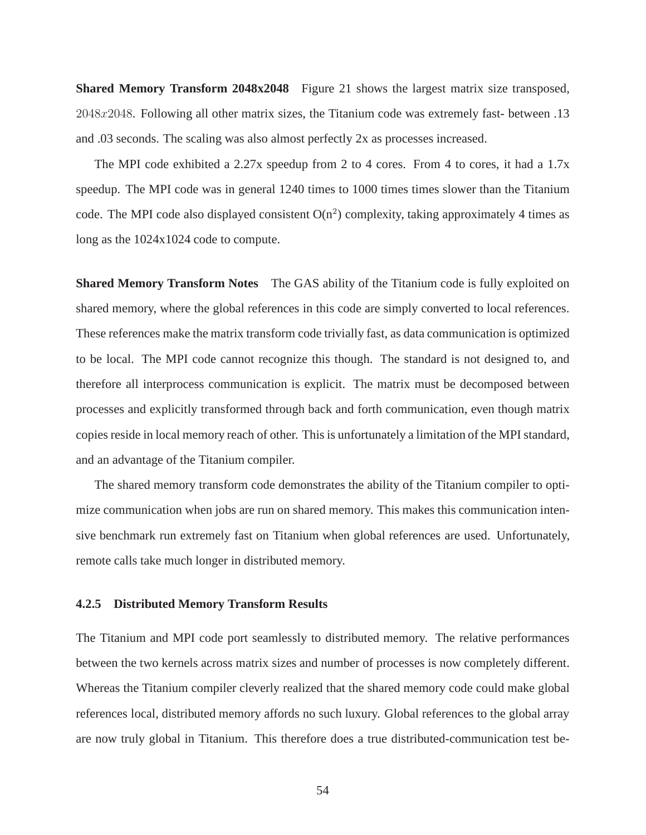**Shared Memory Transform 2048x2048** Figure 21 shows the largest matrix size transposed, 2048x2048. Following all other matrix sizes, the Titanium code was extremely fast- between .13 and .03 seconds. The scaling was also almost perfectly 2x as processes increased.

The MPI code exhibited a 2.27x speedup from 2 to 4 cores. From 4 to cores, it had a 1.7x speedup. The MPI code was in general 1240 times to 1000 times times slower than the Titanium code. The MPI code also displayed consistent  $O(n^2)$  complexity, taking approximately 4 times as long as the 1024x1024 code to compute.

**Shared Memory Transform Notes** The GAS ability of the Titanium code is fully exploited on shared memory, where the global references in this code are simply converted to local references. These references make the matrix transform code trivially fast, as data communication is optimized to be local. The MPI code cannot recognize this though. The standard is not designed to, and therefore all interprocess communication is explicit. The matrix must be decomposed between processes and explicitly transformed through back and forth communication, even though matrix copies reside in local memory reach of other. This is unfortunately a limitation of the MPI standard, and an advantage of the Titanium compiler.

The shared memory transform code demonstrates the ability of the Titanium compiler to optimize communication when jobs are run on shared memory. This makes this communication intensive benchmark run extremely fast on Titanium when global references are used. Unfortunately, remote calls take much longer in distributed memory.

## **4.2.5 Distributed Memory Transform Results**

The Titanium and MPI code port seamlessly to distributed memory. The relative performances between the two kernels across matrix sizes and number of processes is now completely different. Whereas the Titanium compiler cleverly realized that the shared memory code could make global references local, distributed memory affords no such luxury. Global references to the global array are now truly global in Titanium. This therefore does a true distributed-communication test be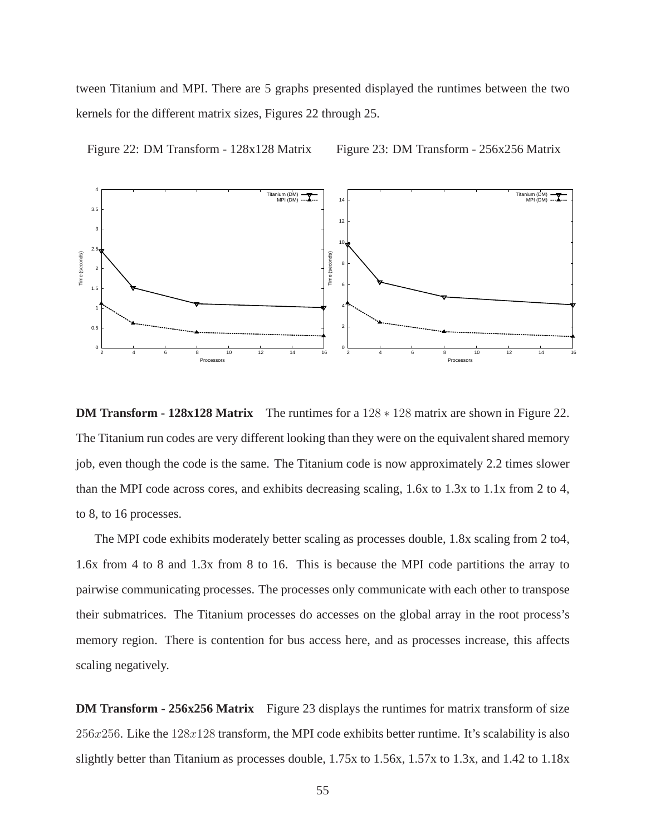tween Titanium and MPI. There are 5 graphs presented displayed the runtimes between the two kernels for the different matrix sizes, Figures 22 through 25.



Figure 22: DM Transform - 128x128 Matrix Figure 23: DM Transform - 256x256 Matrix

**DM Transform - 128x128 Matrix** The runtimes for a 128 ∗ 128 matrix are shown in Figure 22. The Titanium run codes are very different looking than they were on the equivalent shared memory job, even though the code is the same. The Titanium code is now approximately 2.2 times slower than the MPI code across cores, and exhibits decreasing scaling, 1.6x to 1.3x to 1.1x from 2 to 4, to 8, to 16 processes.

The MPI code exhibits moderately better scaling as processes double, 1.8x scaling from 2 to4, 1.6x from 4 to 8 and 1.3x from 8 to 16. This is because the MPI code partitions the array to pairwise communicating processes. The processes only communicate with each other to transpose their submatrices. The Titanium processes do accesses on the global array in the root process's memory region. There is contention for bus access here, and as processes increase, this affects scaling negatively.

**DM Transform - 256x256 Matrix** Figure 23 displays the runtimes for matrix transform of size 256 $x$ 256. Like the 128 $x$ 128 transform, the MPI code exhibits better runtime. It's scalability is also slightly better than Titanium as processes double, 1.75x to 1.56x, 1.57x to 1.3x, and 1.42 to 1.18x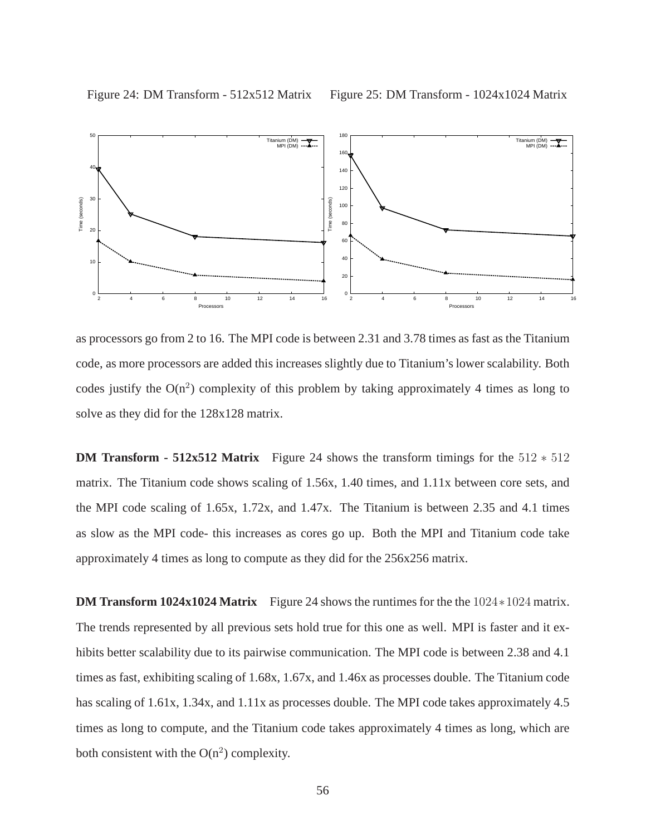Figure 25: DM Transform - 1024x1024 Matrix



as processors go from 2 to 16. The MPI code is between 2.31 and 3.78 times as fast as the Titanium code, as more processors are added this increases slightly due to Titanium's lower scalability. Both codes justify the  $O(n^2)$  complexity of this problem by taking approximately 4 times as long to solve as they did for the 128x128 matrix.

**DM Transform - 512x512 Matrix** Figure 24 shows the transform timings for the 512 ∗ 512 matrix. The Titanium code shows scaling of 1.56x, 1.40 times, and 1.11x between core sets, and the MPI code scaling of 1.65x, 1.72x, and 1.47x. The Titanium is between 2.35 and 4.1 times as slow as the MPI code- this increases as cores go up. Both the MPI and Titanium code take approximately 4 times as long to compute as they did for the 256x256 matrix.

**DM Transform 1024x1024 Matrix** Figure 24 shows the runtimes for the the 1024 ∗1024 matrix. The trends represented by all previous sets hold true for this one as well. MPI is faster and it exhibits better scalability due to its pairwise communication. The MPI code is between 2.38 and 4.1 times as fast, exhibiting scaling of 1.68x, 1.67x, and 1.46x as processes double. The Titanium code has scaling of 1.61x, 1.34x, and 1.11x as processes double. The MPI code takes approximately 4.5 times as long to compute, and the Titanium code takes approximately 4 times as long, which are both consistent with the  $O(n^2)$  complexity.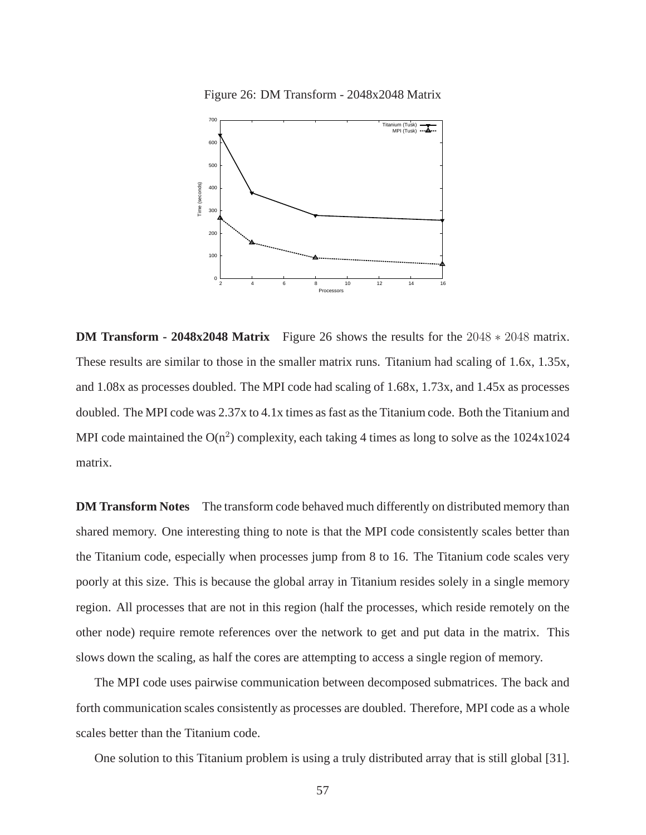Figure 26: DM Transform - 2048x2048 Matrix



**DM Transform - 2048x2048 Matrix** Figure 26 shows the results for the 2048 ∗ 2048 matrix. These results are similar to those in the smaller matrix runs. Titanium had scaling of 1.6x, 1.35x, and 1.08x as processes doubled. The MPI code had scaling of 1.68x, 1.73x, and 1.45x as processes doubled. The MPI code was 2.37x to 4.1x times as fast as the Titanium code. Both the Titanium and MPI code maintained the  $O(n^2)$  complexity, each taking 4 times as long to solve as the  $1024x1024$ matrix.

**DM Transform Notes** The transform code behaved much differently on distributed memory than shared memory. One interesting thing to note is that the MPI code consistently scales better than the Titanium code, especially when processes jump from 8 to 16. The Titanium code scales very poorly at this size. This is because the global array in Titanium resides solely in a single memory region. All processes that are not in this region (half the processes, which reside remotely on the other node) require remote references over the network to get and put data in the matrix. This slows down the scaling, as half the cores are attempting to access a single region of memory.

The MPI code uses pairwise communication between decomposed submatrices. The back and forth communication scales consistently as processes are doubled. Therefore, MPI code as a whole scales better than the Titanium code.

One solution to this Titanium problem is using a truly distributed array that is still global [31].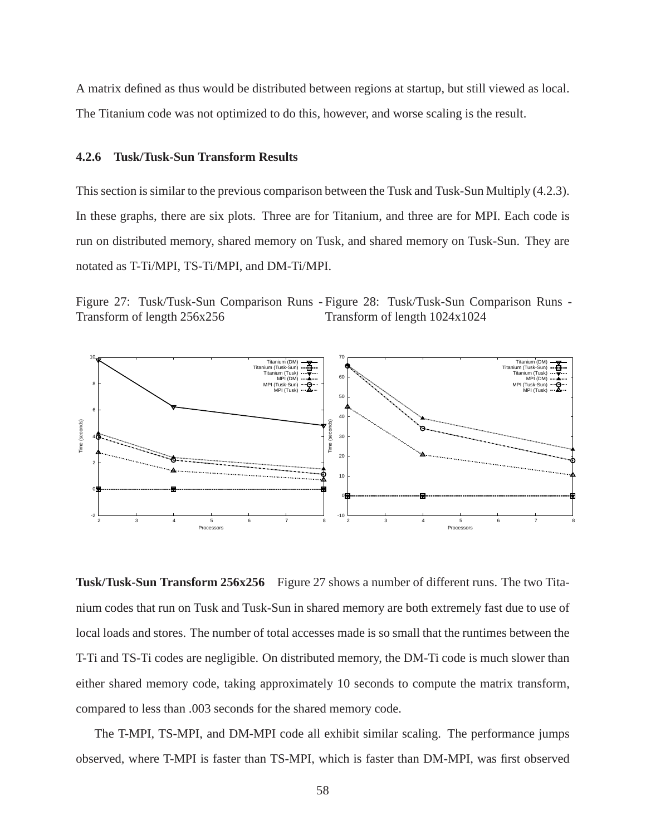A matrix defined as thus would be distributed between regions at startup, but still viewed as local. The Titanium code was not optimized to do this, however, and worse scaling is the result.

# **4.2.6 Tusk/Tusk-Sun Transform Results**

This section is similar to the previous comparison between the Tusk and Tusk-Sun Multiply (4.2.3). In these graphs, there are six plots. Three are for Titanium, and three are for MPI. Each code is run on distributed memory, shared memory on Tusk, and shared memory on Tusk-Sun. They are notated as T-Ti/MPI, TS-Ti/MPI, and DM-Ti/MPI.

Figure 27: Tusk/Tusk-Sun Comparison Runs - Figure 28: Tusk/Tusk-Sun Comparison Runs - Transform of length 256x256 Transform of length 1024x1024



**Tusk/Tusk-Sun Transform 256x256** Figure 27 shows a number of different runs. The two Titanium codes that run on Tusk and Tusk-Sun in shared memory are both extremely fast due to use of local loads and stores. The number of total accesses made is so small that the runtimes between the T-Ti and TS-Ti codes are negligible. On distributed memory, the DM-Ti code is much slower than either shared memory code, taking approximately 10 seconds to compute the matrix transform, compared to less than .003 seconds for the shared memory code.

The T-MPI, TS-MPI, and DM-MPI code all exhibit similar scaling. The performance jumps observed, where T-MPI is faster than TS-MPI, which is faster than DM-MPI, was first observed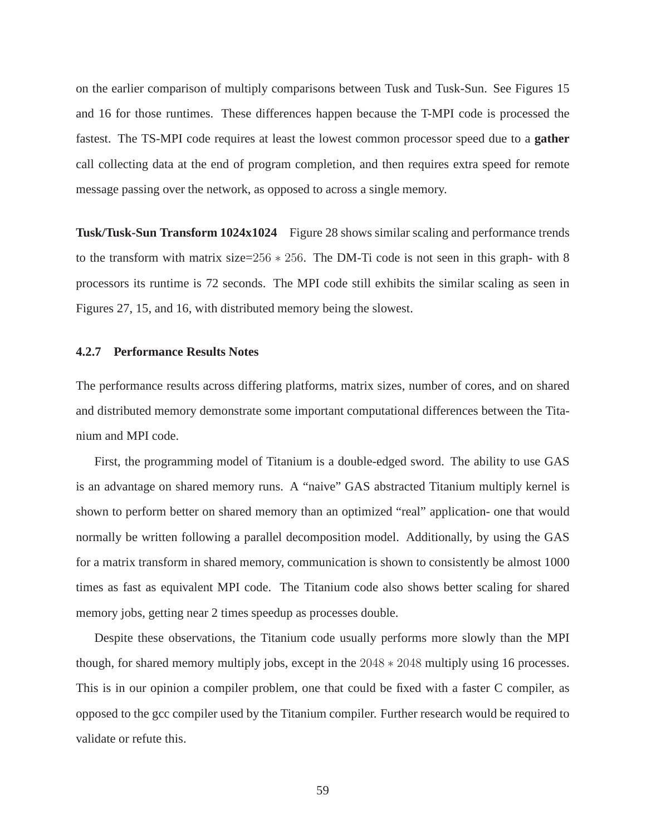on the earlier comparison of multiply comparisons between Tusk and Tusk-Sun. See Figures 15 and 16 for those runtimes. These differences happen because the T-MPI code is processed the fastest. The TS-MPI code requires at least the lowest common processor speed due to a **gather** call collecting data at the end of program completion, and then requires extra speed for remote message passing over the network, as opposed to across a single memory.

**Tusk/Tusk-Sun Transform 1024x1024** Figure 28 shows similar scaling and performance trends to the transform with matrix size=256 ∗ 256. The DM-Ti code is not seen in this graph- with 8 processors its runtime is 72 seconds. The MPI code still exhibits the similar scaling as seen in Figures 27, 15, and 16, with distributed memory being the slowest.

### **4.2.7 Performance Results Notes**

The performance results across differing platforms, matrix sizes, number of cores, and on shared and distributed memory demonstrate some important computational differences between the Titanium and MPI code.

First, the programming model of Titanium is a double-edged sword. The ability to use GAS is an advantage on shared memory runs. A "naive" GAS abstracted Titanium multiply kernel is shown to perform better on shared memory than an optimized "real" application- one that would normally be written following a parallel decomposition model. Additionally, by using the GAS for a matrix transform in shared memory, communication is shown to consistently be almost 1000 times as fast as equivalent MPI code. The Titanium code also shows better scaling for shared memory jobs, getting near 2 times speedup as processes double.

Despite these observations, the Titanium code usually performs more slowly than the MPI though, for shared memory multiply jobs, except in the 2048 ∗ 2048 multiply using 16 processes. This is in our opinion a compiler problem, one that could be fixed with a faster C compiler, as opposed to the gcc compiler used by the Titanium compiler. Further research would be required to validate or refute this.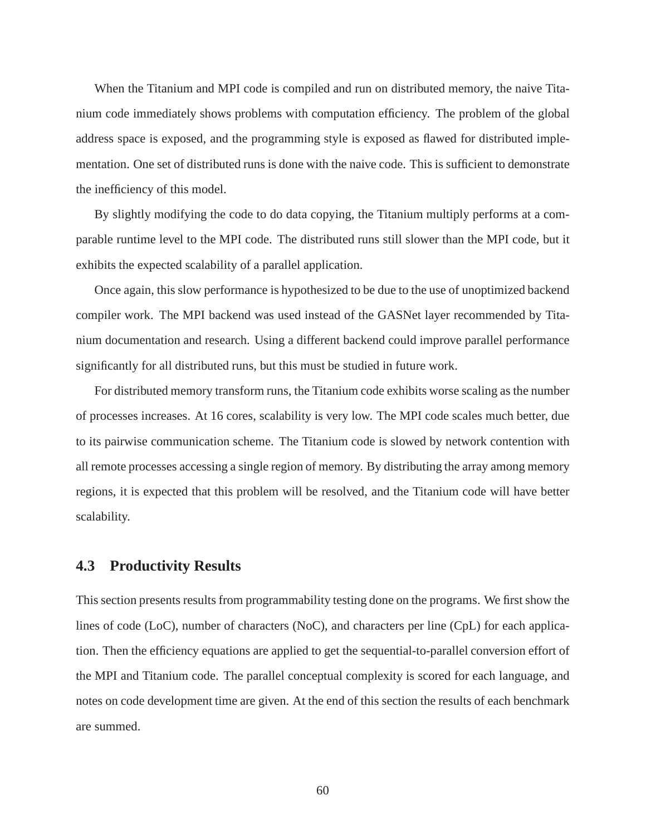When the Titanium and MPI code is compiled and run on distributed memory, the naive Titanium code immediately shows problems with computation efficiency. The problem of the global address space is exposed, and the programming style is exposed as flawed for distributed implementation. One set of distributed runs is done with the naive code. This is sufficient to demonstrate the inefficiency of this model.

By slightly modifying the code to do data copying, the Titanium multiply performs at a comparable runtime level to the MPI code. The distributed runs still slower than the MPI code, but it exhibits the expected scalability of a parallel application.

Once again, this slow performance is hypothesized to be due to the use of unoptimized backend compiler work. The MPI backend was used instead of the GASNet layer recommended by Titanium documentation and research. Using a different backend could improve parallel performance significantly for all distributed runs, but this must be studied in future work.

For distributed memory transform runs, the Titanium code exhibits worse scaling as the number of processes increases. At 16 cores, scalability is very low. The MPI code scales much better, due to its pairwise communication scheme. The Titanium code is slowed by network contention with all remote processes accessing a single region of memory. By distributing the array among memory regions, it is expected that this problem will be resolved, and the Titanium code will have better scalability.

# **4.3 Productivity Results**

This section presents results from programmability testing done on the programs. We first show the lines of code (LoC), number of characters (NoC), and characters per line (CpL) for each application. Then the efficiency equations are applied to get the sequential-to-parallel conversion effort of the MPI and Titanium code. The parallel conceptual complexity is scored for each language, and notes on code development time are given. At the end of this section the results of each benchmark are summed.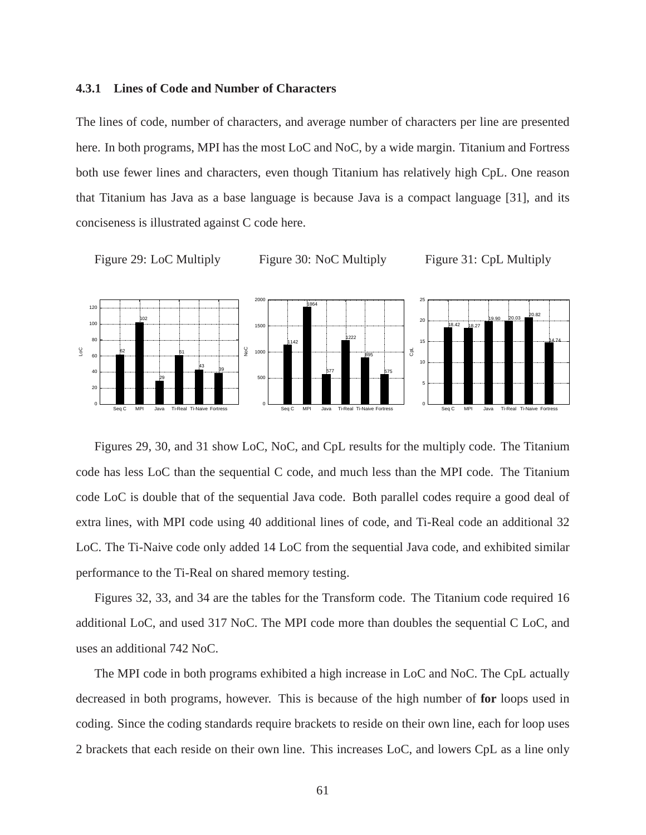## **4.3.1 Lines of Code and Number of Characters**

The lines of code, number of characters, and average number of characters per line are presented here. In both programs, MPI has the most LoC and NoC, by a wide margin. Titanium and Fortress both use fewer lines and characters, even though Titanium has relatively high CpL. One reason that Titanium has Java as a base language is because Java is a compact language [31], and its conciseness is illustrated against C code here.



Figure 30: NoC Multiply

Figure 31: CpL Multiply



Figures 29, 30, and 31 show LoC, NoC, and CpL results for the multiply code. The Titanium code has less LoC than the sequential C code, and much less than the MPI code. The Titanium code LoC is double that of the sequential Java code. Both parallel codes require a good deal of extra lines, with MPI code using 40 additional lines of code, and Ti-Real code an additional 32 LoC. The Ti-Naive code only added 14 LoC from the sequential Java code, and exhibited similar performance to the Ti-Real on shared memory testing.

Figures 32, 33, and 34 are the tables for the Transform code. The Titanium code required 16 additional LoC, and used 317 NoC. The MPI code more than doubles the sequential C LoC, and uses an additional 742 NoC.

The MPI code in both programs exhibited a high increase in LoC and NoC. The CpL actually decreased in both programs, however. This is because of the high number of **for** loops used in coding. Since the coding standards require brackets to reside on their own line, each for loop uses 2 brackets that each reside on their own line. This increases LoC, and lowers CpL as a line only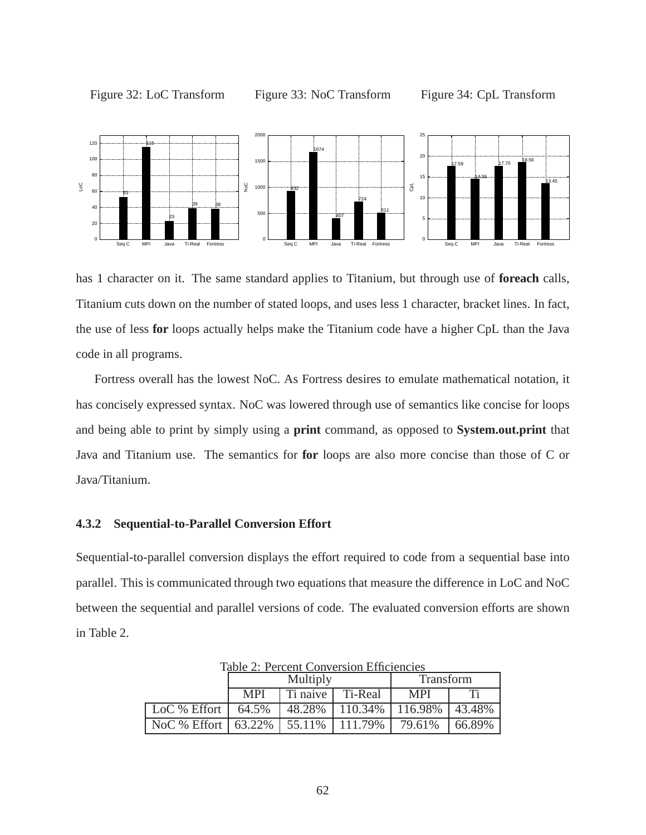

Figure 33: NoC Transform



has 1 character on it. The same standard applies to Titanium, but through use of **foreach** calls, Titanium cuts down on the number of stated loops, and uses less 1 character, bracket lines. In fact, the use of less **for** loops actually helps make the Titanium code have a higher CpL than the Java code in all programs.

Fortress overall has the lowest NoC. As Fortress desires to emulate mathematical notation, it has concisely expressed syntax. NoC was lowered through use of semantics like concise for loops and being able to print by simply using a **print** command, as opposed to **System.out.print** that Java and Titanium use. The semantics for **for** loops are also more concise than those of C or Java/Titanium.

# **4.3.2 Sequential-to-Parallel Conversion Effort**

Sequential-to-parallel conversion displays the effort required to code from a sequential base into parallel. This is communicated through two equations that measure the difference in LoC and NoC between the sequential and parallel versions of code. The evaluated conversion efforts are shown in Table 2.

|                | Multiply   |          |         | Transform  |        |
|----------------|------------|----------|---------|------------|--------|
|                | <b>MPI</b> | Ti naive | Ti-Real | MPI        |        |
| $LoC$ % Effort | 64.5%      | 48.28%   | 110.34% | $116.98\%$ | 43.48% |
| NoC $%$ Effort | 63.22%     | 55.11\%  | 111.79% | 79.61%     | 66.89% |

Table 2: Percent Conversion Efficiencies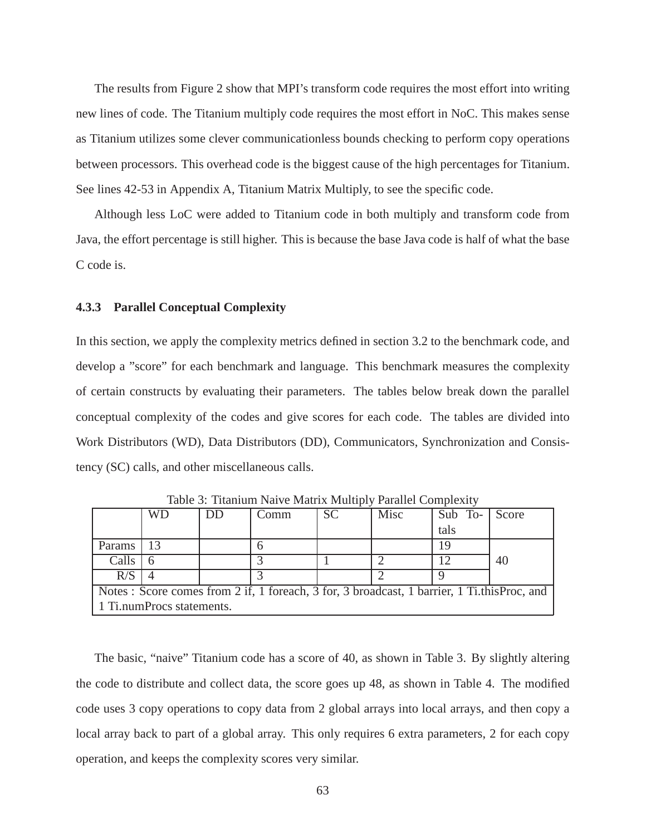The results from Figure 2 show that MPI's transform code requires the most effort into writing new lines of code. The Titanium multiply code requires the most effort in NoC. This makes sense as Titanium utilizes some clever communicationless bounds checking to perform copy operations between processors. This overhead code is the biggest cause of the high percentages for Titanium. See lines 42-53 in Appendix A, Titanium Matrix Multiply, to see the specific code.

Although less LoC were added to Titanium code in both multiply and transform code from Java, the effort percentage is still higher. This is because the base Java code is half of what the base C code is.

#### **4.3.3 Parallel Conceptual Complexity**

In this section, we apply the complexity metrics defined in section 3.2 to the benchmark code, and develop a "score" for each benchmark and language. This benchmark measures the complexity of certain constructs by evaluating their parameters. The tables below break down the parallel conceptual complexity of the codes and give scores for each code. The tables are divided into Work Distributors (WD), Data Distributors (DD), Communicators, Synchronization and Consistency (SC) calls, and other miscellaneous calls.

|        | WD                        | DD | Comm                                                                                        | <b>SC</b> | Misc | Sub To- | Score |
|--------|---------------------------|----|---------------------------------------------------------------------------------------------|-----------|------|---------|-------|
|        |                           |    |                                                                                             |           |      | tals    |       |
| Params |                           |    |                                                                                             |           |      |         |       |
| Calls  |                           |    |                                                                                             |           |      |         | 40    |
| R/S    |                           |    |                                                                                             |           |      |         |       |
|        |                           |    | Notes: Score comes from 2 if, 1 foreach, 3 for, 3 broadcast, 1 barrier, 1 Ti.this Proc, and |           |      |         |       |
|        | 1 Ti.numProcs statements. |    |                                                                                             |           |      |         |       |

Table 3: Titanium Naive Matrix Multiply Parallel Complexity

The basic, "naive" Titanium code has a score of 40, as shown in Table 3. By slightly altering the code to distribute and collect data, the score goes up 48, as shown in Table 4. The modified code uses 3 copy operations to copy data from 2 global arrays into local arrays, and then copy a local array back to part of a global array. This only requires 6 extra parameters, 2 for each copy operation, and keeps the complexity scores very similar.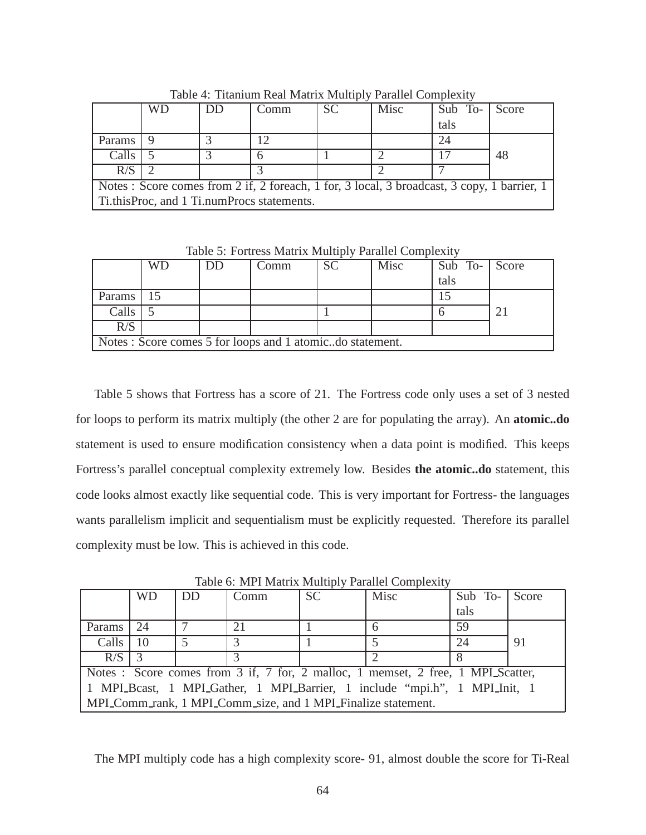|        |                                            |  | $\cdots$ a a version which a version is a version is a version $\beta$                      |           |      |         |       |  |  |
|--------|--------------------------------------------|--|---------------------------------------------------------------------------------------------|-----------|------|---------|-------|--|--|
|        | <b>WD</b>                                  |  | Comm                                                                                        | <b>SC</b> | Misc | Sub To- | Score |  |  |
|        |                                            |  |                                                                                             |           |      | tals    |       |  |  |
| Params |                                            |  |                                                                                             |           |      | 24      |       |  |  |
| Calls  |                                            |  |                                                                                             |           |      |         | 48    |  |  |
| R/S    |                                            |  |                                                                                             |           |      |         |       |  |  |
|        |                                            |  | Notes: Score comes from 2 if, 2 for each, 1 for, 3 local, 3 broadcast, 3 copy, 1 barrier, 1 |           |      |         |       |  |  |
|        | Ti.thisProc, and 1 Ti.numProcs statements. |  |                                                                                             |           |      |         |       |  |  |

Table 4: Titanium Real Matrix Multiply Parallel Complexity

Table 5: Fortress Matrix Multiply Parallel Complexity

|                                                           | WD | DD | Comm |  | Misc | Sub To- Score |   |  |
|-----------------------------------------------------------|----|----|------|--|------|---------------|---|--|
|                                                           |    |    |      |  |      | tals          |   |  |
| Params                                                    |    |    |      |  |      |               |   |  |
| Calls                                                     |    |    |      |  |      |               | ∍ |  |
| R/S                                                       |    |    |      |  |      |               |   |  |
| Notes : Score comes 5 for loops and 1 atomicdo statement. |    |    |      |  |      |               |   |  |

Table 5 shows that Fortress has a score of 21. The Fortress code only uses a set of 3 nested for loops to perform its matrix multiply (the other 2 are for populating the array). An **atomic..do** statement is used to ensure modification consistency when a data point is modified. This keeps Fortress's parallel conceptual complexity extremely low. Besides **the atomic..do** statement, this code looks almost exactly like sequential code. This is very important for Fortress- the languages wants parallelism implicit and sequentialism must be explicitly requested. Therefore its parallel complexity must be low. This is achieved in this code.

|        | <b>WD</b> | DD | Comm                                                       | <b>SC</b> | Misc                                                                             | Sub To- Score |    |
|--------|-----------|----|------------------------------------------------------------|-----------|----------------------------------------------------------------------------------|---------------|----|
|        |           |    |                                                            |           |                                                                                  | tals          |    |
| Params | 24        |    | 21                                                         |           |                                                                                  | 59            |    |
| Calls  |           |    |                                                            |           |                                                                                  | 24            | 91 |
| R/S    |           |    |                                                            |           |                                                                                  |               |    |
|        |           |    |                                                            |           | Notes : Score comes from 3 if, 7 for, 2 malloc, 1 memset, 2 free, 1 MPL Scatter, |               |    |
|        |           |    |                                                            |           | 1 MPLBcast, 1 MPLGather, 1 MPLBarrier, 1 include "mpi.h", 1 MPLInit, 1           |               |    |
|        |           |    | MPLComm_rank, 1 MPLComm_size, and 1 MPLFinalize statement. |           |                                                                                  |               |    |

Table 6: MPI Matrix Multiply Parallel Complexity

The MPI multiply code has a high complexity score- 91, almost double the score for Ti-Real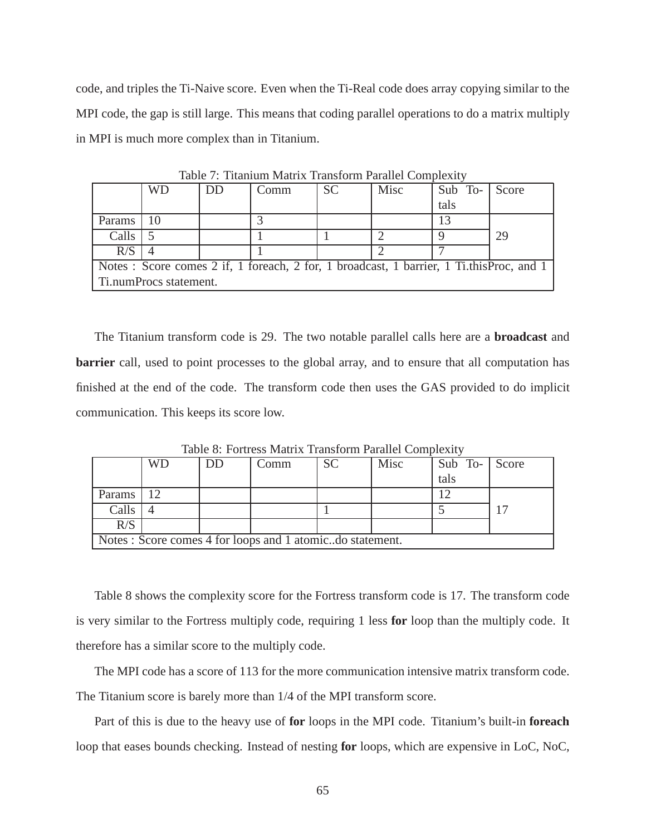code, and triples the Ti-Naive score. Even when the Ti-Real code does array copying similar to the MPI code, the gap is still large. This means that coding parallel operations to do a matrix multiply in MPI is much more complex than in Titanium.

|        | WD                     | DD | Comm                                                                                     | <b>SC</b> | Misc | Sub To- | Score |
|--------|------------------------|----|------------------------------------------------------------------------------------------|-----------|------|---------|-------|
|        |                        |    |                                                                                          |           |      | tals    |       |
| Params |                        |    |                                                                                          |           |      |         |       |
| Calls  |                        |    |                                                                                          |           |      |         | 29    |
| R/S    |                        |    |                                                                                          |           |      |         |       |
|        |                        |    | Notes: Score comes 2 if, 1 foreach, 2 for, 1 broadcast, 1 barrier, 1 Ti.this Proc, and 1 |           |      |         |       |
|        | Ti.numProcs statement. |    |                                                                                          |           |      |         |       |

Table 7: Titanium Matrix Transform Parallel Complexity

The Titanium transform code is 29. The two notable parallel calls here are a **broadcast** and **barrier** call, used to point processes to the global array, and to ensure that all computation has finished at the end of the code. The transform code then uses the GAS provided to do implicit communication. This keeps its score low.

|        | WD | DD | Comm                                                      | <b>SC</b> | Misc | Sub To- Score |  |
|--------|----|----|-----------------------------------------------------------|-----------|------|---------------|--|
|        |    |    |                                                           |           |      | tals          |  |
| Params |    |    |                                                           |           |      | 12            |  |
| Calls  |    |    |                                                           |           |      |               |  |
| R/S    |    |    |                                                           |           |      |               |  |
|        |    |    | Notes : Score comes 4 for loops and 1 atomicdo statement. |           |      |               |  |

Table 8: Fortress Matrix Transform Parallel Complexity

Table 8 shows the complexity score for the Fortress transform code is 17. The transform code is very similar to the Fortress multiply code, requiring 1 less **for** loop than the multiply code. It therefore has a similar score to the multiply code.

The MPI code has a score of 113 for the more communication intensive matrix transform code. The Titanium score is barely more than 1/4 of the MPI transform score.

Part of this is due to the heavy use of **for** loops in the MPI code. Titanium's built-in **foreach** loop that eases bounds checking. Instead of nesting **for** loops, which are expensive in LoC, NoC,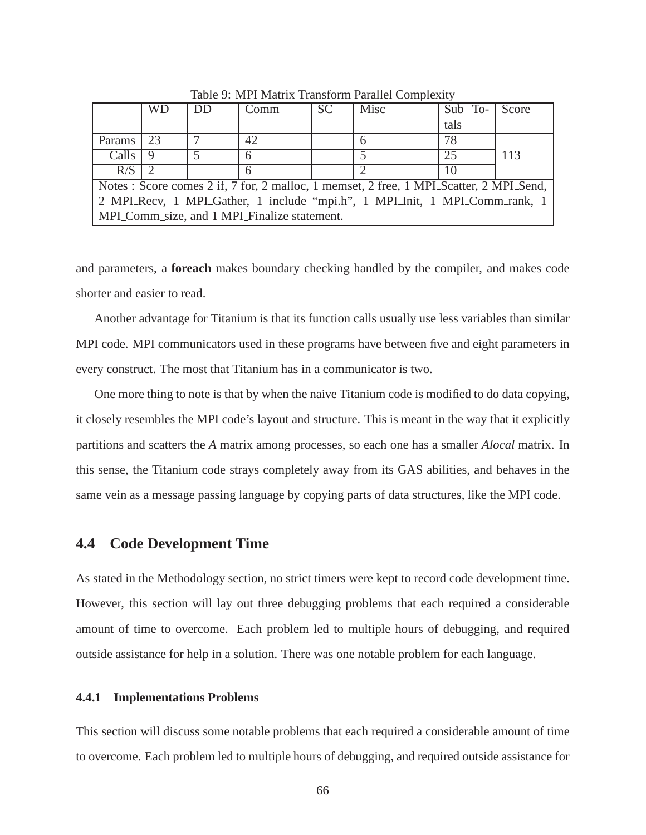|        | WD |  | Comm                                         | <b>SC</b> | Misc                                                                                   | Sub To- | Score |
|--------|----|--|----------------------------------------------|-----------|----------------------------------------------------------------------------------------|---------|-------|
|        |    |  |                                              |           |                                                                                        | tals    |       |
| Params | 23 |  | 42                                           |           |                                                                                        | 78      |       |
| Calls  |    |  |                                              |           |                                                                                        | 25      | 113   |
| R/S    |    |  |                                              |           |                                                                                        | 10      |       |
|        |    |  |                                              |           | Notes: Score comes 2 if, 7 for, 2 malloc, 1 memset, 2 free, 1 MPL Scatter, 2 MPL Send, |         |       |
|        |    |  |                                              |           | 2 MPLRecv, 1 MPLGather, 1 include "mpi.h", 1 MPLInit, 1 MPLComm_rank, 1                |         |       |
|        |    |  | MPL Comm_size, and 1 MPL Finalize statement. |           |                                                                                        |         |       |

Table 9: MPI Matrix Transform Parallel Complexity

and parameters, a **foreach** makes boundary checking handled by the compiler, and makes code shorter and easier to read.

Another advantage for Titanium is that its function calls usually use less variables than similar MPI code. MPI communicators used in these programs have between five and eight parameters in every construct. The most that Titanium has in a communicator is two.

One more thing to note is that by when the naive Titanium code is modified to do data copying, it closely resembles the MPI code's layout and structure. This is meant in the way that it explicitly partitions and scatters the *A* matrix among processes, so each one has a smaller *Alocal* matrix. In this sense, the Titanium code strays completely away from its GAS abilities, and behaves in the same vein as a message passing language by copying parts of data structures, like the MPI code.

#### **4.4 Code Development Time**

As stated in the Methodology section, no strict timers were kept to record code development time. However, this section will lay out three debugging problems that each required a considerable amount of time to overcome. Each problem led to multiple hours of debugging, and required outside assistance for help in a solution. There was one notable problem for each language.

#### **4.4.1 Implementations Problems**

This section will discuss some notable problems that each required a considerable amount of time to overcome. Each problem led to multiple hours of debugging, and required outside assistance for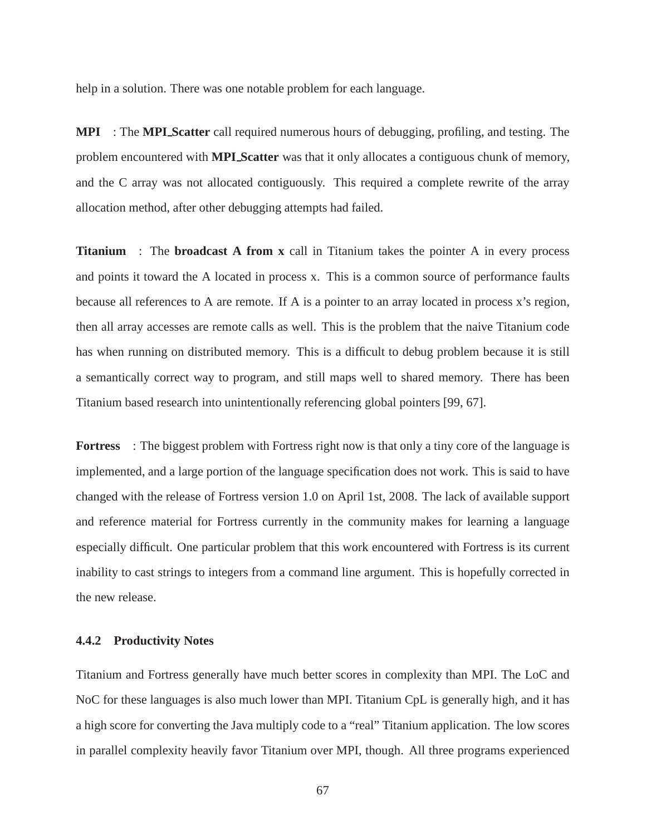help in a solution. There was one notable problem for each language.

**MPI** : The **MPI Scatter** call required numerous hours of debugging, profiling, and testing. The problem encountered with **MPI Scatter** was that it only allocates a contiguous chunk of memory, and the C array was not allocated contiguously. This required a complete rewrite of the array allocation method, after other debugging attempts had failed.

**Titanium** : The **broadcast A from x** call in Titanium takes the pointer A in every process and points it toward the A located in process x. This is a common source of performance faults because all references to A are remote. If A is a pointer to an array located in process x's region, then all array accesses are remote calls as well. This is the problem that the naive Titanium code has when running on distributed memory. This is a difficult to debug problem because it is still a semantically correct way to program, and still maps well to shared memory. There has been Titanium based research into unintentionally referencing global pointers [99, 67].

**Fortress** : The biggest problem with Fortress right now is that only a tiny core of the language is implemented, and a large portion of the language specification does not work. This is said to have changed with the release of Fortress version 1.0 on April 1st, 2008. The lack of available support and reference material for Fortress currently in the community makes for learning a language especially difficult. One particular problem that this work encountered with Fortress is its current inability to cast strings to integers from a command line argument. This is hopefully corrected in the new release.

#### **4.4.2 Productivity Notes**

Titanium and Fortress generally have much better scores in complexity than MPI. The LoC and NoC for these languages is also much lower than MPI. Titanium CpL is generally high, and it has a high score for converting the Java multiply code to a "real" Titanium application. The low scores in parallel complexity heavily favor Titanium over MPI, though. All three programs experienced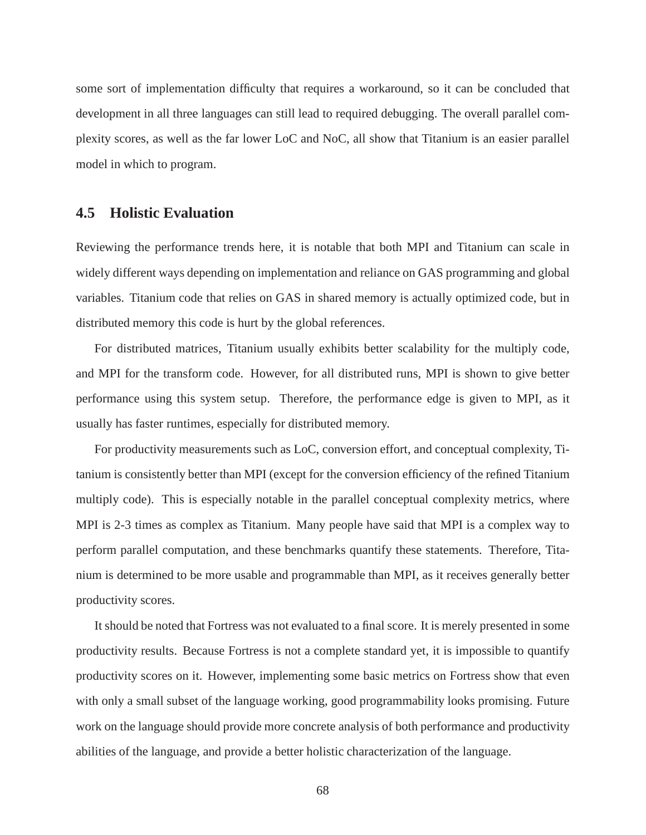some sort of implementation difficulty that requires a workaround, so it can be concluded that development in all three languages can still lead to required debugging. The overall parallel complexity scores, as well as the far lower LoC and NoC, all show that Titanium is an easier parallel model in which to program.

#### **4.5 Holistic Evaluation**

Reviewing the performance trends here, it is notable that both MPI and Titanium can scale in widely different ways depending on implementation and reliance on GAS programming and global variables. Titanium code that relies on GAS in shared memory is actually optimized code, but in distributed memory this code is hurt by the global references.

For distributed matrices, Titanium usually exhibits better scalability for the multiply code, and MPI for the transform code. However, for all distributed runs, MPI is shown to give better performance using this system setup. Therefore, the performance edge is given to MPI, as it usually has faster runtimes, especially for distributed memory.

For productivity measurements such as LoC, conversion effort, and conceptual complexity, Titanium is consistently better than MPI (except for the conversion efficiency of the refined Titanium multiply code). This is especially notable in the parallel conceptual complexity metrics, where MPI is 2-3 times as complex as Titanium. Many people have said that MPI is a complex way to perform parallel computation, and these benchmarks quantify these statements. Therefore, Titanium is determined to be more usable and programmable than MPI, as it receives generally better productivity scores.

It should be noted that Fortress was not evaluated to a final score. It is merely presented in some productivity results. Because Fortress is not a complete standard yet, it is impossible to quantify productivity scores on it. However, implementing some basic metrics on Fortress show that even with only a small subset of the language working, good programmability looks promising. Future work on the language should provide more concrete analysis of both performance and productivity abilities of the language, and provide a better holistic characterization of the language.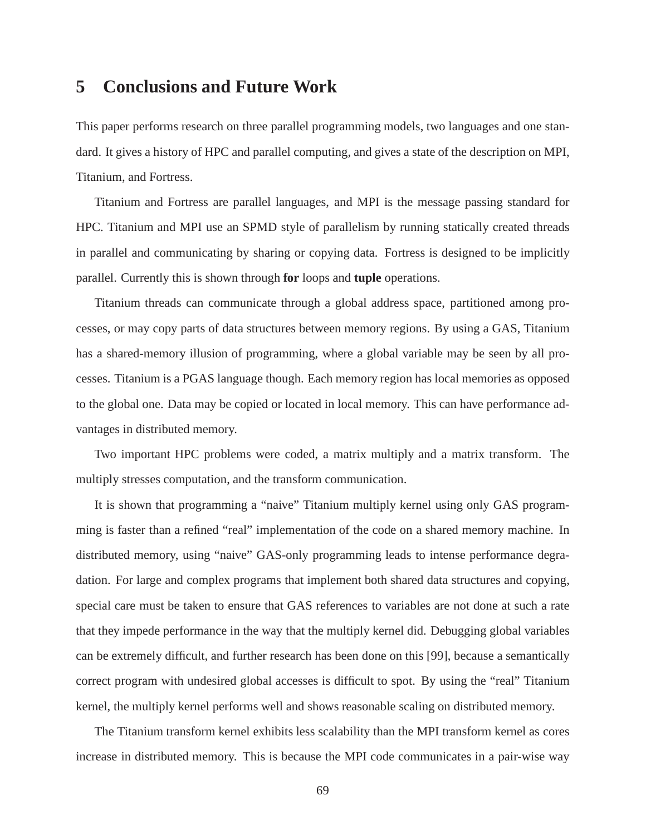## **5 Conclusions and Future Work**

This paper performs research on three parallel programming models, two languages and one standard. It gives a history of HPC and parallel computing, and gives a state of the description on MPI, Titanium, and Fortress.

Titanium and Fortress are parallel languages, and MPI is the message passing standard for HPC. Titanium and MPI use an SPMD style of parallelism by running statically created threads in parallel and communicating by sharing or copying data. Fortress is designed to be implicitly parallel. Currently this is shown through **for** loops and **tuple** operations.

Titanium threads can communicate through a global address space, partitioned among processes, or may copy parts of data structures between memory regions. By using a GAS, Titanium has a shared-memory illusion of programming, where a global variable may be seen by all processes. Titanium is a PGAS language though. Each memory region has local memories as opposed to the global one. Data may be copied or located in local memory. This can have performance advantages in distributed memory.

Two important HPC problems were coded, a matrix multiply and a matrix transform. The multiply stresses computation, and the transform communication.

It is shown that programming a "naive" Titanium multiply kernel using only GAS programming is faster than a refined "real" implementation of the code on a shared memory machine. In distributed memory, using "naive" GAS-only programming leads to intense performance degradation. For large and complex programs that implement both shared data structures and copying, special care must be taken to ensure that GAS references to variables are not done at such a rate that they impede performance in the way that the multiply kernel did. Debugging global variables can be extremely difficult, and further research has been done on this [99], because a semantically correct program with undesired global accesses is difficult to spot. By using the "real" Titanium kernel, the multiply kernel performs well and shows reasonable scaling on distributed memory.

The Titanium transform kernel exhibits less scalability than the MPI transform kernel as cores increase in distributed memory. This is because the MPI code communicates in a pair-wise way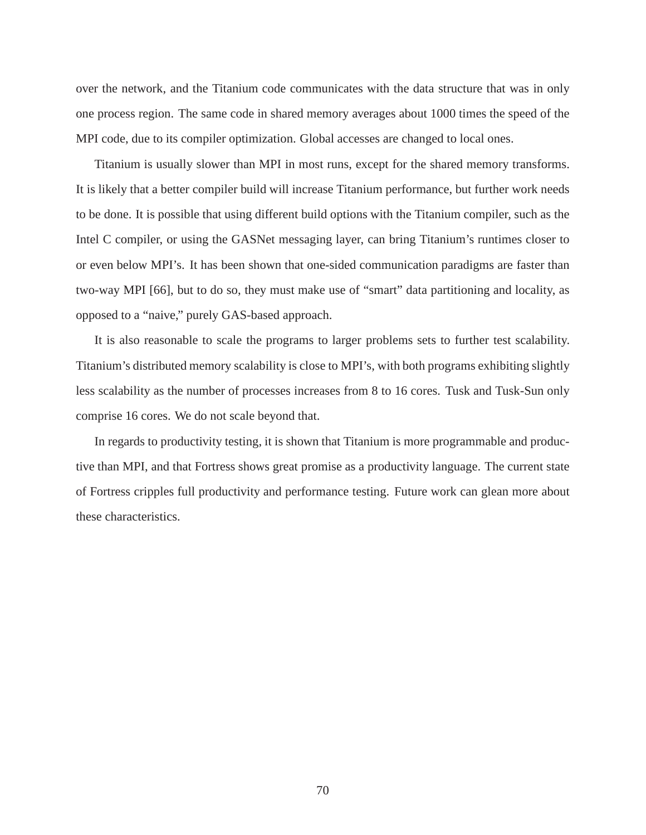over the network, and the Titanium code communicates with the data structure that was in only one process region. The same code in shared memory averages about 1000 times the speed of the MPI code, due to its compiler optimization. Global accesses are changed to local ones.

Titanium is usually slower than MPI in most runs, except for the shared memory transforms. It is likely that a better compiler build will increase Titanium performance, but further work needs to be done. It is possible that using different build options with the Titanium compiler, such as the Intel C compiler, or using the GASNet messaging layer, can bring Titanium's runtimes closer to or even below MPI's. It has been shown that one-sided communication paradigms are faster than two-way MPI [66], but to do so, they must make use of "smart" data partitioning and locality, as opposed to a "naive," purely GAS-based approach.

It is also reasonable to scale the programs to larger problems sets to further test scalability. Titanium's distributed memory scalability is close to MPI's, with both programs exhibiting slightly less scalability as the number of processes increases from 8 to 16 cores. Tusk and Tusk-Sun only comprise 16 cores. We do not scale beyond that.

In regards to productivity testing, it is shown that Titanium is more programmable and productive than MPI, and that Fortress shows great promise as a productivity language. The current state of Fortress cripples full productivity and performance testing. Future work can glean more about these characteristics.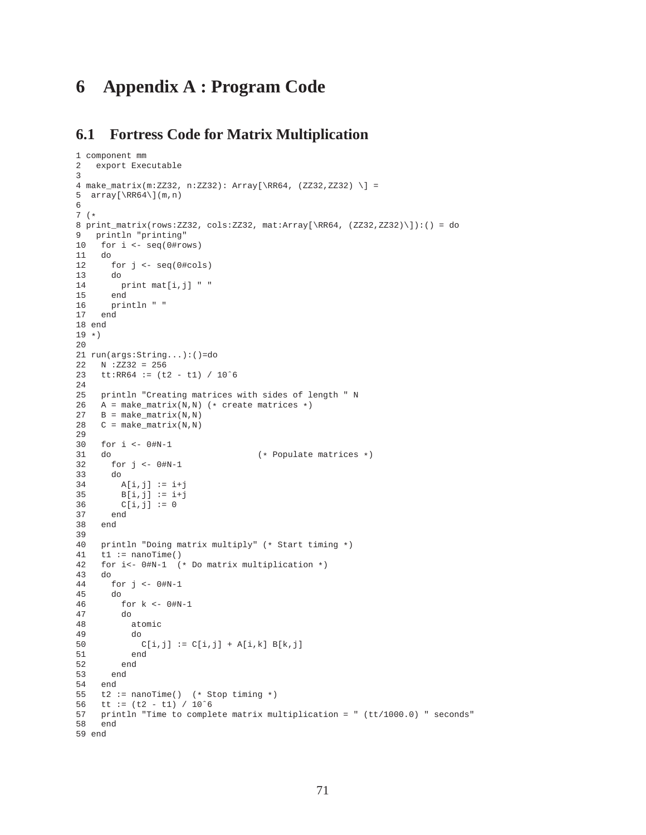# **6 Appendix A : Program Code**

### **6.1 Fortress Code for Matrix Multiplication**

```
1 component mm
2 export Executable
3
4 make_matrix(m:ZZ32, n:ZZ32): Array[\RR64, (ZZ32,ZZ32) \] =
5 array[\R{84}\m{m,n}6
7 (*
8 print_matrix(rows:ZZ32, cols:ZZ32, mat:Array[\RR64, (ZZ32,ZZ32)\]):() = do
9 println "printing"
10 for i <- seq(0#rows)
11 do
12 for j <- seq(0#cols)
13 do
14 print mat[i,j] " "
15 end
16 println " "
17 end
18 end
19 *20
21 run(args:String...):()=do
22 N :ZZ32 = 256
23 tt:RR64 := (t2 - t1) / 10ˆ6
24
25 println "Creating matrices with sides of length " N
26 A = make_matrix(N,N) (* create matrices *)
27 B = make_matrix(N,N)
28 C = make_matrix(N,N)
29
30 for i <- 0#N-1
31 do (*) Populate matrices *)<br>32 for j \leq -0 \text{#N} - 1for j \le 0 \# N-133 do
34 A[i,j] := i+j35 B[i,j] := i+j36 C[i, j] := 0<br>37 end
      37 end
38 end
39
40 println "Doing matrix multiply" (* Start timing *)<br>41 t1 := nanoTime()
   t1 := nanofime()42 for i<- 0#N-1 (* Do matrix multiplication *)
43 do
      for j \leftarrow 0 \# N-145 do
46 for k <- 0#N-1
47 do
          atomic
49 do
50 C[i,j] := C[i,j] + A[i,k] B[k,j]51 end
52 end
      53 end
54 end
55 t2 := nanofime() (* Stop timing *)
56 tt := (t2 - t1) / 10^657 println "Time to complete matrix multiplication = " (tt/1000.0) " seconds"<br>58 end
    58 end
59 end
```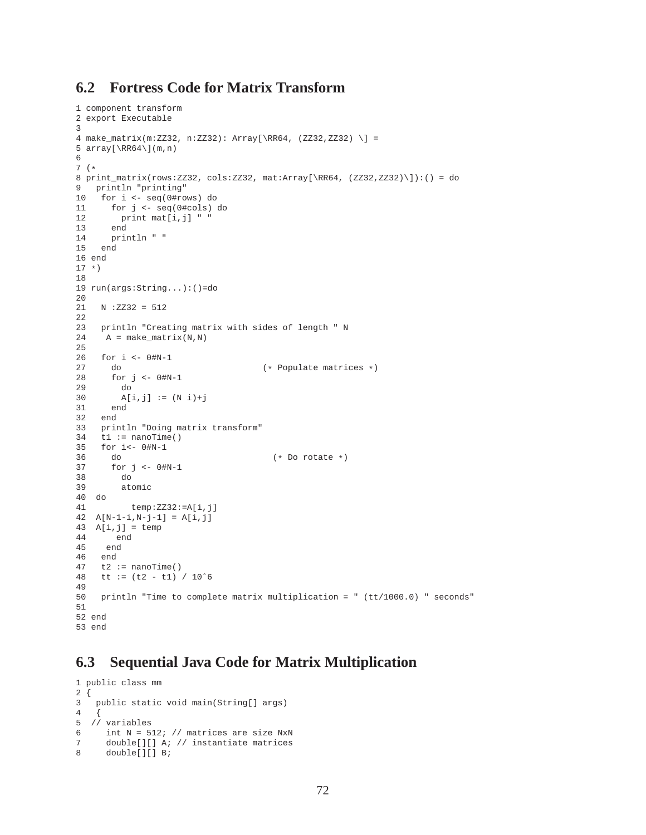### **6.2 Fortress Code for Matrix Transform**

```
1 component transform
2 export Executable
3
4 make_matrix(m:ZZ32, n:ZZ32): Array[\RR64, (ZZ32,ZZ32) \] =
5 array[\RRS4\](m,n)6
7 (*
8 print_matrix(rows:ZZ32, cols:ZZ32, mat:Array[\RR64, (ZZ32,ZZ32)\]):() = do
9 println "printing"
10 for i <- seq(0#rows) do
11 for j <- seq(0#cols) do
12 print mat[i,j] "
13 end
14 println " "
15 end
16 end
17 *)
18
19 run(args:String...):()=do
20
21 N :ZZ32 = 512
22
23 println "Creating matrix with sides of length " N
24 A = make_matrix(N,N)
25
26 for i <- 0#N-1
27 do (* Populate matrices *)<br>28 for i \le 0 #N-1
28 for j <- 0#N-1
       29 do
30 A[i, j] := (N i) + j31 end
32 end
33 println "Doing matrix transform"
34 t1 := nanoTime()
35 for i <- 0#N-1<br>36 do
36 do (*) Do rotate *)<br>37 for j \le -0#N-1
      for j \leftarrow 0 \# N-138 do
39 atomic
40 do
         temp:ZZ32:=A[i,j]42 A[N-1-i,N-j-1] = A[i,j]43 A[i,j] = temp44 end
45 end
    end
47 t2 := nanoTime()
48 tt := (t2 - t1) / 10ˆ6
49
50 println "Time to complete matrix multiplication = " (tt/1000.0) " seconds"
51
52 end
53 end
```
## **6.3 Sequential Java Code for Matrix Multiplication**

```
1 public class mm
\begin{matrix} 2 \\ 3 \end{matrix}.<br>public static void main(String[] args)
4 {
5 // variables
6 int N = 512; // matrices are size NxN
7 double[][] A; // instantiate matrices
8 double[][] B;
```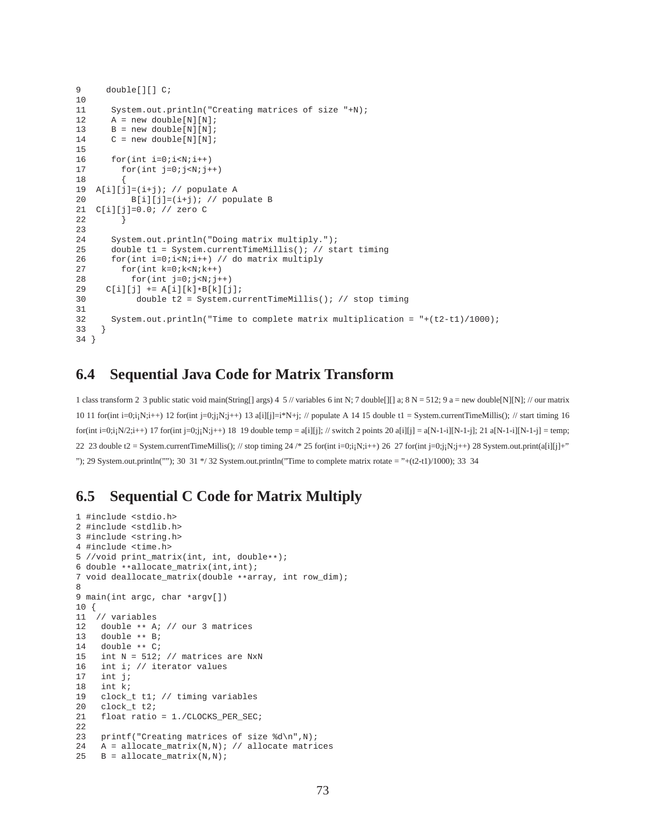```
9 double[][] C;
10
11 System.out.println("Creating matrices of size "+N);
12 A = new double[N][N];13 B = new double[N][N];14 C = new double[N][N];
15
16 for(int i=0;i\le N;i++)
17 for(int j=0; j<N;j++)18 {
19 A[i][j]=(i+j); // populate A
20 B[i][j]=(i+j); // populate B
21 C[i][j]=0.0; // zero C
22 }
23
24 System.out.println("Doing matrix multiply.");
25 double t1 = System.currentTimeMillis(); // start timing
26 for(int i=0;i<N;i++) // do matrix multiply
27 for(int k=0;k<N;k++)
28 for(int j=0; j< N; j++)<br>29 C[i][j] += A[i][k]*B[k][j
29 C[i][j] += A[i][k]*B[k][j];<br>30 double t2 = System.cu
            30 double t2 = System.currentTimeMillis(); // stop timing
31
32 System.out.println("Time to complete matrix multiplication = "+(t2-t1)/1000);
33 }
34 }
```
### **6.4 Sequential Java Code for Matrix Transform**

1 class transform 2 3 public static void main(String[] args) 4 5 // variables 6 int N; 7 double[][] a; 8 N = 512; 9 a = new double[N][N]; // our matrix 10 11 for(int i=0;i<sub>i</sub>N;i++) 12 for(int j=0;j<sub>i</sub>N;j++) 13 a[i][j]=i\*N+j; // populate A 14 15 double t1 = System.currentTimeMillis(); // start timing 16 for(int i=0;i<sub>1</sub>N/2;i++) 17 for(int j=0;j<sub>1</sub>N;j++) 18 19 double temp = a[i][j]; // switch 2 points 20 a[i][j] = a[N-1-i][N-1-j]; 21 a[N-1-i][N-1-j] = temp; 22 23 double t2 = System.currentTimeMillis(); // stop timing 24 /\* 25 for(int i=0;i<sub>i</sub>N;i++) 26 27 for(int j=0;j<sub>i</sub>N;j++) 28 System.out.print(a[i][j]+" "); 29 System.out.println(""); 30 31  $*/$  32 System.out.println("Time to complete matrix rotate = "+(t2-t1)/1000); 33 34

### **6.5 Sequential C Code for Matrix Multiply**

```
1 #include <stdio.h>
2 #include <stdlib.h>
3 #include <string.h>
4 #include <time.h>
5 //void print_matrix(int, int, double**);
6 double **allocate_matrix(int,int);
7 void deallocate_matrix(double **array, int row_dim);
8
9 main(int argc, char *argv[])
10 {
11 // variables
12 double ** A; \frac{1}{2} our 3 matrices<br>13 double ** B;
13 double ** B;<br>14 double ** C;
14 double ** C;<br>15 int N = 512;
     int N = 512; // matrices are NxN
16 int i; \frac{1}{17} int i;
    int j;
18 int k;
19 clock_t t1; // timing variables<br>20 clock_t t2;
     clock_t t2;
21 float ratio = 1./CLOCKS_PER_SEC;
22
23 printf("Creating matrices of size %d\n",N);
24 A = allocate_matrix(N,N); // allocate matrices
25 B = allocate_matrix(N,N);
```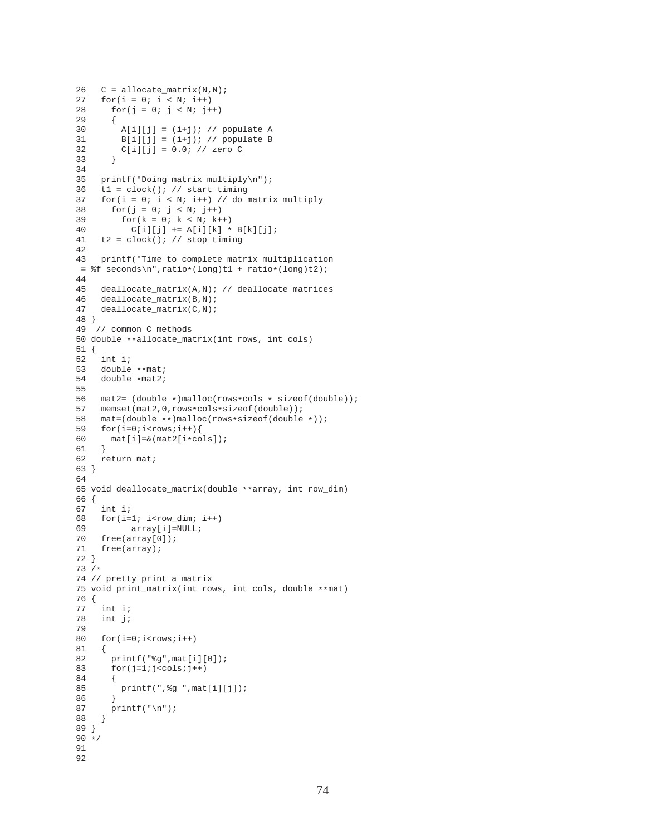```
26 C = \text{alloc\_matrix}(N, N);27 for(i = 0; i < N; i++)<br>
28 for(i = 0; i < N; i++)for(j = 0; j < N; j++)29 {
30 A[i][j] = (i+j); // populate A<br>31 B[i][j] = (i+j); // populate BB[i][j] = (i+j); // populate B32 C[i][j] = 0.0; // zero C<br>33 }
33 }
34
35 printf("Doing matrix multiply\n");<br>36 t1 = clock(); // start timing
     t1 = clock(); // start timing
37 for(i = 0; i < N; i++) // do matrix multiply<br>38 for(j = 0; j < N; j++)
      for(j = 0; j < N; j++)39 for(k = 0; k < N; k++)40 C[i][j] += A[i][k] * B[k][j];<br>41 t2 = clock(); // stop timing
     t2 = clock(); // stop timing
42
43 printf("Time to complete matrix multiplication
= f seconds\n", ratio*(long)t1 + ratio*(long)t2);
\frac{44}{45}deallocate_matrix(A,N); // deallocate matrices46 deallocate_matrix(B,N);
47 deallocate_matrix(C,N);
48 }
49 // common C methods
50 double **allocate_matrix(int rows, int cols)
51 {
52 int i;
53 double **mat;<br>54 double *mat2;
    double *mat2;
55
56 mat2= (double *)malloc(rows*cols * sizeof(double));
57 memset(mat2,0,rows*cols*sizeof(double));
58 mat=(double **)malloc(rows*sizeof(double *));<br>59 for(i=0;i<rows;i++){
    for(i=0,i<rows;i++)60 mat[i]=&(mat2[i*cols]);61 }
62 return mat;
63 }
64
65 void deallocate_matrix(double **array, int row_dim)
66 {
67 int i;
68 for(i=1; i<row\_dim; i++)<br>69 array[i]=NULL;array[i]=NULL;
70 free(array[0]);
71 free(array);
72 }
73 /*
74 // pretty print a matrix
75 void print_matrix(int rows, int cols, double **mat)
76 {
     int i;
78 int j;
79
80 for(i=0; i< rows;i++)81 {
82 printf("%g",mat[i][0]);
83 for(j=1;j < \text{cols}; j++)84 {
85 printf(", %g ", mat[i][j]);<br>86 }
86<br>87
       print(f("\n');88 }
89 }
90 */
91
92
```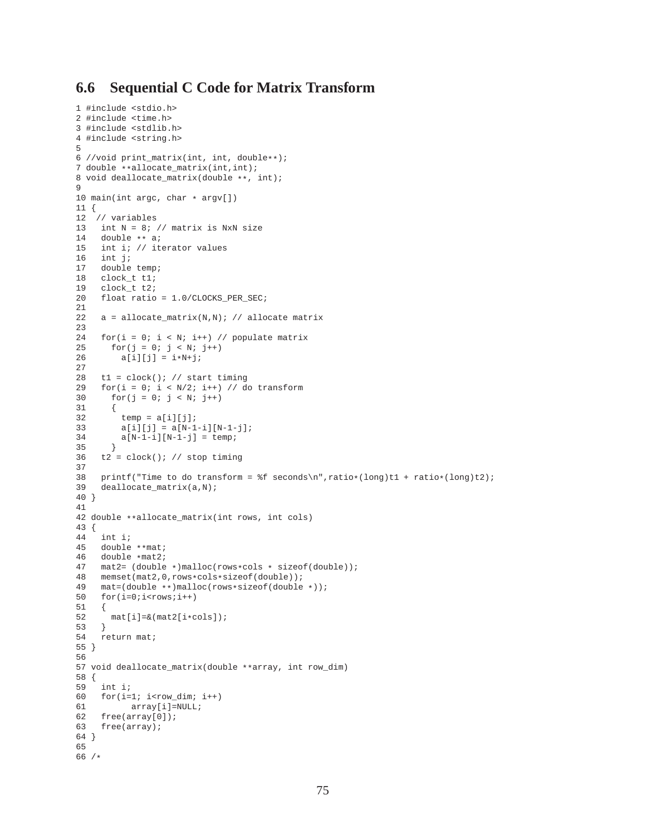### **6.6 Sequential C Code for Matrix Transform**

```
1 #include <stdio.h>
2 #include <time.h>
3 #include <stdlib.h>
4 #include <string.h>
5
6 //void print_matrix(int, int, double**);
7 double **allocate_matrix(int,int);
8 void deallocate_matrix(double **, int);
9
10 main(int argc, char * argv[])
11 {
12 // variables
13 int N = 8; // matrix is NxN size
14 double ** a;
15 int i; // iterator values
16 int j;<br>17 double
    double temp;
18 clock_t t1;
19 clock_t t2;
20 float ratio = 1.0/CLOCKS_PER_SEC;
\frac{21}{22}a = \text{allocate matrix}(N,N); // \text{ allocate matrix}23
24 for(i = 0; i < N; i++) // populate matrix<br>25 for(j = 0; j < N; j++)
      for(j = 0; j < N; j++)26 a[i][j] = i*N+j;27
28 t1 = clock(); // start timing
29 for(i = 0; i < N/2; i++) // do transform
30 for(j = 0; j < N; j++)31 {
32 temp = a[i][j];33 a[i][j] = a[N-1-i][N-1-j];34 a[N-1-i][N-1-j] = temp;35 }<br>36 t2
    t2 = clock(); // stop timing
37
38 printf("Time to do transform = %f seconds\n",ratio*(long)t1 + ratio*(long)t2);
39 deallocate_matrix(a,N);
40 }
41
42 double **allocate_matrix(int rows, int cols)
43 {
44 int i;
45 double **mat;<br>46 double *mat2;
46 double *mat2;<br>47 mat2 = (doublemat2= (double *)malloc(rows*cols * sizeof(double));
48 memset(mat2,0,rows*cols*sizeof(double));
49 mat=(double **)malloc(rows*sizeof(double *));
50 for(i=0; i< rows;i++)51 {
52 \text{mat}[i]=\&(\text{mat2}[i*\text{cols}]);53 }<br>54 r_0return mat;
55 }
56
57 void deallocate_matrix(double **array, int row_dim)
58 {
59 int i;
60 for(i=1; i<row\_dim; i++)<br>61 array[i]=NULL;array[i]=NULL;
62 free(array[0]);
63 free(array);
64 }
65
66 /*
```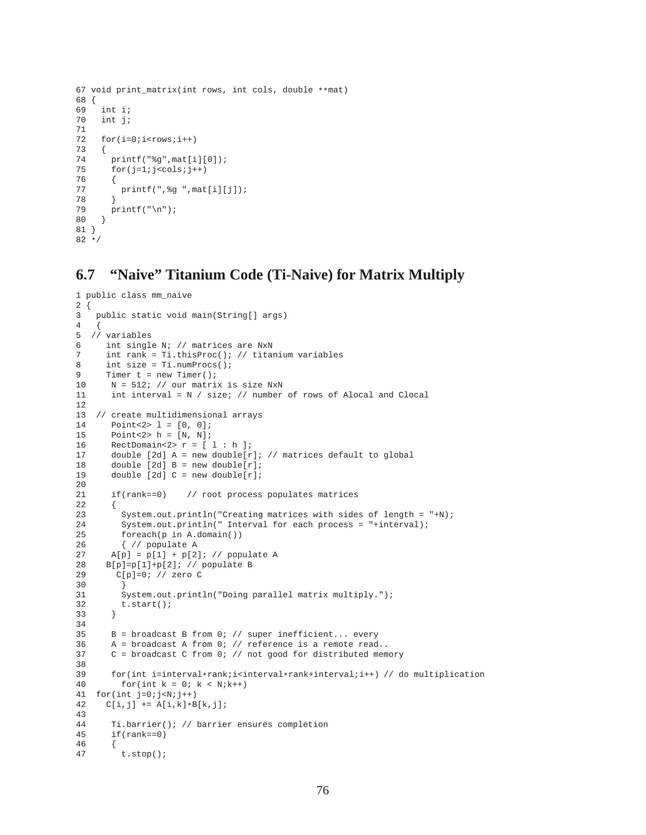```
67 void print_matrix(int rows, int cols, double **mat)
68 {
      int i;
70 int j;
71
72 for(i=0; i<rows;i++)\begin{array}{c} 73 \\ 74 \end{array}printf("eq",mat[i][0]);75 for(j=1:j<cols:j++)\begin{array}{c} 76 \\ 77 \end{array}printf(",%g ",mat[i][j]);<br>}
78 }
        printf("\n\rightharpoonupn");
80 }
81 }
82 */
```
### **6.7 "Naive" Titanium Code (Ti-Naive) for Matrix Multiply**

```
1 public class mm_naive
2 {
3 public static void main(String[] args)
\frac{4}{5}5 // variables
6 int single N; // matrices are NxN
7 int rank = Ti.thisProc(); // titanium variables<br>8 int size = Ti.numProcs();
      int size = Ti.numProcess();
9 Timer t = new Timer();<br>10 N = 512; // our matri
      N = 512; // our matrix is size NxN
11 int interval = N / size; // number of rows of Alocal and Clocal
12
13 // create multidimensional arrays
14 Point<2> 1 = [0, 0];<br>15 Point<2> h = [N, N];
       Point<2> h = [N, N];
16 RectDomain<2>r = [ 1 : h ];
17 double [2d] A = new double[r]; // matrices default to global
18 double [2d] B = new double[r];
19 double [2d] C = new double[r];
20
21 if(rank==0) // root process populates matrices
\begin{array}{c} 22 \\ 23 \end{array}System.out.println("Creating matrices with sides of length = "+N);
24 System.out.println(" Interval for each process = "+interval);
25 foreach(p in A.domain())
26 { // populate A
27 A[p] = p[1] + p[2]; // populate A
28 B[p]=p[1]+p[2]; // populate B
29 C[p]=0; // zero C
30 }
31 System.out.println("Doing parallel matrix multiply.");
32 t.start();
33 }
34
35 B = broadcast B from 0; // super inefficient... every
36 A = broadcast A from 0; // reference is a remote read..<br>37 C = broadcast C from 0; // not good for distributed mem
       C = broadcast C from 0; // not good for distributed memory
38<br>39
39 for(int i=interval*rank;i<interval*rank+interval;i++) // do multiplication for(int k = 0; k < N;k++)
         for(int k = 0; k < N;k++)
41 for(int j=0;j<N;j++)42 C[i, j] += A[i, k] * B[k, j];
43
44 Ti.barrier(); // barrier ensures completion
45 if(rank==0)
\begin{array}{c} 46 \\ 47 \end{array} {
         t.stop();
```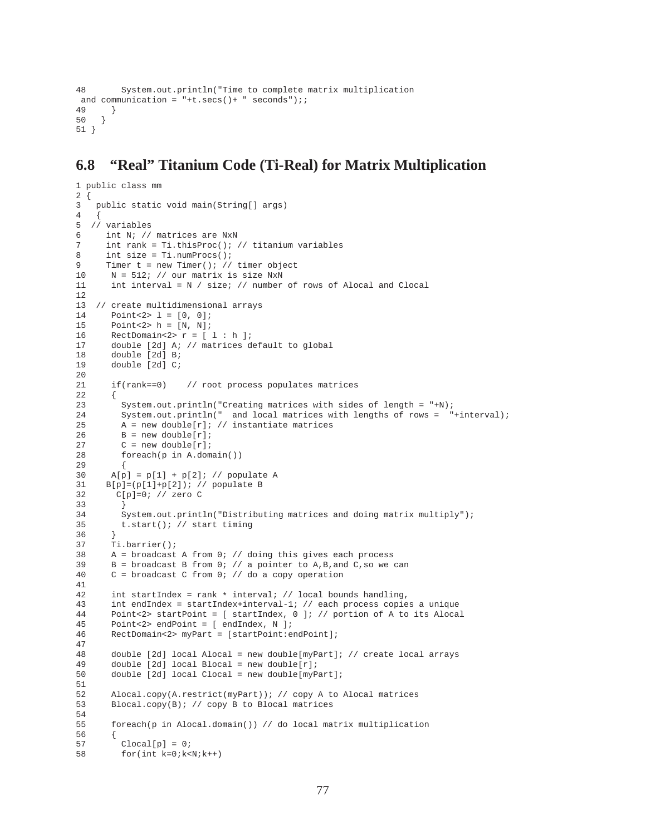```
48 System.out.println("Time to complete matrix multiplication
and communication = "+t.secs() + " seconds");;
49 }
50 }
51 }
```
### **6.8 "Real" Titanium Code (Ti-Real) for Matrix Multiplication**

```
1 public class mm
2 {
3 public static void main(String[] args)
4 {
5 // variables
6 int N; // matrices are NxN
7 int rank = Ti.thisProc(); // titanium variables
8 int size = Ti.numProcs();
9 Timer t = new Timer(); // timer object
10 N = 512; // our matrix is size NxN
11 int interval = N / size; // number of rows of Alocal and Clocal
12
13 // create multidimensional arrays
14 Point<2> 1 = [0, 0];
15 Point<2> h = [N, N];
16 RectDomain<2> r = [ 1 : h ];
17 double [2d] A; // matrices default to global
18 double [2d] B;<br>19 double [2d] C;
       double [2d] C;
\frac{20}{21}if(rank==0) // root process populates matrices
22 {
23 System.out.println("Creating matrices with sides of length = "+N);
24 System.out.println(" and local matrices with lengths of rows = "+interval);
25 A = new double[r]; // instantiate matrices<br>26 B = new double[r];
26 B = new double[r];<br>27 C = new double[r];
         C = new double[r];28 foreach(p in A.domain())
29 {
30 A[p] = p[1] + p[2]; // populate A
31 B[p]=(p[1]+p[2]); // populate B
32 C[p]=0; // zero C
\begin{array}{ccc} 33 & & & \\ 34 & & & S \end{array}System.out.println("Distributing matrices and doing matrix multiply");
35 t.start(); // start timing
36 }
37 Ti.barrier();
38 A = broadcast A from 0; // doing this gives each process
39 B = broadcast B from 0; // a pointer to A,B, and C, so we can
40 C = broadcast C from 0; // do a copy operation
41
42 int startIndex = rank * interval; // local bounds handling,<br>43 int endIndex = startIndex+interval-1; // each process copie
       int endIndex = startIndex+interval-1; // each process copies a unique
44 Point<2> startPoint = [ startIndex, 0 ]; // portion of A to its Alocal<br>45 point<2> endPoint = [ endIndex N ];
       Point<2> endPoint = [ endIndex, N ];
46 RectDomain<2> myPart = [startPoint:endPoint];
\frac{47}{48}double [2d] local Alocal = new double[myPart]; // create local arrays
49 double [2d] local Blocal = new double[r];<br>50 double [2d] local Clocal = new double[myP.
       double [2d] local Clocal = new double[myPart];
51
52 Alocal.copy(A.restrict(myPart)); // copy A to Alocal matrices
53 Blocal.copy(B); // copy B to Blocal matrices
54
55 foreach(p in Alocal.domain()) // do local matrix multiplication
56 {
57 Clocal[p] = 0;
58 for(int k=0;k<N;k++)
```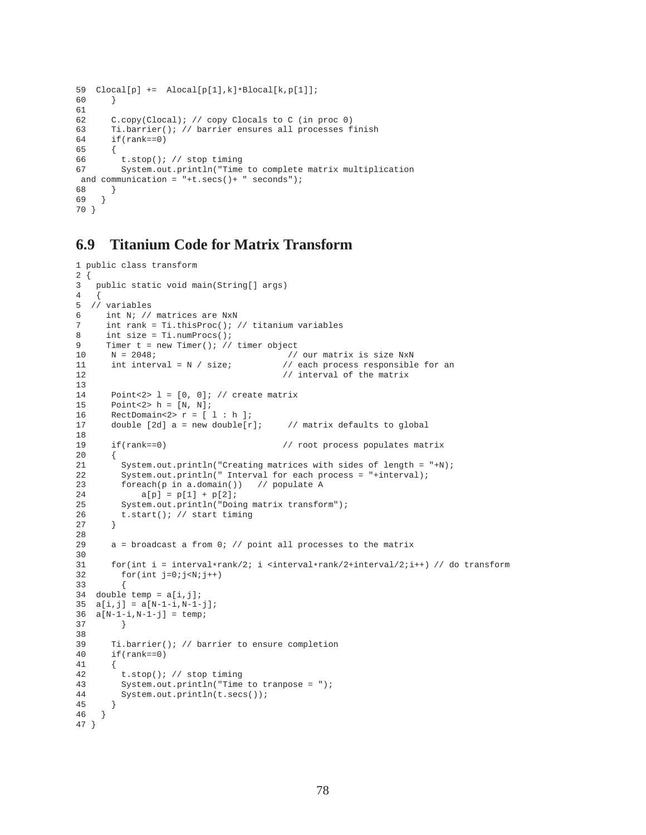```
59 Clocal[p] += Alocal[p[1],k]*Blocal[k,p[1]];
60 }
61
62 C.copy(Clocal); // copy Clocals to C (in proc 0)
63 Ti.barrier(); // barrier ensures all processes finish
64 if(rank==0)
65 {
66 t.stop(); // stop timing
67 System.out.println("Time to complete matrix multiplication
and communication = "+t.secs()+ " seconds");
68 }
69 }
70 }
```
### **6.9 Titanium Code for Matrix Transform**

```
1 public class transform
\frac{2}{3} {
   public static void main(String[] args)
4 {
5 // variables
6 int N; // matrices are NxN
7 int rank = Ti.thisProc(); // titanium variables<br>8 int size = Ti numProcs();
     int size = Ti.numProcess();
9 Timer t = new Timer(); // timer object
10 N = 2048;<br>11 int interval = N / size; 1/ each process responsible
                                         // each process responsible for an
12 // interval of the matrix
13
14 Point<2> l = [0, 0]; // create matrix
15 Point<2> h = [N, N];
16 RectDomain<2>r = [ 1 : h ];
17 double [2d] a = new double[r]; // matrix defaults to global
18
19 if(rank==0) // root process populates matrix
\begin{matrix} 20 \\ 21 \end{matrix}System.out.println("Creating matrices with sides of length = "+N);
22 System.out.println(" Interval for each process = "+interval);
23 foreach(p in a.domain()) // populate A
24 a[p] = p[1] + p[2];25 System.out.println("Doing matrix transform");<br>26 t.start(); // start timing
        t.start(); // start timing
27 }
28
29 a = broadcast a from 0; // point all processes to the matrix
30
31 for(int i = interval*rank/2; i <interval*rank/2+interval/2;i++) // do transform<br>32 for(int i=0;i<N;i++)
        for(int j=0;j<N;j++)33 {
34 double temp = a[i,j];
35 a[i, j] = a[N-1-i, N-1-j];36 a[N-1-i,N-1-j] = temp;<br>37
        37 }
38
39 Ti.barrier(); // barrier to ensure completion 40 if(rank==0)
      if(rank==0)41 {<br>4242 t.stop(); // stop timing
43 System.out.println("Time to tranpose = ");
44 System.out.println(t.secs());
45 }
46 }
47 }
```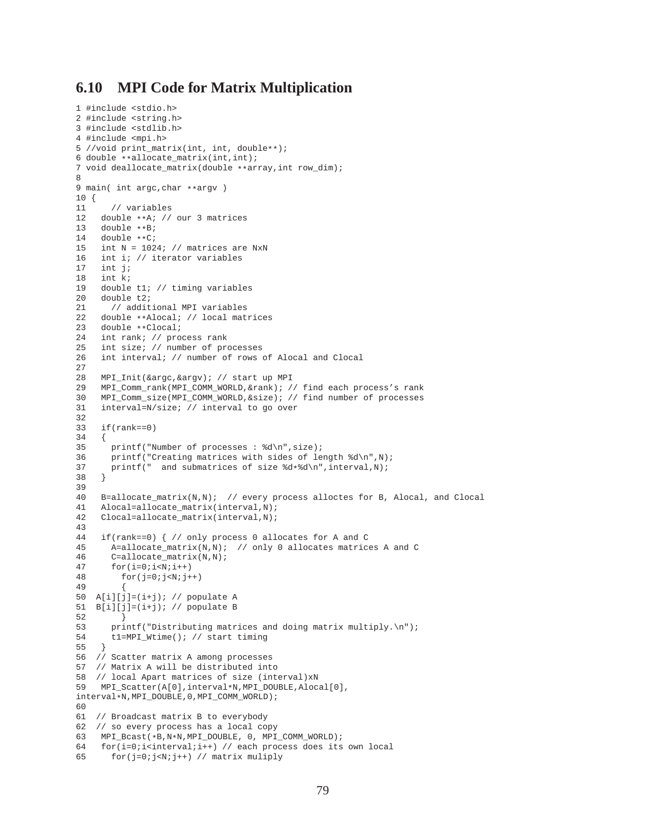### **6.10 MPI Code for Matrix Multiplication**

```
1 #include <stdio.h>
2 #include <string.h>
3 #include <stdlib.h>
4 #include <mpi.h>
5 //void print_matrix(int, int, double**);
6 double **allocate_matrix(int,int);
7 void deallocate_matrix(double **array,int row_dim);
8
9 main( int argc, char **argv )
10 {
11 // variables
12 double **A; // our 3 matrices<br>13 double **B;
13 double **B;<br>14 double **C;
14 double **C;<br>15 int N = 102
    int N = 1024; // matrices are NxN
16 int i; // iterator variables<br>17 int j;
     int j;
18 int k;
19 double t1; // timing variables
20 double t2;
21 // additional MPI variables<br>22 double **Alocal: // local mati
22 double **Alocal; // local matrices<br>23 double **Clocal;
23 double **Clocal;<br>24 int rank; // pro
24 int rank; // process rank<br>25 int size; // number of pro
    int size; // number of processes
26 int interval; // number of rows of Alocal and Clocal
27
28 MPI_Init(&argc,&argv); // start up MPI
29 MPI_Comm_rank(MPI_COMM_WORLD,&rank); // find each process's rank
30 MPI_Comm_size(MPI_COMM_WORLD,&size); // find number of processes
31 interval=N/size; // interval to go over
32
33 if(rank==0)
34 {
35 printf("Number of processes: \frac{35}{10}, size);<br>36 printf("Creating matrices with sides of le
       printf("Creating matrices with sides of length d\pi',N);
37 printf(" and submatrices of size d*d\n\infty, interval,N);<br>38
    \{39
40 B=allocate_matrix(N,N); // every process alloctes for B, Alocal, and Clocal
41 Alocal=allocate_matrix(interval,N);
42 Clocal=allocate_matrix(interval,N);
43
44 if(rank==0) { // only process 0 allocates for A and C
45 A=allocate_matrix(N,N); // only 0 allocates matrices A and C<br>46 C=allocate_matrix(N,N);
       C=allocate_matrix(N,N);
47 for(i=0; i < N; i++)48 for (i=0; j<N; j++)49 {
50 A[i][j]=(i+j); // populate A
51 B[i][j]=(i+j); // populate B
52 }
53 printf("Distributing matrices and doing matrix multiply.\n\pi");<br>54 tl=MPI_Wtime(); // start timing
       54 t1=MPI_Wtime(); // start timing
55 }
56 // Scatter matrix A among processes
57 // Matrix A will be distributed into
58 // local Apart matrices of size (interval)xN
59 MPI Scatter(A[0],interval*N,MPI DOUBLE, Alocal[0],
interval*N,MPI_DOUBLE,0,MPI_COMM_WORLD);
6061 // Broadcast matrix B to everybody
62 // so every process has a local copy
63 MPI_Bcast(*B,N*N,MPI_DOUBLE, 0, MPI_COMM_WORLD);
64 for(i=0;i<interval;i++) // each process does its own local
65 for(j=0;j<N;j++) // matrix muliply
```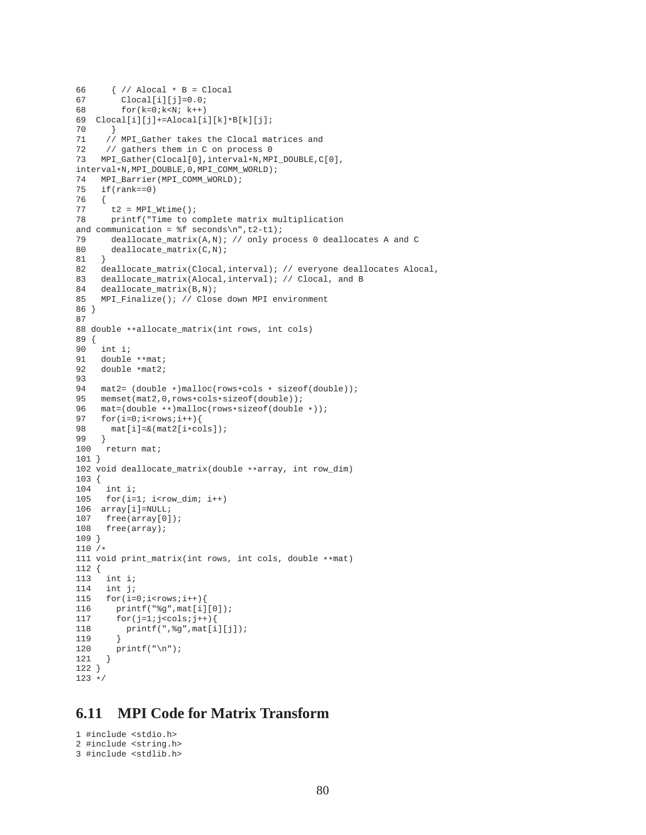```
66 \{ // Alocal * B = Clocal<br>67 Clocal[i][j]=0.0;
67 \text{Clocal}[i][j]=0.0;<br>68 \text{for}(k=0:k<N; k++)for(k=0; k<N; k++)69 \text{Cloud}[i][j]+=\text{Alocal}[i][k]*B[k][j];<br>70 }
      \}71 // MPI_Gather takes the Clocal matrices and
72 // gathers them in C on process 0
73 MPI_Gather(Clocal[0],interval*N,MPI_DOUBLE,C[0],
interval*N,MPI_DOUBLE,0,MPI_COMM_WORLD);
74 MPI_Barrier(MPI_COMM_WORLD);<br>75 if(rank==0)
     if(rank==0)76 {
       t2 = MPI Wtime();
78 printf("Time to complete matrix multiplication
and communication = f seconds\n",t2-t1);
79 deallocate matrix(A,N); // only process 0 deallocates A and C
80 deallocate_matrix(C,N);
81 }
82 deallocate_matrix(Clocal,interval); // everyone deallocates Alocal,
83 deallocate_matrix(Alocal,interval); // Clocal, and B<br>84 deallocate matrix(B,N);
     deallocate_matrix(B,N);
85 MPI_Finalize(); // Close down MPI environment
86 }
87
88 double **allocate_matrix(int rows, int cols)
89 {
90 int i;
91 double \ast \ast mat;<br>92 double \ast mat?;
    double *mat2;
93
94 mat2= (double *)malloc(rows*cols * sizeof(double));
95 memset(mat2,0,rows*cols*sizeof(double));
96 mat=(double **)malloc(rows*sizeof(double *));<br>97 for(i=0;i<rows;i++){
97 for(i=0; i< rows;i++) {<br>98 mat[i]=& (mat2[i*comat[i]=\&(mat2[i*cols]);99<br>100
     return mat;
101 }
102 void deallocate_matrix(double **array, int row_dim)
103 {
104 int i;
105 for(i=1; i<row dim; i++)
106 array[i]=NULL;
107 free(array[0]);<br>108 free(array);
      free(array);
109 }
110 /*
111 void print_matrix(int rows, int cols, double **mat)
\begin{array}{ll} 112 & \{ \\ 113 & \end{array}int i;
114 int j;
115 for(i=0; i< rows;i++)116 printf("%g",mat[i][0]);
117 for(j=1;j<cols;j++)118 printf(", \frac{1}{3}g", mat[i][j]);<br>119 }
119 }
120 printf("\n");<br>121 }
121 }
122 }
123 * /
```
### **6.11 MPI Code for Matrix Transform**

```
1 #include <stdio.h>
2 #include <string.h>
3 #include <stdlib.h>
```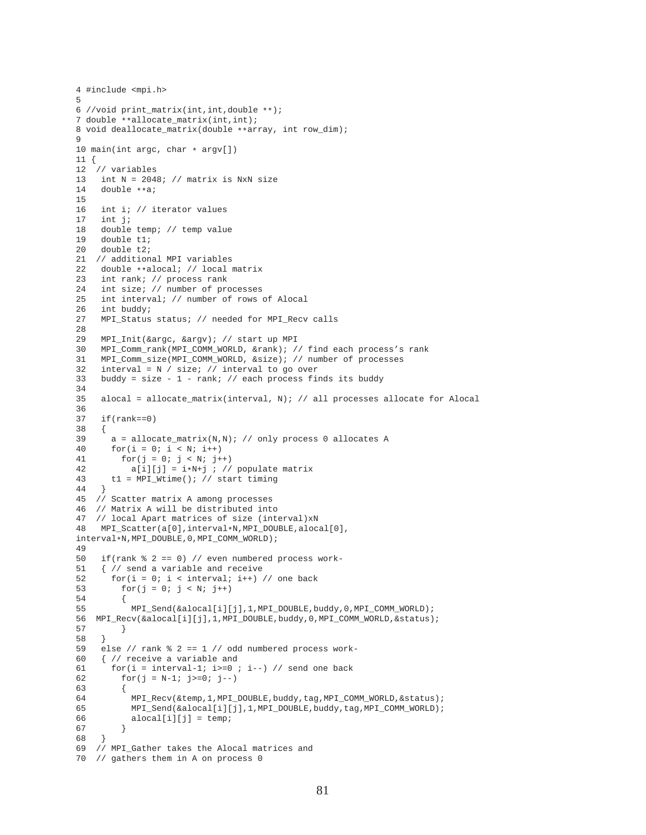```
4 #include <mpi.h>
5
6 //void print_matrix(int,int,double **);
7 double **allocate_matrix(int,int);
8 void deallocate_matrix(double **array, int row_dim);
9
10 main(int argc, char * argv[])
11 {
12 // variables
13 int N = 2048; // matrix is NxN size<br>14 double ***;
    double **a;
\frac{15}{16}int i; // iterator values
17 int j;
18 double temp; // temp value
19 double t1;
20 double t2;
21 // additional MPI variables
22 double **alocal; \frac{1}{2} local matrix<br>23 int rank; \frac{1}{2} process rank
23 int rank; // process rank<br>24 int size; // number of pro
     int size; // number of processes
25 int interval; // number of rows of Alocal
26 int buddy;
27 MPI_Status status; // needed for MPI_Recv calls
28
29 MPI_Init(&argc, &argv); // start up MPI
30 MPI_Comm_rank(MPI_COMM_WORLD, &rank); // find each process's rank
31 MPI_Comm_size(MPI_COMM_WORLD, &size); // number of processes
32 interval = N / size; // interval to go over
33 buddy = size - 1 - rank; // each process finds its buddy
34<br>35alocal = allocate_matrix(interval, N); // all processes allocate for Alocal
36
37 if(rank==0)
38 {
39 a = allocate_matrix(N,N); // only process 0 allocates A<br>40 for(i = 0; i < N; i++)
      for(i = 0; i < N; i++)
41 for(j = 0; j < N; j++)42 a[i][j] = i*N+j ; // populate matrix<br>43 t1 = MPT Wtime(); // start timing
       t1 = MPI\_Wtime(); // start timing
44 }
45 // Scatter matrix A among processes
46 // Matrix A will be distributed into
47 // local Apart matrices of size (interval)xN
48 MPI_Scatter(a[0],interval*N,MPI_DOUBLE,alocal[0],
interval*N,MPI_DOUBLE,0,MPI_COMM_WORLD);
49
50 if(rank % 2 == 0) // even numbered process work-
51 \{  // send a variable and receive\n52  for (i = 0; i < interval; i++) \}for(i = 0; i < interval; i++) // one back
53 for(j = 0; j < N; j++)54 {
55 MPI_Send(&alocal[i][j],1,MPI_DOUBLE,buddy,0,MPI_COMM_WORLD);
56 MPI_Recv(&alocal[i][j],1,MPI_DOUBLE,buddy,0,MPI_COMM_WORLD,&status);
57 }
58 }
59 else // rank 8 2 == 1 // odd numbered process work-
60 { // receive a variable and
61 for(i = interval-1; i>=0; i--) // send one back
62 for(j = N-1; j >=0; j --)
63 {
64 MPI_Recv(&temp,1,MPI_DOUBLE,buddy,tag,MPI_COMM_WORLD,&status);
65 MPI_Send(&alocal[i][j],1,MPI_DOUBLE,buddy,tag,MPI_COMM_WORLD);
66 alocal[i][j] = temp;
67<br>68 }
68 }
69 // MPI_Gather takes the Alocal matrices and
70 // gathers them in A on process 0
```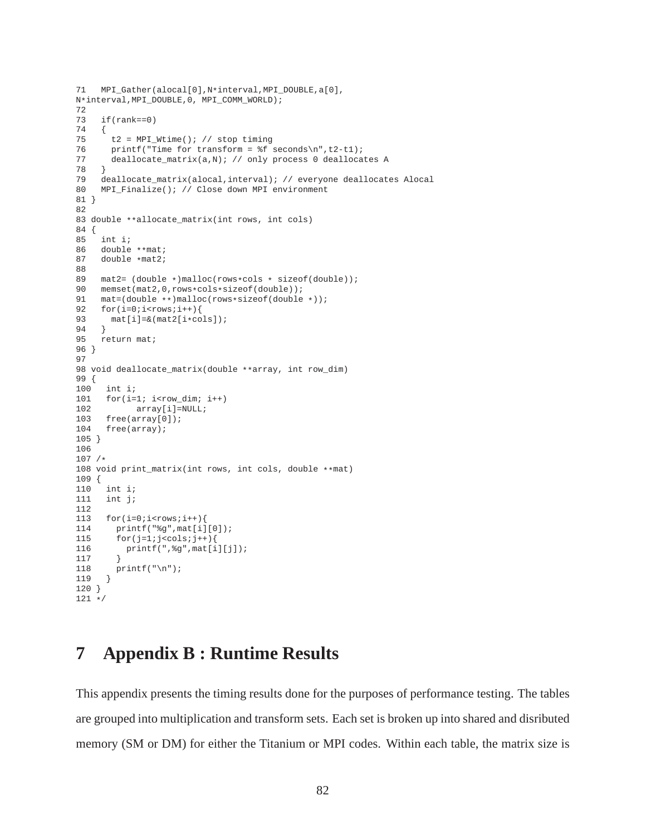```
71 MPI Gather(alocal[0],N*interval,MPI_DOUBLE,a[0],
N*interval,MPI_DOUBLE,0, MPI_COMM_WORLD);
72
73 if(rank==0)
74 {
75 t2 = MPI_Wtime(); // stop timing
76 printf("Time for transform = f seconds\n",t2-t1);<br>77 deallocate matrix(a.N); // only process 0 dealloca
       deallocate_matrix(a,N); // only process 0 deallocates A
78 }
79 deallocate_matrix(alocal,interval); // everyone deallocates Alocal<br>80 MPI Finalize(); // Close down MPI environment
     MPI Finalize(); // Close down MPI environment
81 }
82
83 double **allocate_matrix(int rows, int cols)
84 {
85 int i;
86 double **mat;<br>87 double *mat2;
    double *mat2;
88
89 mat2= (double *)malloc(rows*cols * sizeof(double));<br>90 memset(mat2,0,rows*cols*sizeof(double));
     90 memset(mat2,0,rows*cols*sizeof(double));
91 mat=(double **)malloc(rows*sizeof(double *));
92 for(i=0; i< rows;i++)93 mat[i]=&(mat2[i*cols]);94 }
95 return mat;
96 }
97
98 void deallocate_matrix(double **array, int row_dim)
99 {
100 int i;
101 for(i=1; i<row_dim; i++)
102 array[i]=NULL;
103 free(array[0]);
104 free(array);
105 }
106
107 /*
108 void print_matrix(int rows, int cols, double **mat)
109 {
110 int i;
111 int j;
112
113 for(i=0:i<rows:i++){<br>114 print(f"\g", mat[i]
      printf("g'',mat[i][0]);115 for(j=1:j<cols;j++)116 print([",\g",mat[i][j]);<br>117 }
117 }
118 printf("\n");<br>119 }
119 }
120 }
121 */
```
# **7 Appendix B : Runtime Results**

This appendix presents the timing results done for the purposes of performance testing. The tables are grouped into multiplication and transform sets. Each set is broken up into shared and disributed memory (SM or DM) for either the Titanium or MPI codes. Within each table, the matrix size is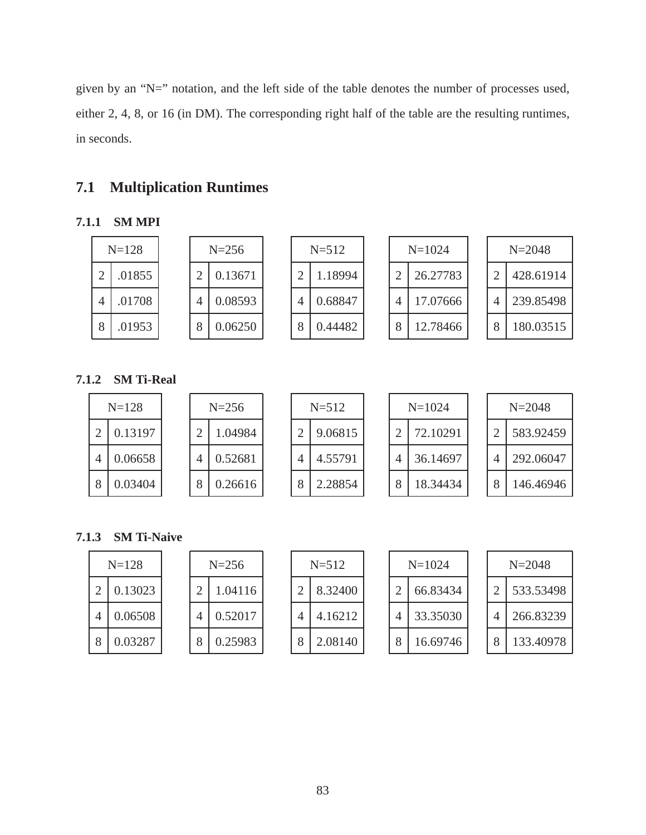given by an "N=" notation, and the left side of the table denotes the number of processes used, either 2, 4, 8, or 16 (in DM). The corresponding right half of the table are the resulting runtimes, in seconds.

# **7.1 Multiplication Runtimes**

### **7.1.1 SM MPI**

|   | $N = 128$ | $N = 256$ |         | $N = 512$ |         | $N = 1024$ |   |          | $N = 2048$ |           |
|---|-----------|-----------|---------|-----------|---------|------------|---|----------|------------|-----------|
|   | 01855     |           | 0.13671 |           | 1.18994 |            |   | 26.27783 |            | 428.61914 |
| 4 | 01708     | 4         | 0.08593 |           | 0.68847 |            | 4 | 17.07666 |            | 239.85498 |
| 8 | 01953     |           | 0.06250 |           | 0.44482 |            | 8 | 12.78466 |            | 180.03515 |

### **7.1.2 SM Ti-Real**

|           | $N = 128$ |  | $N = 256$ |   | $N = 512$ |  |   | $N = 1024$ |   | $N = 2048$ |
|-----------|-----------|--|-----------|---|-----------|--|---|------------|---|------------|
| $\bigcap$ | 0.13197   |  | .04984    |   | 9.06815   |  | ⌒ | 72.10291   |   | 583.92459  |
| 4         | 0.06658   |  | 0.52681   | 4 | 4.55791   |  | 4 | 36.14697   | 4 | 292.06047  |
| 8         | 0.03404   |  | 0.26616   | O | 2.28854   |  | 8 | 18.34434   |   | 146.46946  |

### **7.1.3 SM Ti-Naive**

|   | $N = 128$ |   | $N = 256$ |
|---|-----------|---|-----------|
| 2 | 0.13023   | 2 | 1.04116   |
| 4 | 0.06508   |   | 0.52017   |
| 8 | 0.03287   | 8 | 0.25983   |

|   | $N = 512$ |
|---|-----------|
| 2 | 8.32400   |
|   | 4.16212   |
| 8 | 2.08140   |

| $N=1024$ |          |  |  |  |  |  |
|----------|----------|--|--|--|--|--|
| 2        | 66.83434 |  |  |  |  |  |
| 4        | 33.35030 |  |  |  |  |  |
| 8        | 16.69746 |  |  |  |  |  |

|   | $N = 2048$ |
|---|------------|
| 2 | 533.53498  |
| 4 | 266.83239  |
| 8 | 133.40978  |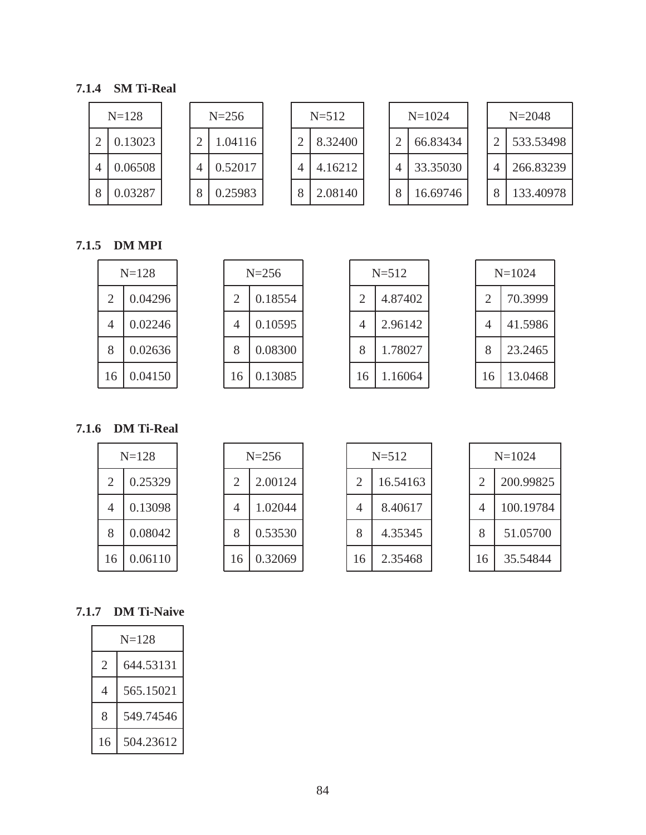### **7.1.4 SM Ti-Real**

| $N = 128$ |         | $N = 256$ |  | $N = 512$ |  | $N = 1024$ |         |   | $N = 2048$ |  |           |
|-----------|---------|-----------|--|-----------|--|------------|---------|---|------------|--|-----------|
|           | 0.13023 |           |  | .04116    |  |            | 8.32400 |   | 66.83434   |  | 533.53498 |
| 4         | 0.06508 |           |  | 0.52017   |  |            | 4.16212 | 4 | 33.35030   |  | 266.83239 |
|           | 0.03287 |           |  | 0.25983   |  |            | 2.08140 | 8 | 16.69746   |  | 133.40978 |

### **7.1.5 DM MPI**

| $N = 128$ |         |  |  |  |  |
|-----------|---------|--|--|--|--|
| 2         | 0.04296 |  |  |  |  |
| 4         | 0.02246 |  |  |  |  |
| 8         | 0.02636 |  |  |  |  |
| 16        | 0.04150 |  |  |  |  |

| $N = 256$                   |         |  |  |  |  |
|-----------------------------|---------|--|--|--|--|
| $\mathcal{D}_{\mathcal{A}}$ | 0.18554 |  |  |  |  |
| 4                           | 0.10595 |  |  |  |  |
| 8                           | 0.08300 |  |  |  |  |
| 16                          | 0.13085 |  |  |  |  |

|    | $N = 512$ |  |  |  |  |  |
|----|-----------|--|--|--|--|--|
| 2  | 4.87402   |  |  |  |  |  |
| 4  | 2.96142   |  |  |  |  |  |
| 8  | 1.78027   |  |  |  |  |  |
| 16 | 1.16064   |  |  |  |  |  |

| $N = 1024$ |         |  |  |  |
|------------|---------|--|--|--|
| 2          | 70.3999 |  |  |  |
| 4          | 41.5986 |  |  |  |
| 8          | 23.2465 |  |  |  |
| 16         | 13.0468 |  |  |  |

**7.1.6 DM Ti-Real**

|    | $N = 128$ |  |  |  |  |
|----|-----------|--|--|--|--|
| 2  | 0.25329   |  |  |  |  |
| 4  | 0.13098   |  |  |  |  |
| 8  | 0.08042   |  |  |  |  |
| 16 | 0.06110   |  |  |  |  |

|    | $N = 256$ |  |  |  |  |
|----|-----------|--|--|--|--|
| 2  | 2.00124   |  |  |  |  |
| 4  | 1.02044   |  |  |  |  |
| 8  | 0.53530   |  |  |  |  |
| 16 | 0.32069   |  |  |  |  |

| $N = 512$                  |         |  |  |  |
|----------------------------|---------|--|--|--|
| 16.54163<br>$\overline{2}$ |         |  |  |  |
| 4                          | 8.40617 |  |  |  |
| 8                          | 4.35345 |  |  |  |
| 16                         | 2.35468 |  |  |  |

| $N = 1024$                  |           |  |  |  |  |
|-----------------------------|-----------|--|--|--|--|
| 200.99825<br>$\mathfrak{D}$ |           |  |  |  |  |
| 4                           | 100.19784 |  |  |  |  |
| 8                           | 51.05700  |  |  |  |  |
| 16                          | 35.54844  |  |  |  |  |

## **7.1.7 DM Ti-Naive**

| $N=128$ |           |  |  |  |
|---------|-----------|--|--|--|
| 2       | 644.53131 |  |  |  |
| 4       | 565.15021 |  |  |  |
| 8       | 549.74546 |  |  |  |
| 16      | 504.23612 |  |  |  |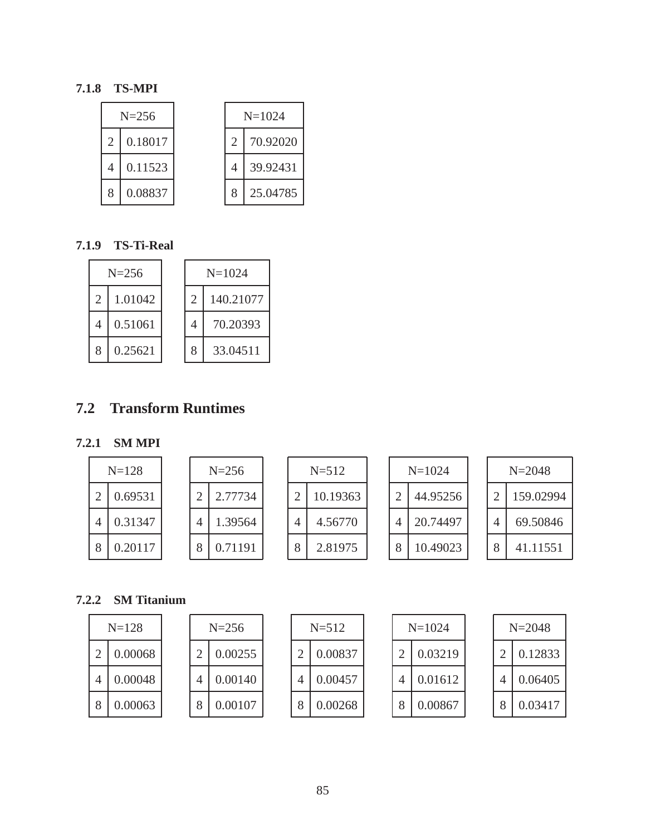### **7.1.8 TS-MPI**

|                | $N = 256$ |                             | $N=1024$ |
|----------------|-----------|-----------------------------|----------|
| 2              | 0.18017   | $\mathcal{D}_{\mathcal{L}}$ | 70.92020 |
| $\overline{A}$ | 0.11523   | 4                           | 39.92431 |
| 8              | 0.08837   | 8                           | 25.04785 |

## **7.1.9 TS-Ti-Real**

|                             | $N = 256$ |                             | $N=1024$  |
|-----------------------------|-----------|-----------------------------|-----------|
| $\mathcal{D}_{\mathcal{L}}$ | 1.01042   | $\mathcal{D}_{\mathcal{L}}$ | 140.21077 |
| 4                           | 0.51061   | 4                           | 70.20393  |
| 8                           | 0.25621   | 8                           | 33.04511  |

# **7.2 Transform Runtimes**

### **7.2.1 SM MPI**

|   | $N = 128$ |  | $N = 256$ |   | $N = 512$ |   | $N = 1024$ |  | $N = 2048$ |
|---|-----------|--|-----------|---|-----------|---|------------|--|------------|
| ◠ | 0.69531   |  | 2.77734   |   | 10.19363  | ⌒ | 44.95256   |  | 159.02994  |
| 4 | 0.31347   |  | 1.39564   | 4 | 4.56770   | 4 | 20.74497   |  | 69.50846   |
| 8 | 0.20117   |  | 0.71191   | 8 | 2.81975   | 8 | 10.49023   |  | 41.11551   |

### **7.2.2 SM Titanium**

|   | $N = 128$ |  | $N = 256$ |  | $N = 512$ |  | $N = 1024$ |  | $N = 2048$ |
|---|-----------|--|-----------|--|-----------|--|------------|--|------------|
|   | 0.00068   |  | 0.00255   |  | 0.00837   |  | 0.03219    |  | 0.12833    |
| 4 | 0.00048   |  | 0.00140   |  | 0.00457   |  | 0.01612    |  | 0.06405    |
| 8 | 0.00063   |  | 0.00107   |  | 0.00268   |  | 0.00867    |  | 0.03417    |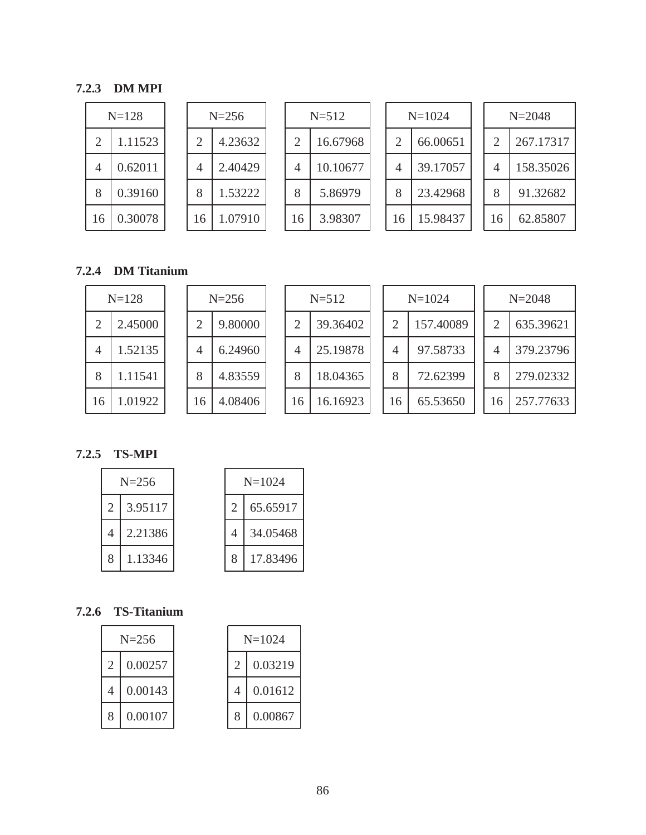### **7.2.3 DM MPI**

|                | $N = 128$ |                | $N = 256$ |    | P |
|----------------|-----------|----------------|-----------|----|---|
| $\overline{2}$ | 1.11523   | $\overline{2}$ | 4.23632   | 2  |   |
| 4              | 0.62011   | 4              | 2.40429   |    |   |
| 8              | 0.39160   | 8              | 1.53222   |    |   |
| 16             | 0.30078   | 16             | 1.07910   | 16 |   |

|    | $N = 512$ |  |
|----|-----------|--|
| 2  | 16.67968  |  |
| 4  | 10.10677  |  |
| 8  | 5.86979   |  |
| 16 | 3.98307   |  |

| $N=1024$ |          |  |  |  |  |  |
|----------|----------|--|--|--|--|--|
| 2        | 66.00651 |  |  |  |  |  |
| 4        | 39.17057 |  |  |  |  |  |
| 8        | 23.42968 |  |  |  |  |  |
| 16       | 15.98437 |  |  |  |  |  |

|                | $N = 2048$ |
|----------------|------------|
| $\mathfrak{D}$ | 267.17317  |
| 4              | 158.35026  |
| 8              | 91.32682   |
| 16             | 62.85807   |

## **7.2.4 DM Titanium**

|    | $N = 128$ |    | $N = 256$ |    | $N = 512$ |    | $N = 1024$ |    | $N = 2048$ |
|----|-----------|----|-----------|----|-----------|----|------------|----|------------|
| っ  | 2.45000   |    | 9.80000   |    | 39.36402  |    | 157.40089  |    | 635.39621  |
| 4  | 1.52135   | 4  | 6.24960   | 4  | 25.19878  | 4  | 97.58733   | 4  | 379.23796  |
| 8  | 1.11541   | 8  | 4.83559   | 8  | 18.04365  | 8  | 72.62399   | 8  | 279.02332  |
| 16 | 1.01922   | 16 | 4.08406   | 16 | 16.16923  | 16 | 65.53650   | 16 | 257.77633  |

### **7.2.5 TS-MPI**

|                | $N = 256$ |   | $N=1024$ |
|----------------|-----------|---|----------|
| 2              | 3.95117   |   | 65.65917 |
| $\overline{4}$ | 2.21386   | 4 | 34.05468 |
| 8              | 1.13346   | 8 | 17.83496 |

## **7.2.6 TS-Titanium**

| $N = 256$ |         |  |  |  |  |
|-----------|---------|--|--|--|--|
| 2         | 0.00257 |  |  |  |  |
|           | 0.00143 |  |  |  |  |
| 8         | 0.00107 |  |  |  |  |

| $N=1024$      |         |  |  |  |  |
|---------------|---------|--|--|--|--|
| $\mathcal{L}$ | 0.03219 |  |  |  |  |
|               | 0.01612 |  |  |  |  |
| 8             | 0.00867 |  |  |  |  |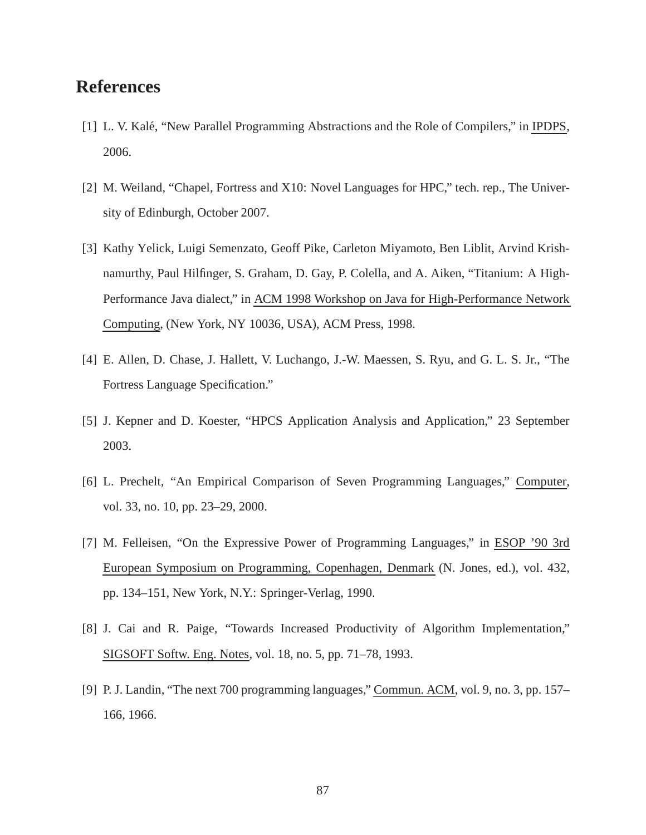# **References**

- [1] L. V. Kalé, "New Parallel Programming Abstractions and the Role of Compilers," in IPDPS, 2006.
- [2] M. Weiland, "Chapel, Fortress and X10: Novel Languages for HPC," tech. rep., The University of Edinburgh, October 2007.
- [3] Kathy Yelick, Luigi Semenzato, Geoff Pike, Carleton Miyamoto, Ben Liblit, Arvind Krishnamurthy, Paul Hilfinger, S. Graham, D. Gay, P. Colella, and A. Aiken, "Titanium: A High-Performance Java dialect," in ACM 1998 Workshop on Java for High-Performance Network Computing, (New York, NY 10036, USA), ACM Press, 1998.
- [4] E. Allen, D. Chase, J. Hallett, V. Luchango, J.-W. Maessen, S. Ryu, and G. L. S. Jr., "The Fortress Language Specification."
- [5] J. Kepner and D. Koester, "HPCS Application Analysis and Application," 23 September 2003.
- [6] L. Prechelt, "An Empirical Comparison of Seven Programming Languages," Computer, vol. 33, no. 10, pp. 23–29, 2000.
- [7] M. Felleisen, "On the Expressive Power of Programming Languages," in ESOP '90 3rd European Symposium on Programming, Copenhagen, Denmark (N. Jones, ed.), vol. 432, pp. 134–151, New York, N.Y.: Springer-Verlag, 1990.
- [8] J. Cai and R. Paige, "Towards Increased Productivity of Algorithm Implementation," SIGSOFT Softw. Eng. Notes, vol. 18, no. 5, pp. 71–78, 1993.
- [9] P. J. Landin, "The next 700 programming languages," Commun. ACM, vol. 9, no. 3, pp. 157– 166, 1966.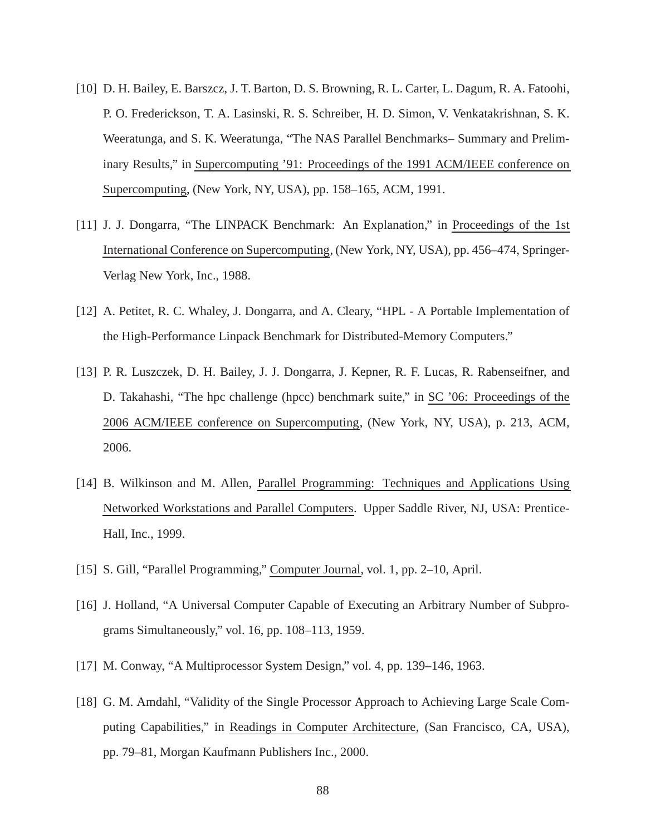- [10] D. H. Bailey, E. Barszcz, J. T. Barton, D. S. Browning, R. L. Carter, L. Dagum, R. A. Fatoohi, P. O. Frederickson, T. A. Lasinski, R. S. Schreiber, H. D. Simon, V. Venkatakrishnan, S. K. Weeratunga, and S. K. Weeratunga, "The NAS Parallel Benchmarks– Summary and Preliminary Results," in Supercomputing '91: Proceedings of the 1991 ACM/IEEE conference on Supercomputing, (New York, NY, USA), pp. 158–165, ACM, 1991.
- [11] J. J. Dongarra, "The LINPACK Benchmark: An Explanation," in Proceedings of the 1st International Conference on Supercomputing, (New York, NY, USA), pp. 456–474, Springer-Verlag New York, Inc., 1988.
- [12] A. Petitet, R. C. Whaley, J. Dongarra, and A. Cleary, "HPL A Portable Implementation of the High-Performance Linpack Benchmark for Distributed-Memory Computers."
- [13] P. R. Luszczek, D. H. Bailey, J. J. Dongarra, J. Kepner, R. F. Lucas, R. Rabenseifner, and D. Takahashi, "The hpc challenge (hpcc) benchmark suite," in SC '06: Proceedings of the 2006 ACM/IEEE conference on Supercomputing, (New York, NY, USA), p. 213, ACM, 2006.
- [14] B. Wilkinson and M. Allen, Parallel Programming: Techniques and Applications Using Networked Workstations and Parallel Computers. Upper Saddle River, NJ, USA: Prentice-Hall, Inc., 1999.
- [15] S. Gill, "Parallel Programming," Computer Journal, vol. 1, pp. 2–10, April.
- [16] J. Holland, "A Universal Computer Capable of Executing an Arbitrary Number of Subprograms Simultaneously," vol. 16, pp. 108–113, 1959.
- [17] M. Conway, "A Multiprocessor System Design," vol. 4, pp. 139–146, 1963.
- [18] G. M. Amdahl, "Validity of the Single Processor Approach to Achieving Large Scale Computing Capabilities," in Readings in Computer Architecture, (San Francisco, CA, USA), pp. 79–81, Morgan Kaufmann Publishers Inc., 2000.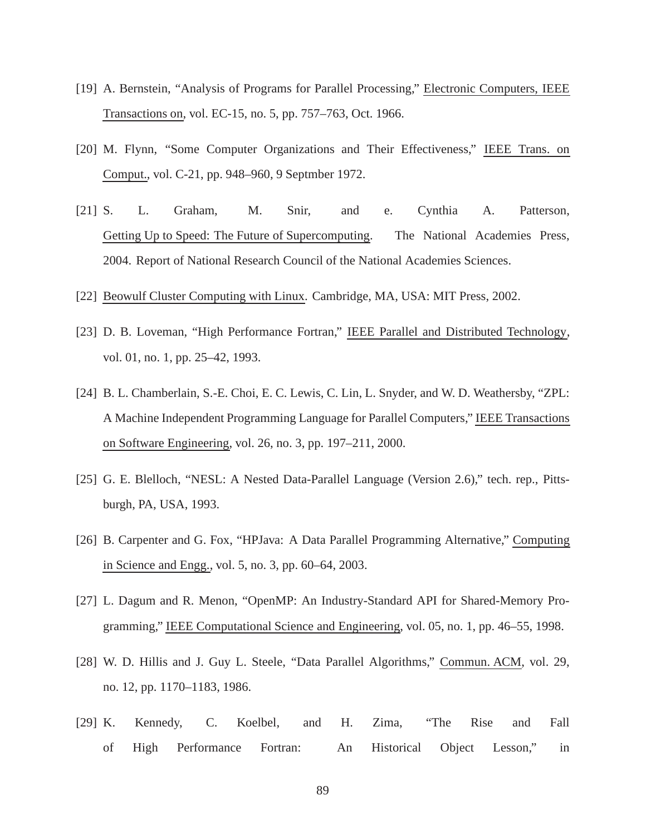- [19] A. Bernstein, "Analysis of Programs for Parallel Processing," Electronic Computers, IEEE Transactions on, vol. EC-15, no. 5, pp. 757–763, Oct. 1966.
- [20] M. Flynn, "Some Computer Organizations and Their Effectiveness," IEEE Trans. on Comput., vol. C-21, pp. 948–960, 9 Septmber 1972.
- [21] S. L. Graham, M. Snir, and e. Cynthia A. Patterson, Getting Up to Speed: The Future of Supercomputing. The National Academies Press, 2004. Report of National Research Council of the National Academies Sciences.
- [22] Beowulf Cluster Computing with Linux. Cambridge, MA, USA: MIT Press, 2002.
- [23] D. B. Loveman, "High Performance Fortran," IEEE Parallel and Distributed Technology, vol. 01, no. 1, pp. 25–42, 1993.
- [24] B. L. Chamberlain, S.-E. Choi, E. C. Lewis, C. Lin, L. Snyder, and W. D. Weathersby, "ZPL: A Machine Independent Programming Language for Parallel Computers," IEEE Transactions on Software Engineering, vol. 26, no. 3, pp. 197–211, 2000.
- [25] G. E. Blelloch, "NESL: A Nested Data-Parallel Language (Version 2.6)," tech. rep., Pittsburgh, PA, USA, 1993.
- [26] B. Carpenter and G. Fox, "HPJava: A Data Parallel Programming Alternative," Computing in Science and Engg., vol. 5, no. 3, pp. 60–64, 2003.
- [27] L. Dagum and R. Menon, "OpenMP: An Industry-Standard API for Shared-Memory Programming," IEEE Computational Science and Engineering, vol. 05, no. 1, pp. 46–55, 1998.
- [28] W. D. Hillis and J. Guy L. Steele, "Data Parallel Algorithms," Commun. ACM, vol. 29, no. 12, pp. 1170–1183, 1986.
- [29] K. Kennedy, C. Koelbel, and H. Zima, "The Rise and Fall of High Performance Fortran: An Historical Object Lesson," in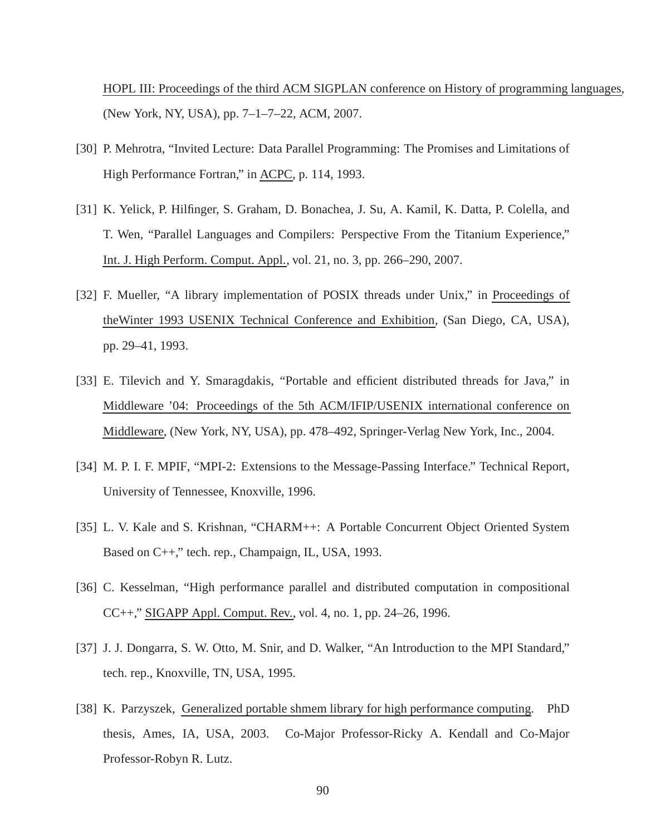HOPL III: Proceedings of the third ACM SIGPLAN conference on History of programming languages, (New York, NY, USA), pp. 7–1–7–22, ACM, 2007.

- [30] P. Mehrotra, "Invited Lecture: Data Parallel Programming: The Promises and Limitations of High Performance Fortran," in ACPC, p. 114, 1993.
- [31] K. Yelick, P. Hilfinger, S. Graham, D. Bonachea, J. Su, A. Kamil, K. Datta, P. Colella, and T. Wen, "Parallel Languages and Compilers: Perspective From the Titanium Experience," Int. J. High Perform. Comput. Appl., vol. 21, no. 3, pp. 266–290, 2007.
- [32] F. Mueller, "A library implementation of POSIX threads under Unix," in Proceedings of theWinter 1993 USENIX Technical Conference and Exhibition, (San Diego, CA, USA), pp. 29–41, 1993.
- [33] E. Tilevich and Y. Smaragdakis, "Portable and efficient distributed threads for Java," in Middleware '04: Proceedings of the 5th ACM/IFIP/USENIX international conference on Middleware, (New York, NY, USA), pp. 478–492, Springer-Verlag New York, Inc., 2004.
- [34] M. P. I. F. MPIF, "MPI-2: Extensions to the Message-Passing Interface." Technical Report, University of Tennessee, Knoxville, 1996.
- [35] L. V. Kale and S. Krishnan, "CHARM++: A Portable Concurrent Object Oriented System Based on C++," tech. rep., Champaign, IL, USA, 1993.
- [36] C. Kesselman, "High performance parallel and distributed computation in compositional CC++," SIGAPP Appl. Comput. Rev., vol. 4, no. 1, pp. 24–26, 1996.
- [37] J. J. Dongarra, S. W. Otto, M. Snir, and D. Walker, "An Introduction to the MPI Standard," tech. rep., Knoxville, TN, USA, 1995.
- [38] K. Parzyszek, Generalized portable shmem library for high performance computing. PhD thesis, Ames, IA, USA, 2003. Co-Major Professor-Ricky A. Kendall and Co-Major Professor-Robyn R. Lutz.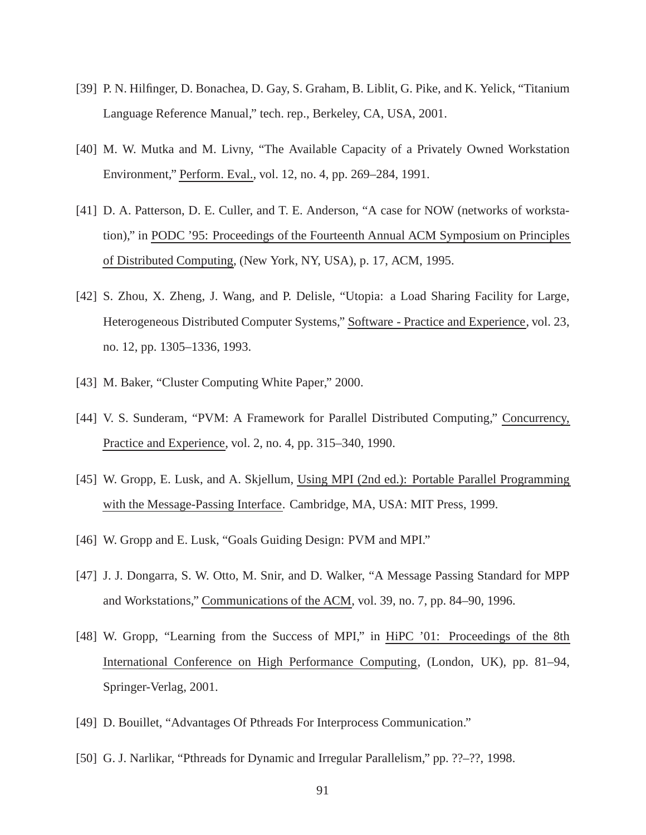- [39] P. N. Hilfinger, D. Bonachea, D. Gay, S. Graham, B. Liblit, G. Pike, and K. Yelick, "Titanium Language Reference Manual," tech. rep., Berkeley, CA, USA, 2001.
- [40] M. W. Mutka and M. Livny, "The Available Capacity of a Privately Owned Workstation Environment," Perform. Eval., vol. 12, no. 4, pp. 269–284, 1991.
- [41] D. A. Patterson, D. E. Culler, and T. E. Anderson, "A case for NOW (networks of workstation)," in PODC '95: Proceedings of the Fourteenth Annual ACM Symposium on Principles of Distributed Computing, (New York, NY, USA), p. 17, ACM, 1995.
- [42] S. Zhou, X. Zheng, J. Wang, and P. Delisle, "Utopia: a Load Sharing Facility for Large, Heterogeneous Distributed Computer Systems," Software - Practice and Experience, vol. 23, no. 12, pp. 1305–1336, 1993.
- [43] M. Baker, "Cluster Computing White Paper," 2000.
- [44] V. S. Sunderam, "PVM: A Framework for Parallel Distributed Computing," Concurrency, Practice and Experience, vol. 2, no. 4, pp. 315–340, 1990.
- [45] W. Gropp, E. Lusk, and A. Skjellum, Using MPI (2nd ed.): Portable Parallel Programming with the Message-Passing Interface. Cambridge, MA, USA: MIT Press, 1999.
- [46] W. Gropp and E. Lusk, "Goals Guiding Design: PVM and MPI."
- [47] J. J. Dongarra, S. W. Otto, M. Snir, and D. Walker, "A Message Passing Standard for MPP and Workstations," Communications of the ACM, vol. 39, no. 7, pp. 84–90, 1996.
- [48] W. Gropp, "Learning from the Success of MPI," in HiPC '01: Proceedings of the 8th International Conference on High Performance Computing, (London, UK), pp. 81–94, Springer-Verlag, 2001.
- [49] D. Bouillet, "Advantages Of Pthreads For Interprocess Communication."
- [50] G. J. Narlikar, "Pthreads for Dynamic and Irregular Parallelism," pp. ??–??, 1998.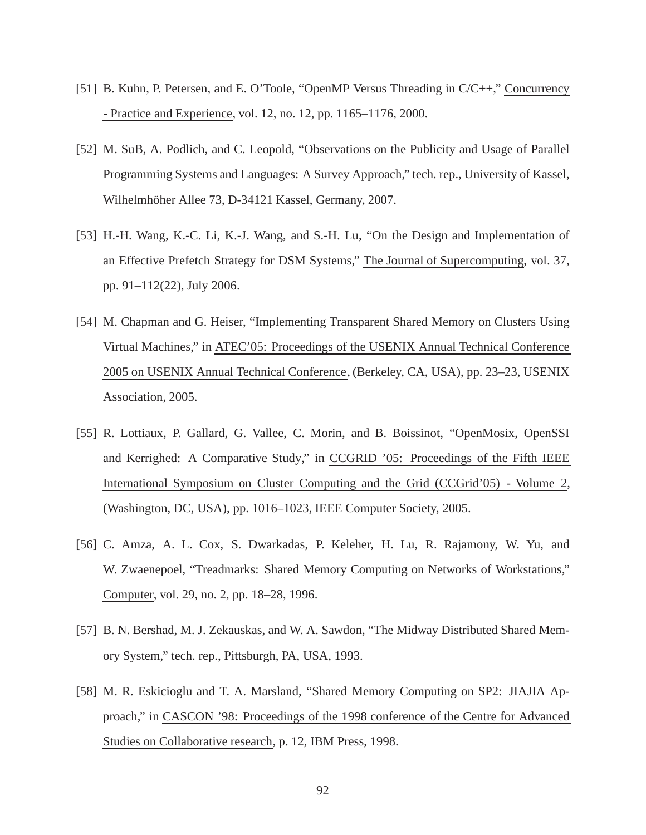- [51] B. Kuhn, P. Petersen, and E. O'Toole, "OpenMP Versus Threading in C/C++," Concurrency - Practice and Experience, vol. 12, no. 12, pp. 1165–1176, 2000.
- [52] M. SuB, A. Podlich, and C. Leopold, "Observations on the Publicity and Usage of Parallel Programming Systems and Languages: A Survey Approach," tech. rep., University of Kassel, Wilhelmhöher Allee 73, D-34121 Kassel, Germany, 2007.
- [53] H.-H. Wang, K.-C. Li, K.-J. Wang, and S.-H. Lu, "On the Design and Implementation of an Effective Prefetch Strategy for DSM Systems," The Journal of Supercomputing, vol. 37, pp. 91–112(22), July 2006.
- [54] M. Chapman and G. Heiser, "Implementing Transparent Shared Memory on Clusters Using Virtual Machines," in ATEC'05: Proceedings of the USENIX Annual Technical Conference 2005 on USENIX Annual Technical Conference, (Berkeley, CA, USA), pp. 23–23, USENIX Association, 2005.
- [55] R. Lottiaux, P. Gallard, G. Vallee, C. Morin, and B. Boissinot, "OpenMosix, OpenSSI and Kerrighed: A Comparative Study," in CCGRID '05: Proceedings of the Fifth IEEE International Symposium on Cluster Computing and the Grid (CCGrid'05) - Volume 2, (Washington, DC, USA), pp. 1016–1023, IEEE Computer Society, 2005.
- [56] C. Amza, A. L. Cox, S. Dwarkadas, P. Keleher, H. Lu, R. Rajamony, W. Yu, and W. Zwaenepoel, "Treadmarks: Shared Memory Computing on Networks of Workstations," Computer, vol. 29, no. 2, pp. 18–28, 1996.
- [57] B. N. Bershad, M. J. Zekauskas, and W. A. Sawdon, "The Midway Distributed Shared Memory System," tech. rep., Pittsburgh, PA, USA, 1993.
- [58] M. R. Eskicioglu and T. A. Marsland, "Shared Memory Computing on SP2: JIAJIA Approach," in CASCON '98: Proceedings of the 1998 conference of the Centre for Advanced Studies on Collaborative research, p. 12, IBM Press, 1998.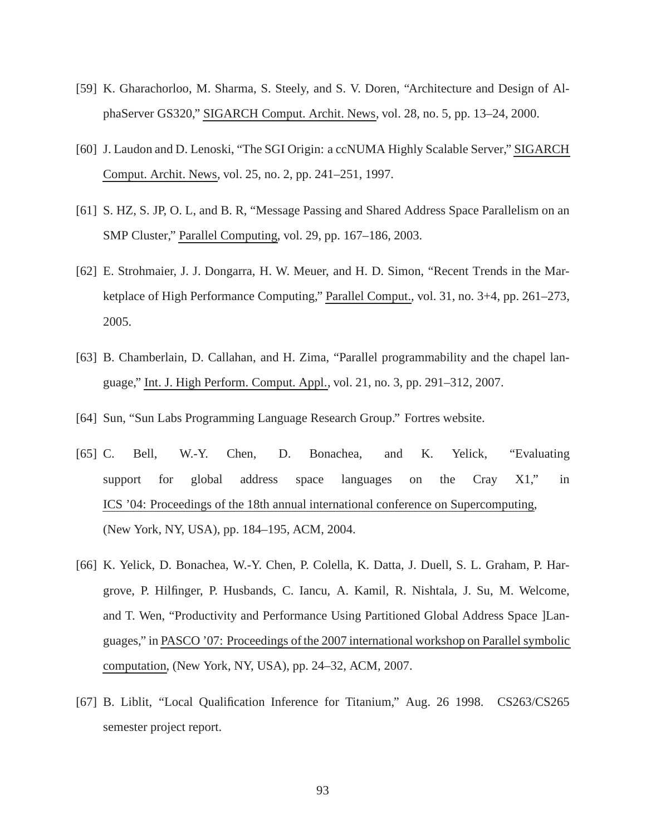- [59] K. Gharachorloo, M. Sharma, S. Steely, and S. V. Doren, "Architecture and Design of AlphaServer GS320," SIGARCH Comput. Archit. News, vol. 28, no. 5, pp. 13–24, 2000.
- [60] J. Laudon and D. Lenoski, "The SGI Origin: a ccNUMA Highly Scalable Server," SIGARCH Comput. Archit. News, vol. 25, no. 2, pp. 241–251, 1997.
- [61] S. HZ, S. JP, O. L, and B. R, "Message Passing and Shared Address Space Parallelism on an SMP Cluster," Parallel Computing, vol. 29, pp. 167–186, 2003.
- [62] E. Strohmaier, J. J. Dongarra, H. W. Meuer, and H. D. Simon, "Recent Trends in the Marketplace of High Performance Computing," Parallel Comput., vol. 31, no. 3+4, pp. 261–273, 2005.
- [63] B. Chamberlain, D. Callahan, and H. Zima, "Parallel programmability and the chapel language," Int. J. High Perform. Comput. Appl., vol. 21, no. 3, pp. 291–312, 2007.
- [64] Sun, "Sun Labs Programming Language Research Group." Fortres website.
- [65] C. Bell, W.-Y. Chen, D. Bonachea, and K. Yelick, "Evaluating support for global address space languages on the Cray X1," in ICS '04: Proceedings of the 18th annual international conference on Supercomputing, (New York, NY, USA), pp. 184–195, ACM, 2004.
- [66] K. Yelick, D. Bonachea, W.-Y. Chen, P. Colella, K. Datta, J. Duell, S. L. Graham, P. Hargrove, P. Hilfinger, P. Husbands, C. Iancu, A. Kamil, R. Nishtala, J. Su, M. Welcome, and T. Wen, "Productivity and Performance Using Partitioned Global Address Space ]Languages," in PASCO '07: Proceedings of the 2007 international workshop on Parallel symbolic computation, (New York, NY, USA), pp. 24–32, ACM, 2007.
- [67] B. Liblit, "Local Qualification Inference for Titanium," Aug. 26 1998. CS263/CS265 semester project report.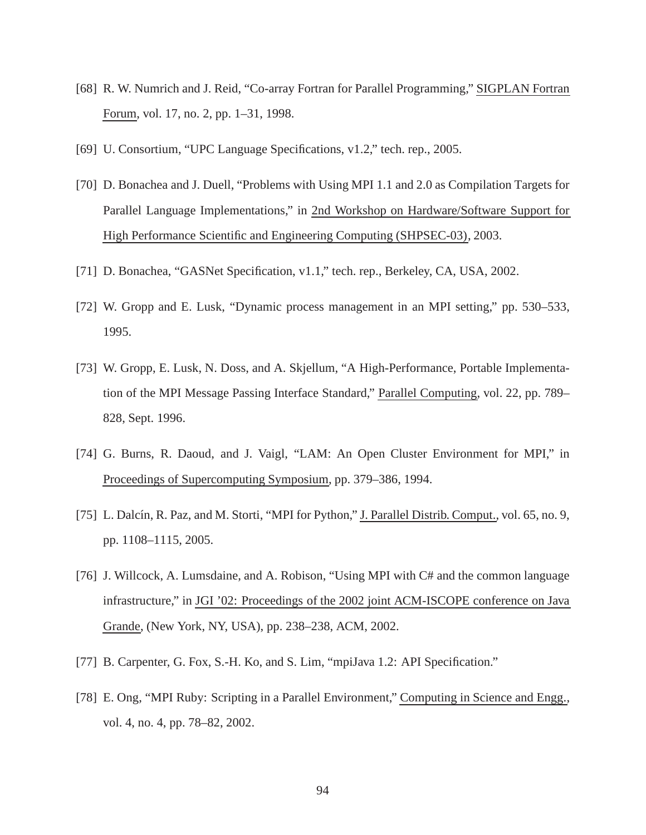- [68] R. W. Numrich and J. Reid, "Co-array Fortran for Parallel Programming," SIGPLAN Fortran Forum, vol. 17, no. 2, pp. 1–31, 1998.
- [69] U. Consortium, "UPC Language Specifications, v1.2," tech. rep., 2005.
- [70] D. Bonachea and J. Duell, "Problems with Using MPI 1.1 and 2.0 as Compilation Targets for Parallel Language Implementations," in 2nd Workshop on Hardware/Software Support for High Performance Scientific and Engineering Computing (SHPSEC-03), 2003.
- [71] D. Bonachea, "GASNet Specification, v1.1," tech. rep., Berkeley, CA, USA, 2002.
- [72] W. Gropp and E. Lusk, "Dynamic process management in an MPI setting," pp. 530–533, 1995.
- [73] W. Gropp, E. Lusk, N. Doss, and A. Skjellum, "A High-Performance, Portable Implementation of the MPI Message Passing Interface Standard," Parallel Computing, vol. 22, pp. 789– 828, Sept. 1996.
- [74] G. Burns, R. Daoud, and J. Vaigl, "LAM: An Open Cluster Environment for MPI," in Proceedings of Supercomputing Symposium, pp. 379–386, 1994.
- [75] L. Dalcín, R. Paz, and M. Storti, "MPI for Python," J. Parallel Distrib. Comput., vol. 65, no. 9, pp. 1108–1115, 2005.
- [76] J. Willcock, A. Lumsdaine, and A. Robison, "Using MPI with C# and the common language infrastructure," in JGI '02: Proceedings of the 2002 joint ACM-ISCOPE conference on Java Grande, (New York, NY, USA), pp. 238–238, ACM, 2002.
- [77] B. Carpenter, G. Fox, S.-H. Ko, and S. Lim, "mpiJava 1.2: API Specification."
- [78] E. Ong, "MPI Ruby: Scripting in a Parallel Environment," Computing in Science and Engg., vol. 4, no. 4, pp. 78–82, 2002.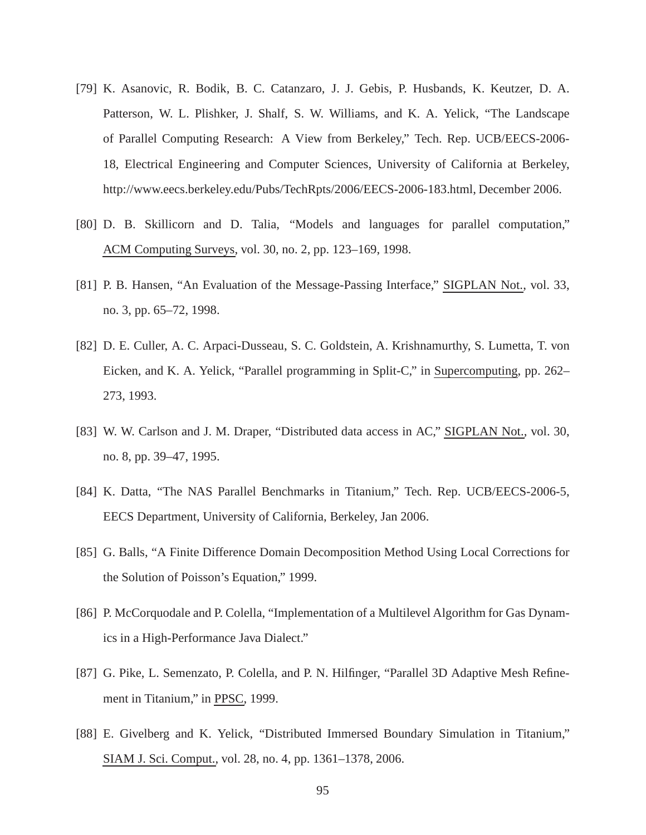- [79] K. Asanovic, R. Bodik, B. C. Catanzaro, J. J. Gebis, P. Husbands, K. Keutzer, D. A. Patterson, W. L. Plishker, J. Shalf, S. W. Williams, and K. A. Yelick, "The Landscape of Parallel Computing Research: A View from Berkeley," Tech. Rep. UCB/EECS-2006- 18, Electrical Engineering and Computer Sciences, University of California at Berkeley, http://www.eecs.berkeley.edu/Pubs/TechRpts/2006/EECS-2006-183.html, December 2006.
- [80] D. B. Skillicorn and D. Talia, "Models and languages for parallel computation," ACM Computing Surveys, vol. 30, no. 2, pp. 123–169, 1998.
- [81] P. B. Hansen, "An Evaluation of the Message-Passing Interface," SIGPLAN Not., vol. 33, no. 3, pp. 65–72, 1998.
- [82] D. E. Culler, A. C. Arpaci-Dusseau, S. C. Goldstein, A. Krishnamurthy, S. Lumetta, T. von Eicken, and K. A. Yelick, "Parallel programming in Split-C," in Supercomputing, pp. 262– 273, 1993.
- [83] W. W. Carlson and J. M. Draper, "Distributed data access in AC," SIGPLAN Not., vol. 30, no. 8, pp. 39–47, 1995.
- [84] K. Datta, "The NAS Parallel Benchmarks in Titanium," Tech. Rep. UCB/EECS-2006-5, EECS Department, University of California, Berkeley, Jan 2006.
- [85] G. Balls, "A Finite Difference Domain Decomposition Method Using Local Corrections for the Solution of Poisson's Equation," 1999.
- [86] P. McCorquodale and P. Colella, "Implementation of a Multilevel Algorithm for Gas Dynamics in a High-Performance Java Dialect."
- [87] G. Pike, L. Semenzato, P. Colella, and P. N. Hilfinger, "Parallel 3D Adaptive Mesh Refinement in Titanium," in PPSC, 1999.
- [88] E. Givelberg and K. Yelick, "Distributed Immersed Boundary Simulation in Titanium," SIAM J. Sci. Comput., vol. 28, no. 4, pp. 1361–1378, 2006.